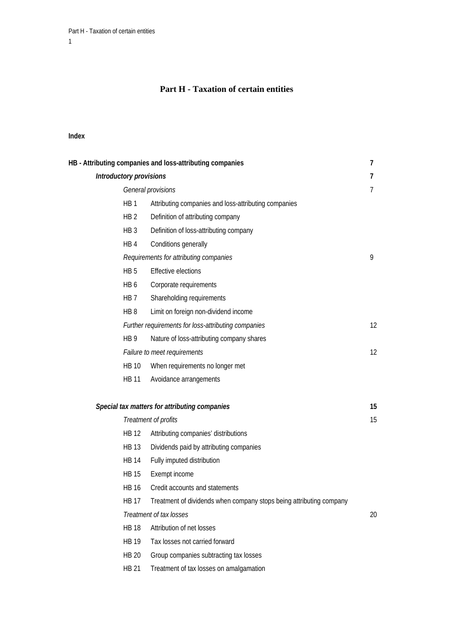# **Part H - Taxation of certain entities**

#### **Index**

| HB - Attributing companies and loss-attributing companies |                                                                     |    |
|-----------------------------------------------------------|---------------------------------------------------------------------|----|
| Introductory provisions                                   |                                                                     |    |
|                                                           | General provisions                                                  | 7  |
| HB <sub>1</sub>                                           | Attributing companies and loss-attributing companies                |    |
| HB <sub>2</sub>                                           | Definition of attributing company                                   |    |
| HB <sub>3</sub>                                           | Definition of loss-attributing company                              |    |
| HB4                                                       | Conditions generally                                                |    |
|                                                           | Requirements for attributing companies                              | 9  |
| HB <sub>5</sub>                                           | <b>Effective elections</b>                                          |    |
| HB <sub>6</sub>                                           | Corporate requirements                                              |    |
| HB 7                                                      | Shareholding requirements                                           |    |
| HB <sub>8</sub>                                           | Limit on foreign non-dividend income                                |    |
|                                                           | Further requirements for loss-attributing companies                 | 12 |
| HB <sub>9</sub>                                           | Nature of loss-attributing company shares                           |    |
|                                                           | Failure to meet requirements                                        | 12 |
| <b>HB 10</b>                                              | When requirements no longer met                                     |    |
| HB 11                                                     | Avoidance arrangements                                              |    |
|                                                           | Special tax matters for attributing companies                       | 15 |
|                                                           | Treatment of profits                                                | 15 |
| HB 12                                                     | Attributing companies' distributions                                |    |
| <b>HB 13</b>                                              | Dividends paid by attributing companies                             |    |
| HB 14                                                     | Fully imputed distribution                                          |    |
| <b>HB 15</b>                                              | Exempt income                                                       |    |
| <b>HB 16</b>                                              | Credit accounts and statements                                      |    |
| <b>HB 17</b>                                              | Treatment of dividends when company stops being attributing company |    |
|                                                           | Treatment of tax losses                                             | 20 |
| <b>HB 18</b>                                              | Attribution of net losses                                           |    |
| <b>HB 19</b>                                              | Tax losses not carried forward                                      |    |
| <b>HB 20</b>                                              | Group companies subtracting tax losses                              |    |
| <b>HB 21</b>                                              | Treatment of tax losses on amalgamation                             |    |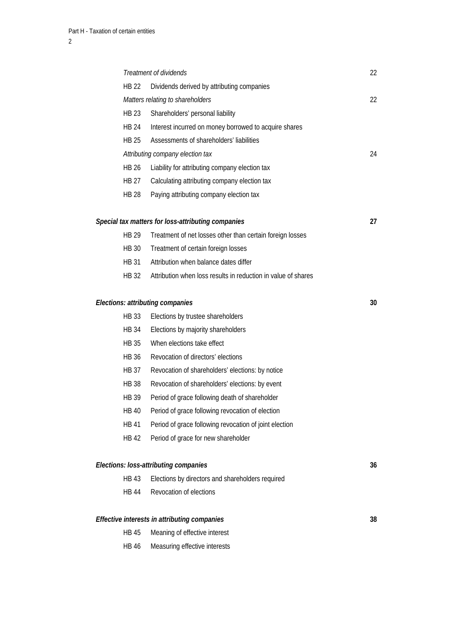|              | Treatment of dividends                                        | 22 |
|--------------|---------------------------------------------------------------|----|
| <b>HB 22</b> | Dividends derived by attributing companies                    |    |
|              | Matters relating to shareholders                              | 22 |
| <b>HB 23</b> | Shareholders' personal liability                              |    |
| HB 24        | Interest incurred on money borrowed to acquire shares         |    |
| <b>HB 25</b> | Assessments of shareholders' liabilities                      |    |
|              | Attributing company election tax                              | 24 |
| <b>HB 26</b> | Liability for attributing company election tax                |    |
| HB 27        | Calculating attributing company election tax                  |    |
| <b>HB 28</b> | Paying attributing company election tax                       |    |
|              | Special tax matters for loss-attributing companies            | 27 |
| <b>HB 29</b> | Treatment of net losses other than certain foreign losses     |    |
| <b>HB 30</b> | Treatment of certain foreign losses                           |    |
| HR 31        | Attribution when balance dates differ                         |    |
| HB 32        | Attribution when loss results in reduction in value of shares |    |
|              | Elections: attributing companies                              | 30 |
| <b>HB 33</b> | Elections by trustee shareholders                             |    |
| <b>HB 34</b> | Elections by majority shareholders                            |    |
| <b>HB 35</b> | When elections take effect                                    |    |
| HB 36        | Revocation of directors' elections                            |    |
| HB 37        | Revocation of shareholders' elections: by notice              |    |
| <b>HB 38</b> | Revocation of shareholders' elections: by event               |    |
| <b>HB 39</b> | Period of grace following death of shareholder                |    |
| <b>HB 40</b> | Period of grace following revocation of election              |    |
| <b>HB 41</b> | Period of grace following revocation of joint election        |    |
| <b>HB 42</b> | Period of grace for new shareholder                           |    |
|              | Elections: loss-attributing companies                         | 36 |
| <b>HB43</b>  | Elections by directors and shareholders required              |    |
| <b>HB 44</b> | Revocation of elections                                       |    |
|              | Effective interests in attributing companies                  | 38 |
| <b>HB 45</b> | Meaning of effective interest                                 |    |
| <b>HB 46</b> | Measuring effective interests                                 |    |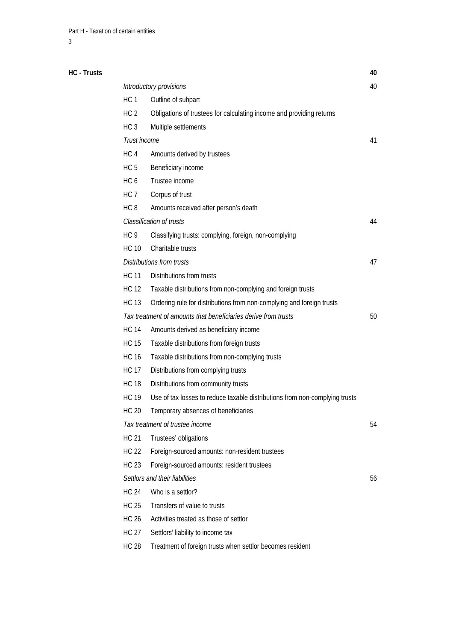| HC - Trusts |                 |                                                                             | 40 |
|-------------|-----------------|-----------------------------------------------------------------------------|----|
|             |                 | Introductory provisions                                                     | 40 |
|             | HC <sub>1</sub> | Outline of subpart                                                          |    |
|             | HC <sub>2</sub> | Obligations of trustees for calculating income and providing returns        |    |
|             | HC <sub>3</sub> | Multiple settlements                                                        |    |
|             | Trust income    |                                                                             | 41 |
|             | HC <sub>4</sub> | Amounts derived by trustees                                                 |    |
|             | HC <sub>5</sub> | Beneficiary income                                                          |    |
|             | HC <sub>6</sub> | Trustee income                                                              |    |
|             | HC <sub>7</sub> | Corpus of trust                                                             |    |
|             | HC <sub>8</sub> | Amounts received after person's death                                       |    |
|             |                 | Classification of trusts                                                    | 44 |
|             | HC <sub>9</sub> | Classifying trusts: complying, foreign, non-complying                       |    |
|             | <b>HC 10</b>    | Charitable trusts                                                           |    |
|             |                 | <b>Distributions from trusts</b>                                            | 47 |
|             | <b>HC 11</b>    | Distributions from trusts                                                   |    |
|             | <b>HC 12</b>    | Taxable distributions from non-complying and foreign trusts                 |    |
|             | <b>HC 13</b>    | Ordering rule for distributions from non-complying and foreign trusts       |    |
|             |                 | Tax treatment of amounts that beneficiaries derive from trusts              | 50 |
|             | <b>HC 14</b>    | Amounts derived as beneficiary income                                       |    |
|             | <b>HC 15</b>    | Taxable distributions from foreign trusts                                   |    |
|             | <b>HC 16</b>    | Taxable distributions from non-complying trusts                             |    |
|             | <b>HC 17</b>    | Distributions from complying trusts                                         |    |
|             | <b>HC 18</b>    | Distributions from community trusts                                         |    |
|             | <b>HC 19</b>    | Use of tax losses to reduce taxable distributions from non-complying trusts |    |
|             | <b>HC 20</b>    | Temporary absences of beneficiaries                                         |    |
|             |                 | Tax treatment of trustee income                                             | 54 |
|             | <b>HC 21</b>    | Trustees' obligations                                                       |    |
|             | HC 22           | Foreign-sourced amounts: non-resident trustees                              |    |
|             | HC 23           | Foreign-sourced amounts: resident trustees                                  |    |
|             |                 | Settlors and their liabilities                                              | 56 |
|             | <b>HC 24</b>    | Who is a settlor?                                                           |    |
|             | <b>HC 25</b>    | Transfers of value to trusts                                                |    |
|             | <b>HC 26</b>    | Activities treated as those of settlor                                      |    |
|             | <b>HC 27</b>    | Settlors' liability to income tax                                           |    |
|             | <b>HC 28</b>    | Treatment of foreign trusts when settlor becomes resident                   |    |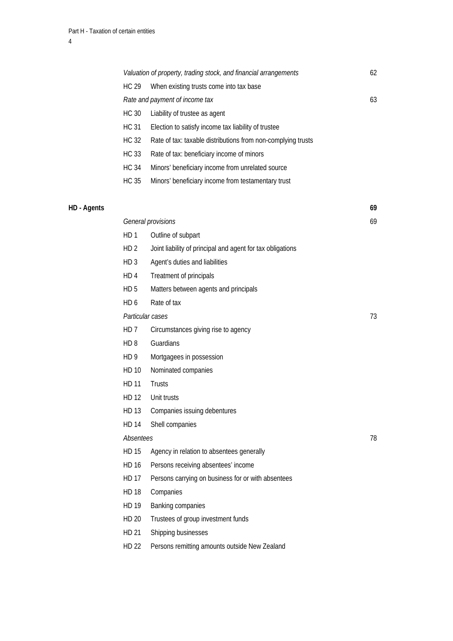|             |                 | Valuation of property, trading stock, and financial arrangements | 62 |
|-------------|-----------------|------------------------------------------------------------------|----|
|             | <b>HC 29</b>    | When existing trusts come into tax base                          |    |
|             |                 | Rate and payment of income tax                                   | 63 |
|             | <b>HC 30</b>    | Liability of trustee as agent                                    |    |
|             | <b>HC 31</b>    | Election to satisfy income tax liability of trustee              |    |
|             | <b>HC 32</b>    | Rate of tax: taxable distributions from non-complying trusts     |    |
|             | <b>HC 33</b>    | Rate of tax: beneficiary income of minors                        |    |
|             | <b>HC 34</b>    | Minors' beneficiary income from unrelated source                 |    |
|             | <b>HC 35</b>    | Minors' beneficiary income from testamentary trust               |    |
| HD - Agents |                 |                                                                  | 69 |
|             |                 | General provisions                                               | 69 |
|             | HD <sub>1</sub> | Outline of subpart                                               |    |
|             | HD <sub>2</sub> | Joint liability of principal and agent for tax obligations       |    |
|             | HD <sub>3</sub> | Agent's duties and liabilities                                   |    |
|             | HD <sub>4</sub> | Treatment of principals                                          |    |
|             | HD <sub>5</sub> | Matters between agents and principals                            |    |
|             | HD <sub>6</sub> | Rate of tax                                                      |    |
|             |                 | Particular cases                                                 | 73 |
|             | HD <sub>7</sub> | Circumstances giving rise to agency                              |    |
|             | HD <sub>8</sub> | Guardians                                                        |    |
|             | HD 9            | Mortgagees in possession                                         |    |
|             | HD 10           | Nominated companies                                              |    |
|             | <b>HD 11</b>    | Trusts                                                           |    |
|             | HD 12           | Unit trusts                                                      |    |
|             | HD 13           | Companies issuing debentures                                     |    |
|             | <b>HD 14</b>    | Shell companies                                                  |    |
|             | Absentees       |                                                                  | 78 |
|             | <b>HD 15</b>    | Agency in relation to absentees generally                        |    |
|             | <b>HD 16</b>    | Persons receiving absentees' income                              |    |
|             | <b>HD 17</b>    | Persons carrying on business for or with absentees               |    |
|             | <b>HD 18</b>    | Companies                                                        |    |
|             | HD 19           | Banking companies                                                |    |
|             | <b>HD 20</b>    | Trustees of group investment funds                               |    |
|             | HD 21           | Shipping businesses                                              |    |

HD 22 Persons remitting amounts outside New Zealand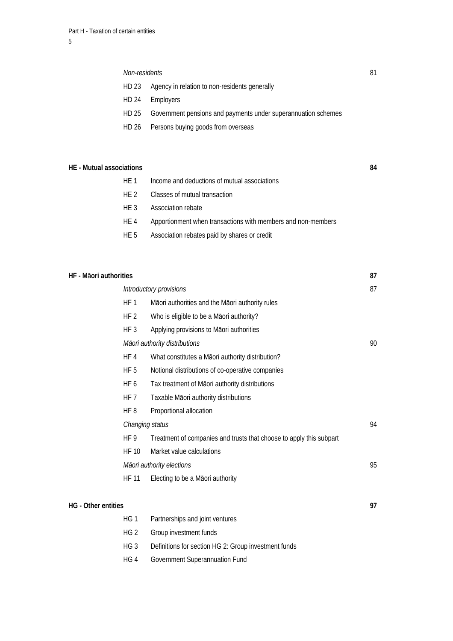#### *Non-residents* 81

- HD 23 Agency in relation to non-residents generally
- HD 24 Employers
- HD 25 Government pensions and payments under superannuation schemes
- HD 26 Persons buying goods from overseas

#### **HE - Mutual associations 84**

| HF 1 | Income and deductions of mutual associations                 |
|------|--------------------------------------------------------------|
| HF 2 | Classes of mutual transaction                                |
| HF 3 | Association rebate                                           |
| HE 4 | Apportionment when transactions with members and non-members |
| HE 5 | Association rebates paid by shares or credit                 |

# **HF - M**ā**ori authorities 87**   *Introductory provisions* 87 HF 1 Māori authorities and the Māori authority rules HF 2 Who is eligible to be a Māori authority? HF 3 Applying provisions to Māori authorities  *Māori authority distributions* 90 HF 4 What constitutes a Māori authority distribution? HF 5 Notional distributions of co-operative companies HF 6 Tax treatment of Māori authority distributions HF 7 Taxable Māori authority distributions HF 8 Proportional allocation *Changing status* 94 HF 9 Treatment of companies and trusts that choose to apply this subpart HF 10 Market value calculations *Māori authority elections* 95 HF 11 Electing to be a Māori authority **HG** - Other entities 97 HG 1 Partnerships and joint ventures HG 2 Group investment funds HG 3 Definitions for section HG 2: Group investment funds

HG 4 Government Superannuation Fund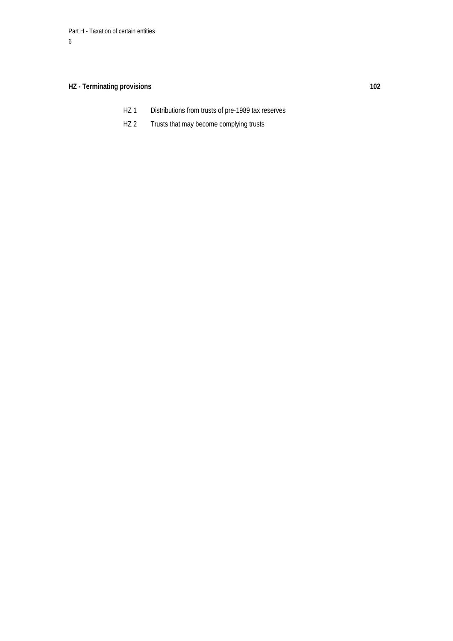# **HZ - Terminating provisions 102**

- HZ 1 Distributions from trusts of pre-1989 tax reserves
- HZ 2 Trusts that may become complying trusts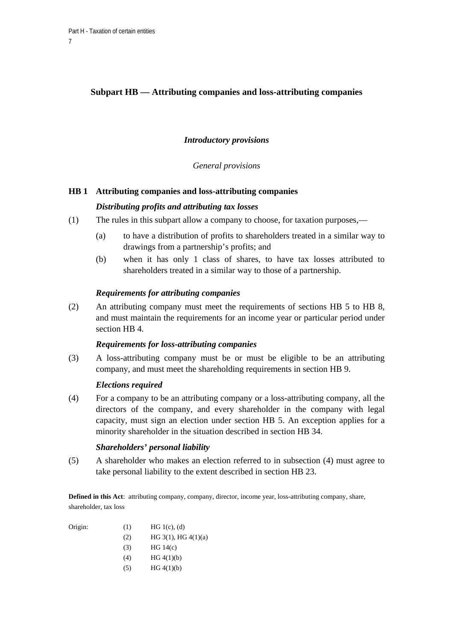# **Subpart HB — Attributing companies and loss-attributing companies**

# *Introductory provisions*

*General provisions* 

# **HB 1 Attributing companies and loss-attributing companies**

# *Distributing profits and attributing tax losses*

- (1) The rules in this subpart allow a company to choose, for taxation purposes,—
	- (a) to have a distribution of profits to shareholders treated in a similar way to drawings from a partnership's profits; and
	- (b) when it has only 1 class of shares, to have tax losses attributed to shareholders treated in a similar way to those of a partnership.

### *Requirements for attributing companies*

(2) An attributing company must meet the requirements of sections HB 5 to HB 8, and must maintain the requirements for an income year or particular period under section HB 4.

# *Requirements for loss-attributing companies*

(3) A loss-attributing company must be or must be eligible to be an attributing company, and must meet the shareholding requirements in section HB 9.

# *Elections required*

(4) For a company to be an attributing company or a loss-attributing company, all the directors of the company, and every shareholder in the company with legal capacity, must sign an election under section HB 5. An exception applies for a minority shareholder in the situation described in section HB 34.

# *Shareholders' personal liability*

(5) A shareholder who makes an election referred to in subsection (4) must agree to take personal liability to the extent described in section HB 23.

**Defined in this Act**: attributing company, company, director, income year, loss-attributing company, share, shareholder, tax loss

| Origin: | (1) | HG 1(c), (d)             |
|---------|-----|--------------------------|
|         | (2) | HG $3(1)$ , HG $4(1)(a)$ |
|         | (3) | HG 14(c)                 |
|         | (4) | HG 4(1)(b)               |
|         | (5) | HG 4(1)(b)               |
|         |     |                          |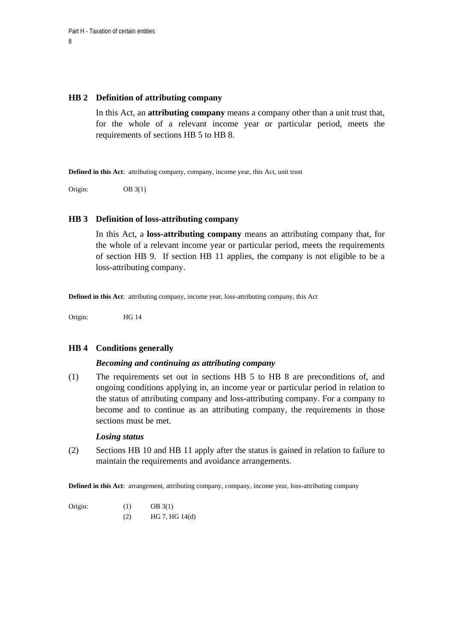#### **HB 2 Definition of attributing company**

In this Act, an **attributing company** means a company other than a unit trust that, for the whole of a relevant income year or particular period, meets the requirements of sections HB 5 to HB 8.

**Defined in this Act**: attributing company, company, income year, this Act, unit trust

Origin: OB 3(1)

#### **HB 3 Definition of loss-attributing company**

In this Act, a **loss-attributing company** means an attributing company that, for the whole of a relevant income year or particular period, meets the requirements of section HB 9. If section HB 11 applies, the company is not eligible to be a loss-attributing company.

**Defined in this Act**: attributing company, income year, loss-attributing company, this Act

Origin: HG 14

#### **HB 4 Conditions generally**

#### *Becoming and continuing as attributing company*

(1) The requirements set out in sections HB 5 to HB 8 are preconditions of, and ongoing conditions applying in, an income year or particular period in relation to the status of attributing company and loss-attributing company. For a company to become and to continue as an attributing company, the requirements in those sections must be met.

# *Losing status*

(2) Sections HB 10 and HB 11 apply after the status is gained in relation to failure to maintain the requirements and avoidance arrangements.

**Defined in this Act**: arrangement, attributing company, company, income year, loss-attributing company

Origin: (1) OB 3(1) (2) HG 7, HG 14(d)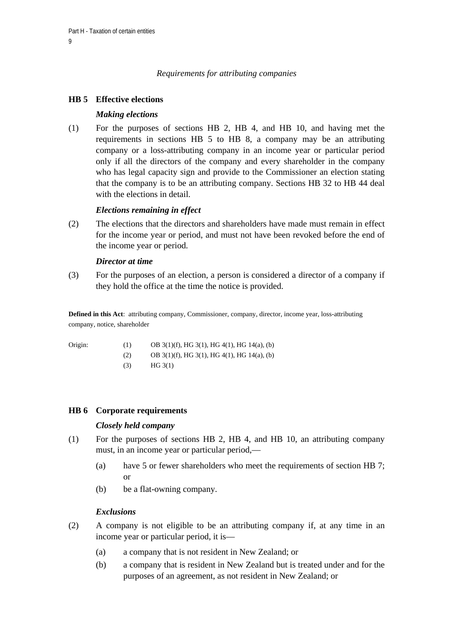# *Requirements for attributing companies*

# **HB 5 Effective elections**

### *Making elections*

(1) For the purposes of sections HB 2, HB 4, and HB 10, and having met the requirements in sections HB 5 to HB 8, a company may be an attributing company or a loss-attributing company in an income year or particular period only if all the directors of the company and every shareholder in the company who has legal capacity sign and provide to the Commissioner an election stating that the company is to be an attributing company. Sections HB 32 to HB 44 deal with the elections in detail.

### *Elections remaining in effect*

(2) The elections that the directors and shareholders have made must remain in effect for the income year or period, and must not have been revoked before the end of the income year or period.

#### *Director at time*

(3) For the purposes of an election, a person is considered a director of a company if they hold the office at the time the notice is provided.

**Defined in this Act**: attributing company, Commissioner, company, director, income year, loss-attributing company, notice, shareholder

| Origin: | (1) | OB $3(1)(f)$ , HG $3(1)$ , HG $4(1)$ , HG $14(a)$ , (b) |
|---------|-----|---------------------------------------------------------|
|         | (2) | OB $3(1)(f)$ , HG $3(1)$ , HG $4(1)$ , HG $14(a)$ , (b) |
|         | (3) | HG 3(1)                                                 |

# **HB 6 Corporate requirements**

#### *Closely held company*

- (1) For the purposes of sections HB 2, HB 4, and HB 10, an attributing company must, in an income year or particular period,—
	- (a) have 5 or fewer shareholders who meet the requirements of section HB 7; or
	- (b) be a flat-owning company.

#### *Exclusions*

- (2) A company is not eligible to be an attributing company if, at any time in an income year or particular period, it is—
	- (a) a company that is not resident in New Zealand; or
	- (b) a company that is resident in New Zealand but is treated under and for the purposes of an agreement, as not resident in New Zealand; or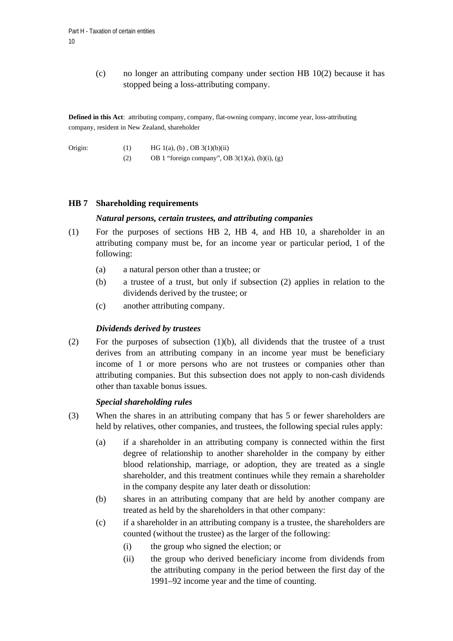(c) no longer an attributing company under section HB 10(2) because it has stopped being a loss-attributing company.

**Defined in this Act**: attributing company, company, flat-owning company, income year, loss-attributing company, resident in New Zealand, shareholder

| Origin:<br>(1) | HG 1(a), (b), OB $3(1)(b)(ii)$ |
|----------------|--------------------------------|
|----------------|--------------------------------|

(2) OB 1 "foreign company", OB  $3(1)(a)$ ,  $(b)(i)$ ,  $(g)$ 

### **HB 7 Shareholding requirements**

#### *Natural persons, certain trustees, and attributing companies*

- (1) For the purposes of sections HB 2, HB 4, and HB 10, a shareholder in an attributing company must be, for an income year or particular period, 1 of the following:
	- (a) a natural person other than a trustee; or
	- (b) a trustee of a trust, but only if subsection (2) applies in relation to the dividends derived by the trustee; or
	- (c) another attributing company.

### *Dividends derived by trustees*

(2) For the purposes of subsection (1)(b), all dividends that the trustee of a trust derives from an attributing company in an income year must be beneficiary income of 1 or more persons who are not trustees or companies other than attributing companies. But this subsection does not apply to non-cash dividends other than taxable bonus issues.

#### *Special shareholding rules*

- (3) When the shares in an attributing company that has 5 or fewer shareholders are held by relatives, other companies, and trustees, the following special rules apply:
	- (a) if a shareholder in an attributing company is connected within the first degree of relationship to another shareholder in the company by either blood relationship, marriage, or adoption, they are treated as a single shareholder, and this treatment continues while they remain a shareholder in the company despite any later death or dissolution:
	- (b) shares in an attributing company that are held by another company are treated as held by the shareholders in that other company:
	- (c) if a shareholder in an attributing company is a trustee, the shareholders are counted (without the trustee) as the larger of the following:
		- (i) the group who signed the election; or
		- (ii) the group who derived beneficiary income from dividends from the attributing company in the period between the first day of the 1991–92 income year and the time of counting.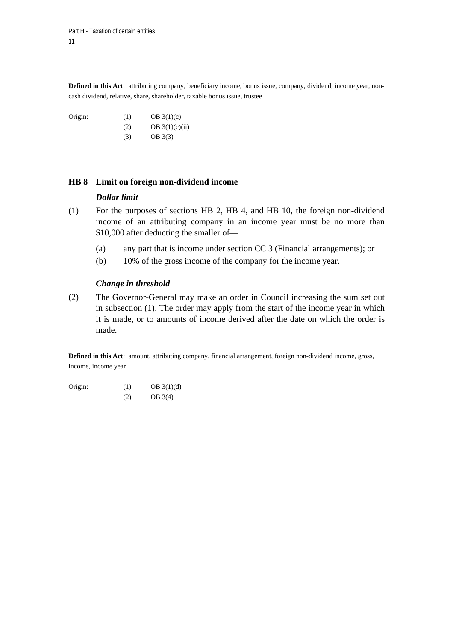**Defined in this Act**: attributing company, beneficiary income, bonus issue, company, dividend, income year, noncash dividend, relative, share, shareholder, taxable bonus issue, trustee

Origin:  $(1)$  OB  $3(1)(c)$ (2) OB  $3(1)(c)(ii)$ (3) OB 3(3)

### **HB 8 Limit on foreign non-dividend income**

### *Dollar limit*

- (1) For the purposes of sections HB 2, HB 4, and HB 10, the foreign non-dividend income of an attributing company in an income year must be no more than \$10,000 after deducting the smaller of—
	- (a) any part that is income under section CC 3 (Financial arrangements); or
	- (b) 10% of the gross income of the company for the income year.

### *Change in threshold*

(2) The Governor-General may make an order in Council increasing the sum set out in subsection (1). The order may apply from the start of the income year in which it is made, or to amounts of income derived after the date on which the order is made.

**Defined in this Act**: amount, attributing company, financial arrangement, foreign non-dividend income, gross, income, income year

| Origin: | (1) | OB 3(1)(d) |
|---------|-----|------------|
|         | (2) | OB 3(4)    |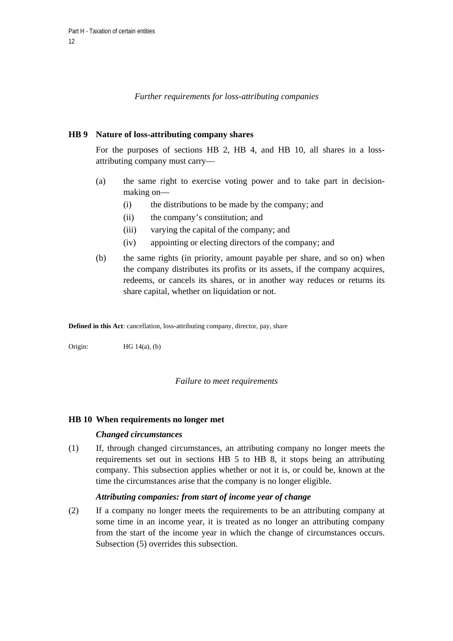*Further requirements for loss-attributing companies* 

### **HB 9 Nature of loss-attributing company shares**

For the purposes of sections HB 2, HB 4, and HB 10, all shares in a lossattributing company must carry—

- (a) the same right to exercise voting power and to take part in decisionmaking on—
	- (i) the distributions to be made by the company; and
	- (ii) the company's constitution; and
	- (iii) varying the capital of the company; and
	- (iv) appointing or electing directors of the company; and
- (b) the same rights (in priority, amount payable per share, and so on) when the company distributes its profits or its assets, if the company acquires, redeems, or cancels its shares, or in another way reduces or returns its share capital, whether on liquidation or not.

**Defined in this Act**: cancellation, loss-attributing company, director, pay, share

Origin: HG 14(a), (b)

#### *Failure to meet requirements*

#### **HB 10 When requirements no longer met**

#### *Changed circumstances*

(1) If, through changed circumstances, an attributing company no longer meets the requirements set out in sections HB 5 to HB 8, it stops being an attributing company. This subsection applies whether or not it is, or could be, known at the time the circumstances arise that the company is no longer eligible.

#### *Attributing companies: from start of income year of change*

(2) If a company no longer meets the requirements to be an attributing company at some time in an income year, it is treated as no longer an attributing company from the start of the income year in which the change of circumstances occurs. Subsection (5) overrides this subsection.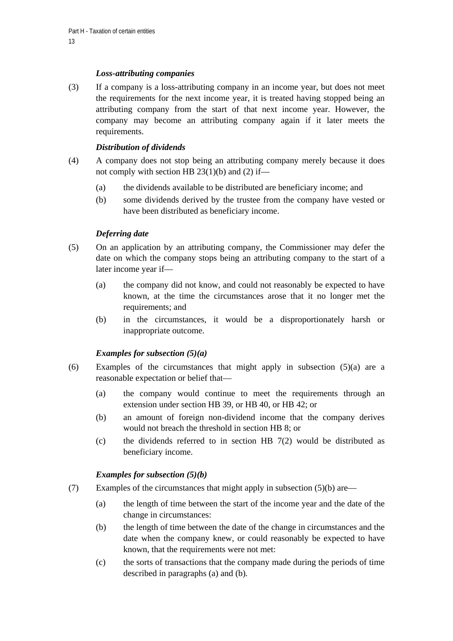# *Loss-attributing companies*

(3) If a company is a loss-attributing company in an income year, but does not meet the requirements for the next income year, it is treated having stopped being an attributing company from the start of that next income year. However, the company may become an attributing company again if it later meets the requirements.

# *Distribution of dividends*

- (4) A company does not stop being an attributing company merely because it does not comply with section HB  $23(1)(b)$  and (2) if—
	- (a) the dividends available to be distributed are beneficiary income; and
	- (b) some dividends derived by the trustee from the company have vested or have been distributed as beneficiary income.

# *Deferring date*

- (5) On an application by an attributing company, the Commissioner may defer the date on which the company stops being an attributing company to the start of a later income year if—
	- (a) the company did not know, and could not reasonably be expected to have known, at the time the circumstances arose that it no longer met the requirements; and
	- (b) in the circumstances, it would be a disproportionately harsh or inappropriate outcome.

# *Examples for subsection (5)(a)*

- (6) Examples of the circumstances that might apply in subsection (5)(a) are a reasonable expectation or belief that—
	- (a) the company would continue to meet the requirements through an extension under section HB 39, or HB 40, or HB 42; or
	- (b) an amount of foreign non-dividend income that the company derives would not breach the threshold in section HB 8; or
	- (c) the dividends referred to in section HB 7(2) would be distributed as beneficiary income.

# *Examples for subsection (5)(b)*

- (7) Examples of the circumstances that might apply in subsection  $(5)(b)$  are—
	- (a) the length of time between the start of the income year and the date of the change in circumstances:
	- (b) the length of time between the date of the change in circumstances and the date when the company knew, or could reasonably be expected to have known, that the requirements were not met:
	- (c) the sorts of transactions that the company made during the periods of time described in paragraphs (a) and (b)*.*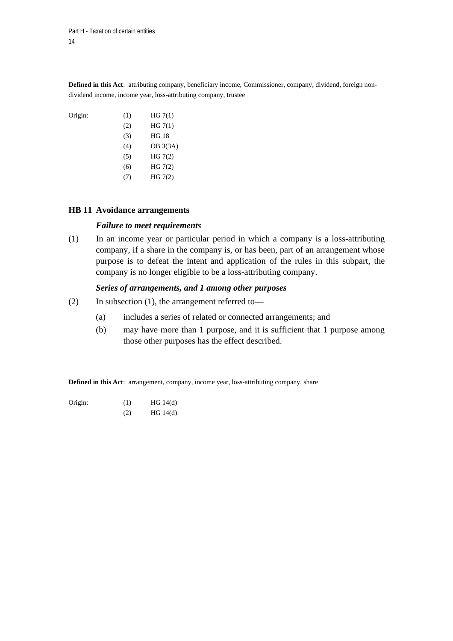**Defined in this Act**: attributing company, beneficiary income, Commissioner, company, dividend, foreign nondividend income, income year, loss-attributing company, trustee

| Origin: | (1)      | HG 7(1)      |
|---------|----------|--------------|
|         | (2)      | HG 7(1)      |
|         | (3)      | <b>HG 18</b> |
|         | (4)      | OB 3(3A)     |
|         | (5)      | HG 7(2)      |
|         | (6)      | HG 7(2)      |
|         | $\prime$ | HG 7(2)      |

#### **HB 11 Avoidance arrangements**

#### *Failure to meet requirements*

(1) In an income year or particular period in which a company is a loss-attributing company, if a share in the company is, or has been, part of an arrangement whose purpose is to defeat the intent and application of the rules in this subpart, the company is no longer eligible to be a loss-attributing company.

#### *Series of arrangements, and 1 among other purposes*

- (2) In subsection (1), the arrangement referred to—
	- (a) includes a series of related or connected arrangements; and
	- (b) may have more than 1 purpose, and it is sufficient that 1 purpose among those other purposes has the effect described.

**Defined in this Act**: arrangement, company, income year, loss-attributing company, share

| Origin: | (1) | HG 14(d) |
|---------|-----|----------|
|         |     |          |

 $HG 14(d)$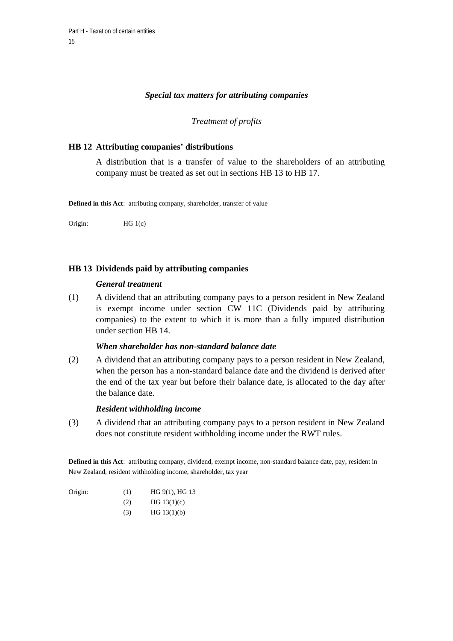#### *Special tax matters for attributing companies*

#### *Treatment of profits*

#### **HB 12 Attributing companies' distributions**

A distribution that is a transfer of value to the shareholders of an attributing company must be treated as set out in sections HB 13 to HB 17.

**Defined in this Act**: attributing company, shareholder, transfer of value

Origin: HG 1(c)

### **HB 13 Dividends paid by attributing companies**

#### *General treatment*

(1) A dividend that an attributing company pays to a person resident in New Zealand is exempt income under section CW 11C (Dividends paid by attributing companies) to the extent to which it is more than a fully imputed distribution under section HB 14.

# *When shareholder has non-standard balance date*

(2) A dividend that an attributing company pays to a person resident in New Zealand, when the person has a non-standard balance date and the dividend is derived after the end of the tax year but before their balance date, is allocated to the day after the balance date.

#### *Resident withholding income*

(3) A dividend that an attributing company pays to a person resident in New Zealand does not constitute resident withholding income under the RWT rules.

**Defined in this Act**: attributing company, dividend, exempt income, non-standard balance date, pay, resident in New Zealand, resident withholding income, shareholder, tax year

| Origin: | (1) | HG 9(1), HG 13   |
|---------|-----|------------------|
|         |     | $TTCM$ $AT$ $AT$ |

- $HG 13(1)(c)$ 
	- $HG 13(1)(b)$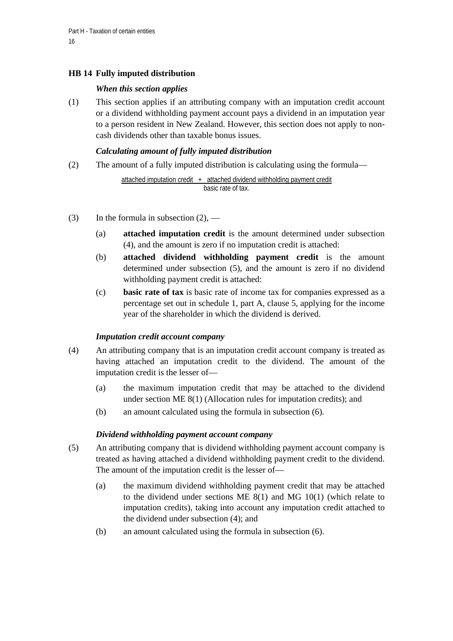# **HB 14 Fully imputed distribution**

# *When this section applies*

(1) This section applies if an attributing company with an imputation credit account or a dividend withholding payment account pays a dividend in an imputation year to a person resident in New Zealand. However, this section does not apply to noncash dividends other than taxable bonus issues.

# *Calculating amount of fully imputed distribution*

(2) The amount of a fully imputed distribution is calculating using the formula—

```
attached imputation credit + attached dividend withholding payment credit
                 basic rate of tax.
```
- (3) In the formula in subsection  $(2)$ ,
	- (a) **attached imputation credit** is the amount determined under subsection (4), and the amount is zero if no imputation credit is attached:
	- (b) **attached dividend withholding payment credit** is the amount determined under subsection (5), and the amount is zero if no dividend withholding payment credit is attached:
	- (c) **basic rate of tax** is basic rate of income tax for companies expressed as a percentage set out in schedule 1, part A, clause 5, applying for the income year of the shareholder in which the dividend is derived.

# *Imputation credit account company*

- (4) An attributing company that is an imputation credit account company is treated as having attached an imputation credit to the dividend. The amount of the imputation credit is the lesser of—
	- (a) the maximum imputation credit that may be attached to the dividend under section ME 8(1) (Allocation rules for imputation credits); and
	- (b) an amount calculated using the formula in subsection (6)*.*

# *Dividend withholding payment account company*

- (5) An attributing company that is dividend withholding payment account company is treated as having attached a dividend withholding payment credit to the dividend. The amount of the imputation credit is the lesser of—
	- (a) the maximum dividend withholding payment credit that may be attached to the dividend under sections ME 8(1) and MG 10(1) (which relate to imputation credits), taking into account any imputation credit attached to the dividend under subsection (4); and
	- (b) an amount calculated using the formula in subsection (6).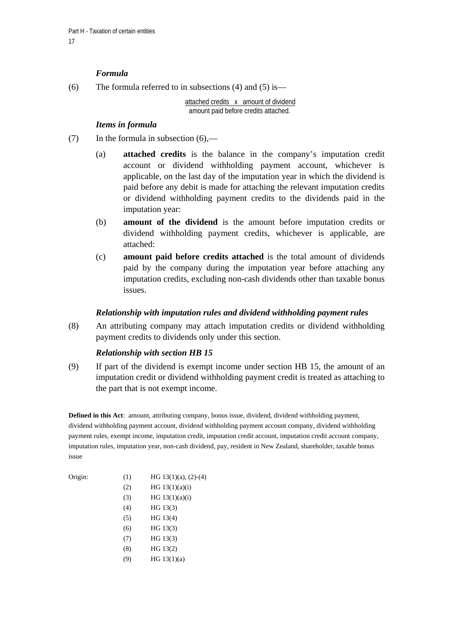# *Formula*

(6) The formula referred to in subsections (4) and (5) is—

attached credits x amount of dividend amount paid before credits attached.

### *Items in formula*

- (7) In the formula in subsection  $(6)$ ,—
	- (a) **attached credits** is the balance in the company's imputation credit account or dividend withholding payment account, whichever is applicable, on the last day of the imputation year in which the dividend is paid before any debit is made for attaching the relevant imputation credits or dividend withholding payment credits to the dividends paid in the imputation year:
	- (b) **amount of the dividend** is the amount before imputation credits or dividend withholding payment credits, whichever is applicable, are attached:
	- (c) **amount paid before credits attached** is the total amount of dividends paid by the company during the imputation year before attaching any imputation credits, excluding non-cash dividends other than taxable bonus issues.

# *Relationship with imputation rules and dividend withholding payment rules*

(8) An attributing company may attach imputation credits or dividend withholding payment credits to dividends only under this section.

# *Relationship with section HB 15*

(9) If part of the dividend is exempt income under section HB 15, the amount of an imputation credit or dividend withholding payment credit is treated as attaching to the part that is not exempt income.

**Defined in this Act**: amount, attributing company, bonus issue, dividend, dividend withholding payment, dividend withholding payment account, dividend withholding payment account company, dividend withholding payment rules, exempt income, imputation credit, imputation credit account, imputation credit account company, imputation rules, imputation year, non-cash dividend, pay, resident in New Zealand, shareholder, taxable bonus issue

| Origin: | (1) | HG $13(1)(a)$ , $(2)-(4)$ |  |
|---------|-----|---------------------------|--|
|         | (2) | HG $13(1)(a)(i)$          |  |
|         | (3) | HG $13(1)(a)(i)$          |  |
|         | (4) | HG 13(3)                  |  |
|         | (5) | HG 13(4)                  |  |
|         | (6) | HG 13(3)                  |  |
|         | (7) | HG 13(3)                  |  |
|         | (8) | HG 13(2)                  |  |
|         | (9) | HG $13(1)(a)$             |  |
|         |     |                           |  |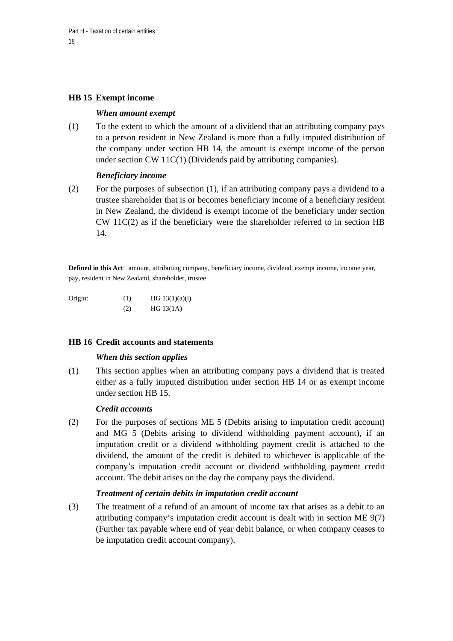### **HB 15 Exempt income**

#### *When amount exempt*

(1) To the extent to which the amount of a dividend that an attributing company pays to a person resident in New Zealand is more than a fully imputed distribution of the company under section HB 14, the amount is exempt income of the person under section CW 11C(1) (Dividends paid by attributing companies).

### *Beneficiary income*

(2) For the purposes of subsection (1), if an attributing company pays a dividend to a trustee shareholder that is or becomes beneficiary income of a beneficiary resident in New Zealand, the dividend is exempt income of the beneficiary under section  $CW 11C(2)$  as if the beneficiary were the shareholder referred to in section HB 14.

**Defined in this Act**: amount, attributing company, beneficiary income, dividend, exempt income, income year, pay, resident in New Zealand, shareholder, trustee

Origin: (1) HG  $13(1)(a)(i)$ (2) HG 13(1A)

#### **HB 16 Credit accounts and statements**

#### *When this section applies*

(1) This section applies when an attributing company pays a dividend that is treated either as a fully imputed distribution under section HB 14 or as exempt income under section HB 15.

#### *Credit accounts*

(2) For the purposes of sections ME 5 (Debits arising to imputation credit account) and MG 5 (Debits arising to dividend withholding payment account), if an imputation credit or a dividend withholding payment credit is attached to the dividend, the amount of the credit is debited to whichever is applicable of the company's imputation credit account or dividend withholding payment credit account. The debit arises on the day the company pays the dividend.

#### *Treatment of certain debits in imputation credit account*

(3) The treatment of a refund of an amount of income tax that arises as a debit to an attributing company's imputation credit account is dealt with in section ME 9(7) (Further tax payable where end of year debit balance, or when company ceases to be imputation credit account company).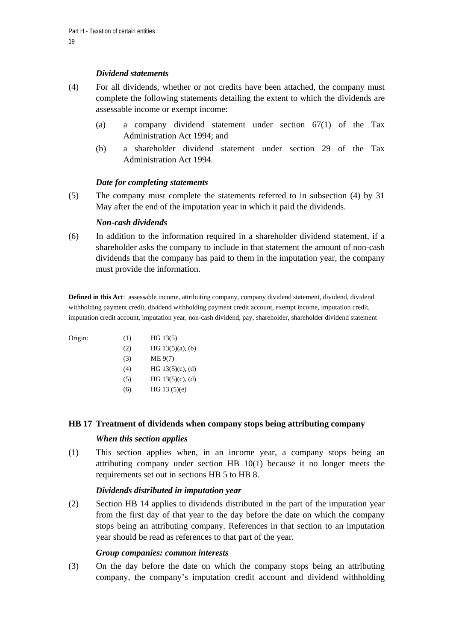### *Dividend statements*

- (4) For all dividends, whether or not credits have been attached, the company must complete the following statements detailing the extent to which the dividends are assessable income or exempt income:
	- (a) a company dividend statement under section 67(1) of the Tax Administration Act 1994; and
	- (b) a shareholder dividend statement under section 29 of the Tax Administration Act 1994.

### *Date for completing statements*

(5) The company must complete the statements referred to in subsection (4) by 31 May after the end of the imputation year in which it paid the dividends.

### *Non-cash dividends*

(6) In addition to the information required in a shareholder dividend statement, if a shareholder asks the company to include in that statement the amount of non-cash dividends that the company has paid to them in the imputation year, the company must provide the information.

**Defined in this Act**: assessable income, attributing company, company dividend statement, dividend, dividend withholding payment credit, dividend withholding payment credit account, exempt income, imputation credit, imputation credit account, imputation year, non-cash dividend, pay, shareholder, shareholder dividend statement

| Origin: | (1) | HG 13(5)            |
|---------|-----|---------------------|
|         | (2) | HG $13(5)(a)$ , (b) |
|         | (3) | ME 9(7)             |
|         | (4) | HG $13(5)(c)$ , (d) |
|         | (5) | HG $13(5)(c)$ , (d) |
|         | (6) | HG $13(5)(e)$       |

#### **HB 17 Treatment of dividends when company stops being attributing company**

#### *When this section applies*

(1) This section applies when, in an income year, a company stops being an attributing company under section  $HB$  10(1) because it no longer meets the requirements set out in sections HB 5 to HB 8.

#### *Dividends distributed in imputation year*

(2) Section HB 14 applies to dividends distributed in the part of the imputation year from the first day of that year to the day before the date on which the company stops being an attributing company. References in that section to an imputation year should be read as references to that part of the year.

#### *Group companies: common interests*

(3) On the day before the date on which the company stops being an attributing company, the company's imputation credit account and dividend withholding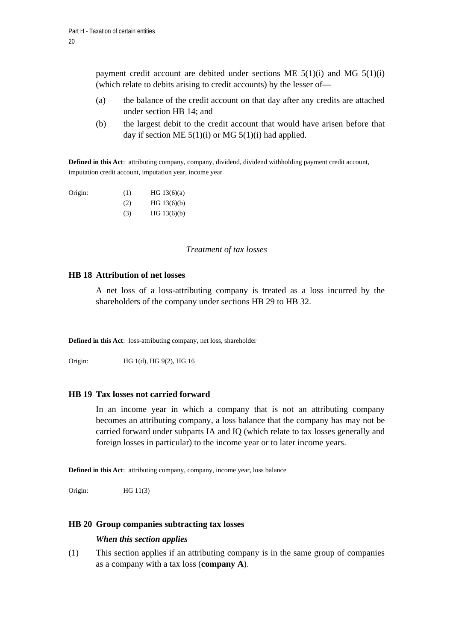payment credit account are debited under sections ME  $5(1)(i)$  and MG  $5(1)(i)$ (which relate to debits arising to credit accounts) by the lesser of—

- (a) the balance of the credit account on that day after any credits are attached under section HB 14; and
- (b) the largest debit to the credit account that would have arisen before that day if section ME  $5(1)(i)$  or MG  $5(1)(i)$  had applied.

**Defined in this Act**: attributing company, company, dividend, dividend withholding payment credit account, imputation credit account, imputation year, income year

| Origin: | (1) | HG $13(6)(a)$ |
|---------|-----|---------------|
|         | (2) | HG 13(6)(b)   |
|         | (3) | HG $13(6)(b)$ |

# *Treatment of tax losses*

#### **HB 18 Attribution of net losses**

A net loss of a loss-attributing company is treated as a loss incurred by the shareholders of the company under sections HB 29 to HB 32.

**Defined in this Act**: loss-attributing company, net loss, shareholder

Origin: HG 1(d), HG 9(2), HG 16

#### **HB 19 Tax losses not carried forward**

In an income year in which a company that is not an attributing company becomes an attributing company, a loss balance that the company has may not be carried forward under subparts IA and IQ (which relate to tax losses generally and foreign losses in particular) to the income year or to later income years.

**Defined in this Act**: attributing company, company, income year, loss balance

Origin: HG 11(3)

#### **HB 20 Group companies subtracting tax losses**

#### *When this section applies*

(1) This section applies if an attributing company is in the same group of companies as a company with a tax loss (**company A**).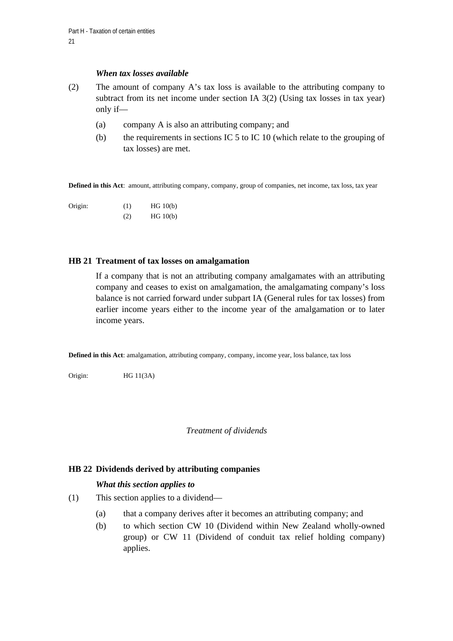#### *When tax losses available*

- (2) The amount of company A's tax loss is available to the attributing company to subtract from its net income under section IA 3(2) (Using tax losses in tax year) only if—
	- (a) company A is also an attributing company; and
	- (b) the requirements in sections IC 5 to IC 10 (which relate to the grouping of tax losses) are met.

**Defined in this Act**: amount, attributing company, company, group of companies, net income, tax loss, tax year

Origin: (1) HG 10(b) (2) HG 10(b)

### **HB 21 Treatment of tax losses on amalgamation**

If a company that is not an attributing company amalgamates with an attributing company and ceases to exist on amalgamation, the amalgamating company's loss balance is not carried forward under subpart IA (General rules for tax losses) from earlier income years either to the income year of the amalgamation or to later income years.

**Defined in this Act**: amalgamation, attributing company, company, income year, loss balance, tax loss

Origin: HG 11(3A)

*Treatment of dividends* 

# **HB 22 Dividends derived by attributing companies**

# *What this section applies to*

- (1) This section applies to a dividend—
	- (a) that a company derives after it becomes an attributing company; and
	- (b) to which section CW 10 (Dividend within New Zealand wholly-owned group) or CW 11 (Dividend of conduit tax relief holding company) applies.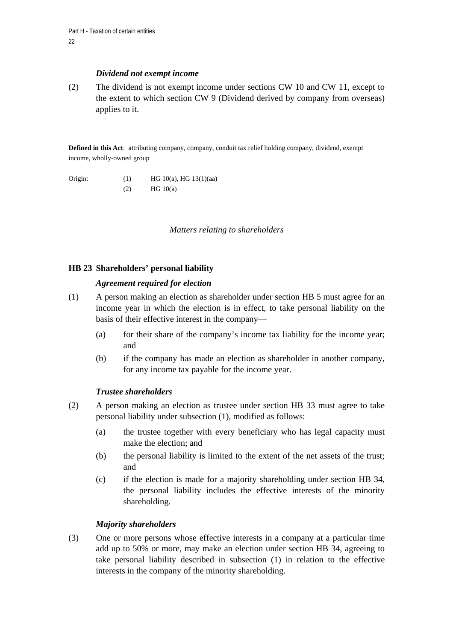#### *Dividend not exempt income*

(2) The dividend is not exempt income under sections CW 10 and CW 11, except to the extent to which section CW 9 (Dividend derived by company from overseas) applies to it.

**Defined in this Act**: attributing company, company, conduit tax relief holding company, dividend, exempt income, wholly-owned group

Origin: (1) HG 10(a), HG 13(1)(aa)  $HG 10(a)$ 

*Matters relating to shareholders* 

# **HB 23 Shareholders' personal liability**

# *Agreement required for election*

- (1) A person making an election as shareholder under section HB 5 must agree for an income year in which the election is in effect, to take personal liability on the basis of their effective interest in the company—
	- (a) for their share of the company's income tax liability for the income year; and
	- (b) if the company has made an election as shareholder in another company, for any income tax payable for the income year.

# *Trustee shareholders*

- (2) A person making an election as trustee under section HB 33 must agree to take personal liability under subsection (1), modified as follows:
	- (a) the trustee together with every beneficiary who has legal capacity must make the election; and
	- (b) the personal liability is limited to the extent of the net assets of the trust; and
	- (c) if the election is made for a majority shareholding under section HB 34, the personal liability includes the effective interests of the minority shareholding.

# *Majority shareholders*

(3) One or more persons whose effective interests in a company at a particular time add up to 50% or more, may make an election under section HB 34, agreeing to take personal liability described in subsection (1) in relation to the effective interests in the company of the minority shareholding.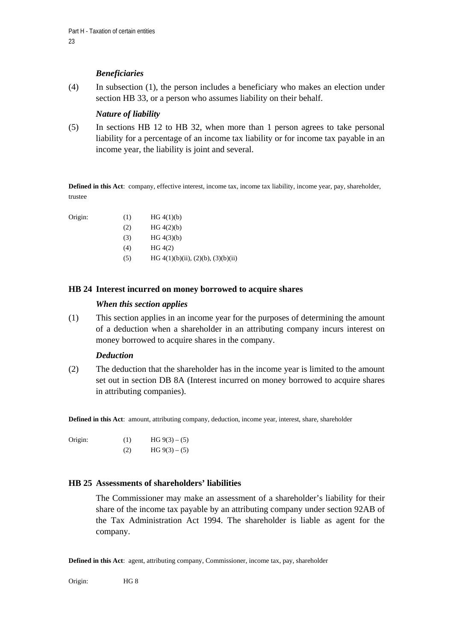# *Beneficiaries*

(4) In subsection (1), the person includes a beneficiary who makes an election under section HB 33, or a person who assumes liability on their behalf.

# *Nature of liability*

(5) In sections HB 12 to HB 32, when more than 1 person agrees to take personal liability for a percentage of an income tax liability or for income tax payable in an income year, the liability is joint and several.

**Defined in this Act**: company, effective interest, income tax, income tax liability, income year, pay, shareholder, trustee

Origin:

| (1) | HG 4(1)(b) |
|-----|------------|
|     |            |

- $HG 4(2)(b)$
- $HG\ 4(3)(b)$
- $HG (4(2))$
- (5) HG  $4(1)(b)(ii)$ ,  $(2)(b)$ ,  $(3)(b)(ii)$

### **HB 24 Interest incurred on money borrowed to acquire shares**

### *When this section applies*

(1) This section applies in an income year for the purposes of determining the amount of a deduction when a shareholder in an attributing company incurs interest on money borrowed to acquire shares in the company.

#### *Deduction*

(2) The deduction that the shareholder has in the income year is limited to the amount set out in section DB 8A (Interest incurred on money borrowed to acquire shares in attributing companies).

**Defined in this Act**: amount, attributing company, deduction, income year, interest, share, shareholder

Origin: (1) HG  $9(3) - (5)$ (2) HG  $9(3) - (5)$ 

# **HB 25 Assessments of shareholders' liabilities**

The Commissioner may make an assessment of a shareholder's liability for their share of the income tax payable by an attributing company under section 92AB of the Tax Administration Act 1994. The shareholder is liable as agent for the company.

**Defined in this Act**: agent, attributing company, Commissioner, income tax, pay, shareholder

Origin: HG 8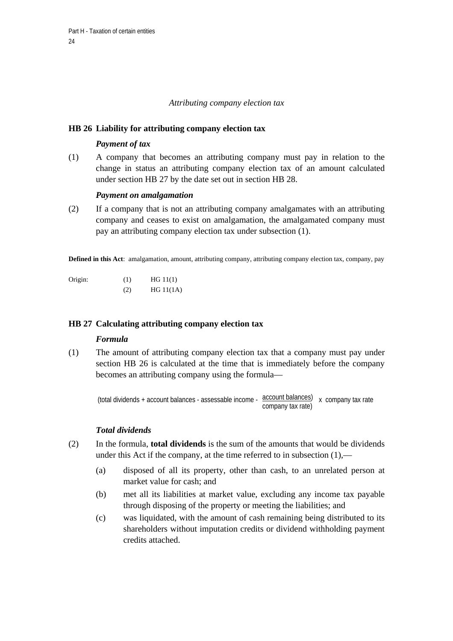#### *Attributing company election tax*

### **HB 26 Liability for attributing company election tax**

# *Payment of tax*

(1) A company that becomes an attributing company must pay in relation to the change in status an attributing company election tax of an amount calculated under section HB 27 by the date set out in section HB 28.

### *Payment on amalgamation*

(2) If a company that is not an attributing company amalgamates with an attributing company and ceases to exist on amalgamation, the amalgamated company must pay an attributing company election tax under subsection (1).

**Defined in this Act**: amalgamation, amount, attributing company, attributing company election tax, company, pay

Origin: (1) HG 11(1)  $(2)$  HG 11(1A)

# **HB 27 Calculating attributing company election tax**

#### *Formula*

(1) The amount of attributing company election tax that a company must pay under section HB 26 is calculated at the time that is immediately before the company becomes an attributing company using the formula—

(total dividends + account balances - assessable income -  $\frac{\text{account balances}}{\text{ax} \cdot \text{common}}$  x company tax rate company tax rate)

#### *Total dividends*

- (2) In the formula, **total dividends** is the sum of the amounts that would be dividends under this Act if the company, at the time referred to in subsection (1),—
	- (a) disposed of all its property, other than cash, to an unrelated person at market value for cash; and
	- (b) met all its liabilities at market value, excluding any income tax payable through disposing of the property or meeting the liabilities; and
	- (c) was liquidated, with the amount of cash remaining being distributed to its shareholders without imputation credits or dividend withholding payment credits attached.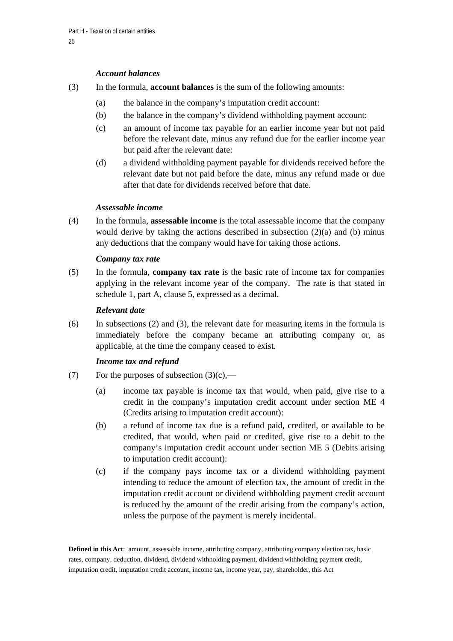#### *Account balances*

- (3) In the formula, **account balances** is the sum of the following amounts:
	- (a) the balance in the company's imputation credit account:
	- (b) the balance in the company's dividend withholding payment account:
	- (c) an amount of income tax payable for an earlier income year but not paid before the relevant date, minus any refund due for the earlier income year but paid after the relevant date:
	- (d) a dividend withholding payment payable for dividends received before the relevant date but not paid before the date, minus any refund made or due after that date for dividends received before that date.

### *Assessable income*

(4) In the formula, **assessable income** is the total assessable income that the company would derive by taking the actions described in subsection  $(2)(a)$  and (b) minus any deductions that the company would have for taking those actions.

### *Company tax rate*

(5) In the formula, **company tax rate** is the basic rate of income tax for companies applying in the relevant income year of the company. The rate is that stated in schedule 1, part A, clause 5, expressed as a decimal.

#### *Relevant date*

(6) In subsections (2) and (3), the relevant date for measuring items in the formula is immediately before the company became an attributing company or, as applicable, at the time the company ceased to exist.

#### *Income tax and refund*

- (7) For the purposes of subsection  $(3)(c)$ ,—
	- (a) income tax payable is income tax that would, when paid, give rise to a credit in the company's imputation credit account under section ME 4 (Credits arising to imputation credit account):
	- (b) a refund of income tax due is a refund paid, credited, or available to be credited, that would, when paid or credited, give rise to a debit to the company's imputation credit account under section ME 5 (Debits arising to imputation credit account):
	- (c) if the company pays income tax or a dividend withholding payment intending to reduce the amount of election tax, the amount of credit in the imputation credit account or dividend withholding payment credit account is reduced by the amount of the credit arising from the company's action, unless the purpose of the payment is merely incidental.

**Defined in this Act**: amount, assessable income, attributing company, attributing company election tax, basic rates, company, deduction, dividend, dividend withholding payment, dividend withholding payment credit, imputation credit, imputation credit account, income tax, income year, pay, shareholder, this Act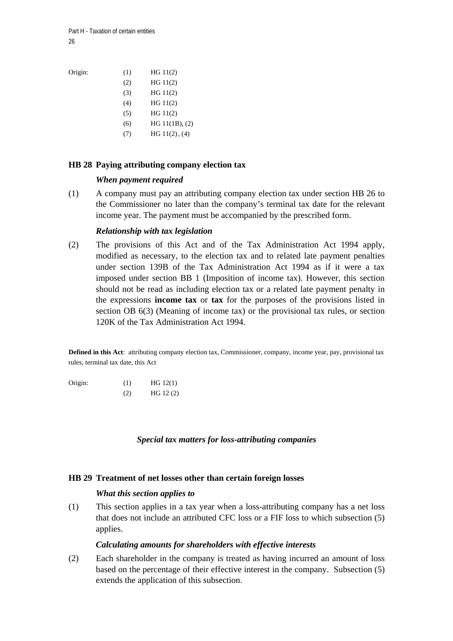Part H - Taxation of certain entities  $26$ 

Origin: (1) HG 11(2)

| (2) | HG 11(2)       |
|-----|----------------|
| (3) | HG 11(2)       |
| (4) | HG 11(2)       |
| (5) | HG 11(2)       |
| (6) | HG 11(1B), (2) |
|     | HG 11(2), (4)  |

### **HB 28 Paying attributing company election tax**

#### *When payment required*

(1) A company must pay an attributing company election tax under section HB 26 to the Commissioner no later than the company's terminal tax date for the relevant income year. The payment must be accompanied by the prescribed form.

#### *Relationship with tax legislation*

(2) The provisions of this Act and of the Tax Administration Act 1994 apply, modified as necessary, to the election tax and to related late payment penalties under section 139B of the Tax Administration Act 1994 as if it were a tax imposed under section BB 1 (Imposition of income tax). However, this section should not be read as including election tax or a related late payment penalty in the expressions **income tax** or **tax** for the purposes of the provisions listed in section OB 6(3) (Meaning of income tax) or the provisional tax rules, or section 120K of the Tax Administration Act 1994.

**Defined in this Act**: attributing company election tax, Commissioner, company, income year, pay, provisional tax rules, terminal tax date, this Act

| Origin: | (1) | HG 12(1) |
|---------|-----|----------|
|         | (2) | HG 12(2) |

*Special tax matters for loss-attributing companies* 

#### **HB 29 Treatment of net losses other than certain foreign losses**

#### *What this section applies to*

(1) This section applies in a tax year when a loss-attributing company has a net loss that does not include an attributed CFC loss or a FIF loss to which subsection (5) applies.

#### *Calculating amounts for shareholders with effective interests*

(2) Each shareholder in the company is treated as having incurred an amount of loss based on the percentage of their effective interest in the company. Subsection (5) extends the application of this subsection.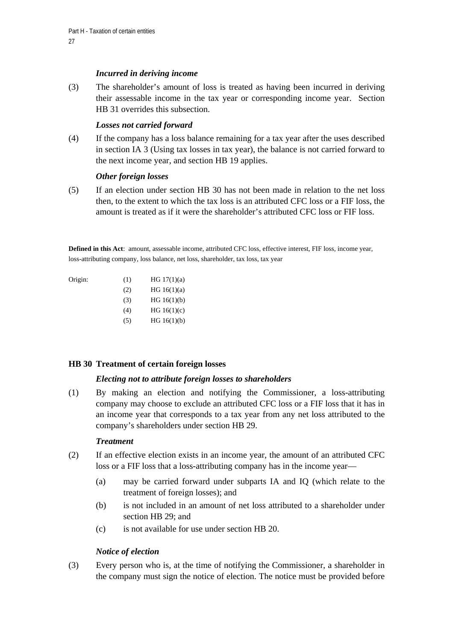# *Incurred in deriving income*

(3) The shareholder's amount of loss is treated as having been incurred in deriving their assessable income in the tax year or corresponding income year. Section HB 31 overrides this subsection.

# *Losses not carried forward*

(4) If the company has a loss balance remaining for a tax year after the uses described in section IA 3 (Using tax losses in tax year), the balance is not carried forward to the next income year, and section HB 19 applies.

# *Other foreign losses*

(5) If an election under section HB 30 has not been made in relation to the net loss then, to the extent to which the tax loss is an attributed CFC loss or a FIF loss, the amount is treated as if it were the shareholder's attributed CFC loss or FIF loss.

**Defined in this Act**: amount, assessable income, attributed CFC loss, effective interest, FIF loss, income year, loss-attributing company, loss balance, net loss, shareholder, tax loss, tax year

| Origin: | (1) | HG $17(1)(a)$ |
|---------|-----|---------------|
|         | (2) | HG $16(1)(a)$ |
|         | (3) | HG 16(1)(b)   |
|         | (4) | HG $16(1)(c)$ |
|         | (5) | HG 16(1)(b)   |
|         |     |               |

#### **HB 30 Treatment of certain foreign losses**

#### *Electing not to attribute foreign losses to shareholders*

(1) By making an election and notifying the Commissioner, a loss-attributing company may choose to exclude an attributed CFC loss or a FIF loss that it has in an income year that corresponds to a tax year from any net loss attributed to the company's shareholders under section HB 29.

#### *Treatment*

- (2) If an effective election exists in an income year, the amount of an attributed CFC loss or a FIF loss that a loss-attributing company has in the income year—
	- (a) may be carried forward under subparts IA and IQ (which relate to the treatment of foreign losses); and
	- (b) is not included in an amount of net loss attributed to a shareholder under section HB 29; and
	- (c) is not available for use under section HB 20.

# *Notice of election*

(3) Every person who is, at the time of notifying the Commissioner, a shareholder in the company must sign the notice of election. The notice must be provided before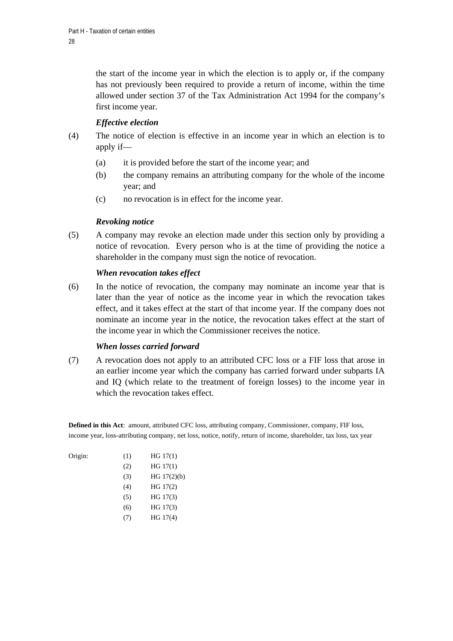the start of the income year in which the election is to apply or, if the company has not previously been required to provide a return of income, within the time allowed under section 37 of the Tax Administration Act 1994 for the company's first income year.

# *Effective election*

- (4) The notice of election is effective in an income year in which an election is to apply if—
	- (a) it is provided before the start of the income year; and
	- (b) the company remains an attributing company for the whole of the income year; and
	- (c) no revocation is in effect for the income year.

# *Revoking notice*

(5) A company may revoke an election made under this section only by providing a notice of revocation. Every person who is at the time of providing the notice a shareholder in the company must sign the notice of revocation.

# *When revocation takes effect*

(6) In the notice of revocation, the company may nominate an income year that is later than the year of notice as the income year in which the revocation takes effect, and it takes effect at the start of that income year. If the company does not nominate an income year in the notice, the revocation takes effect at the start of the income year in which the Commissioner receives the notice.

# *When losses carried forward*

(7) A revocation does not apply to an attributed CFC loss or a FIF loss that arose in an earlier income year which the company has carried forward under subparts IA and IQ (which relate to the treatment of foreign losses) to the income year in which the revocation takes effect.

**Defined in this Act**: amount, attributed CFC loss, attributing company, Commissioner, company, FIF loss, income year, loss-attributing company, net loss, notice, notify, return of income, shareholder, tax loss, tax year

| Origin: | (1) | HG 17(1)      |
|---------|-----|---------------|
|         | (2) | HG 17(1)      |
|         | (3) | HG $17(2)(b)$ |
|         | (4) | HG 17(2)      |
|         | (5) | HG 17(3)      |
|         | (6) | HG 17(3)      |
|         |     | HG 17(4)      |

Origin: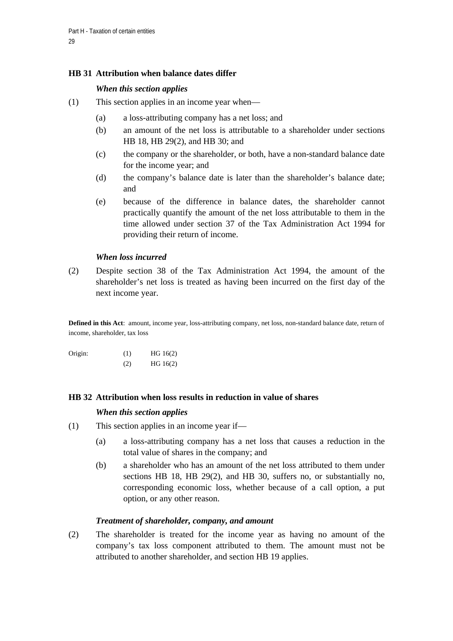# **HB 31 Attribution when balance dates differ**

# *When this section applies*

- (1) This section applies in an income year when—
	- (a) a loss-attributing company has a net loss; and
	- (b) an amount of the net loss is attributable to a shareholder under sections HB 18, HB 29(2), and HB 30; and
	- (c) the company or the shareholder, or both, have a non-standard balance date for the income year; and
	- (d) the company's balance date is later than the shareholder's balance date; and
	- (e) because of the difference in balance dates, the shareholder cannot practically quantify the amount of the net loss attributable to them in the time allowed under section 37 of the Tax Administration Act 1994 for providing their return of income.

### *When loss incurred*

(2) Despite section 38 of the Tax Administration Act 1994, the amount of the shareholder's net loss is treated as having been incurred on the first day of the next income year.

**Defined in this Act**: amount, income year, loss-attributing company, net loss, non-standard balance date, return of income, shareholder, tax loss

| Origin: | (1) | HG 16(2) |
|---------|-----|----------|
|         | (2) | HG 16(2) |

# **HB 32 Attribution when loss results in reduction in value of shares**

#### *When this section applies*

- (1) This section applies in an income year if—
	- (a) a loss-attributing company has a net loss that causes a reduction in the total value of shares in the company; and
	- (b) a shareholder who has an amount of the net loss attributed to them under sections HB 18, HB 29(2), and HB 30, suffers no, or substantially no, corresponding economic loss, whether because of a call option, a put option, or any other reason.

# *Treatment of shareholder, company, and amount*

(2) The shareholder is treated for the income year as having no amount of the company's tax loss component attributed to them. The amount must not be attributed to another shareholder, and section HB 19 applies.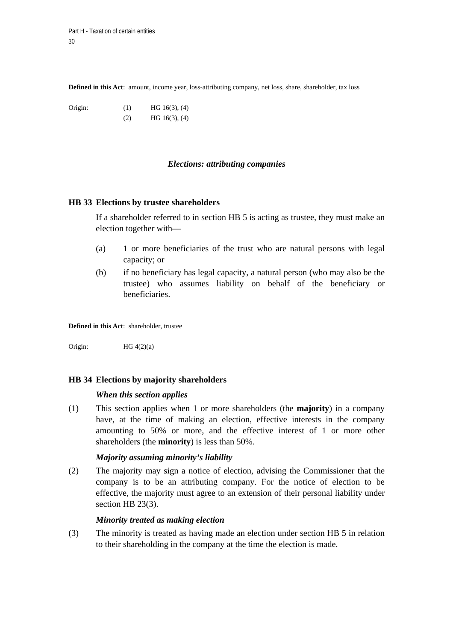**Defined in this Act**: amount, income year, loss-attributing company, net loss, share, shareholder, tax loss

Origin: (1) HG 16(3), (4)  $HG 16(3), (4)$ 

#### *Elections: attributing companies*

#### **HB 33 Elections by trustee shareholders**

If a shareholder referred to in section HB 5 is acting as trustee, they must make an election together with—

- (a) 1 or more beneficiaries of the trust who are natural persons with legal capacity; or
- (b) if no beneficiary has legal capacity, a natural person (who may also be the trustee) who assumes liability on behalf of the beneficiary or beneficiaries.

**Defined in this Act**: shareholder, trustee

Origin:  $HG\ 4(2)(a)$ 

#### **HB 34 Elections by majority shareholders**

#### *When this section applies*

(1) This section applies when 1 or more shareholders (the **majority**) in a company have, at the time of making an election, effective interests in the company amounting to 50% or more, and the effective interest of 1 or more other shareholders (the **minority**) is less than 50%.

#### *Majority assuming minority's liability*

(2) The majority may sign a notice of election, advising the Commissioner that the company is to be an attributing company. For the notice of election to be effective, the majority must agree to an extension of their personal liability under section HB 23(3).

#### *Minority treated as making election*

(3) The minority is treated as having made an election under section HB 5 in relation to their shareholding in the company at the time the election is made.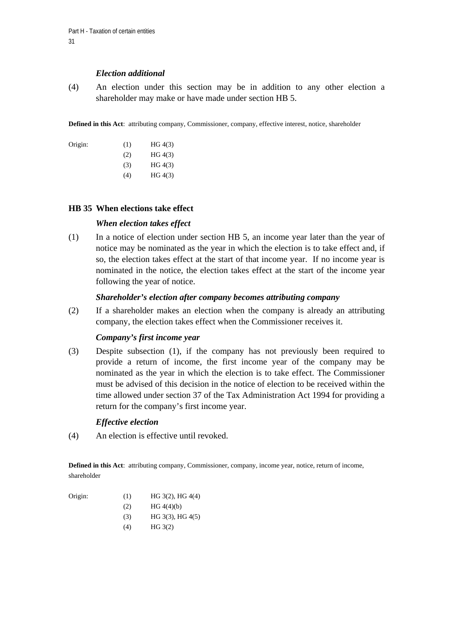#### *Election additional*

(4) An election under this section may be in addition to any other election a shareholder may make or have made under section HB 5.

**Defined in this Act**: attributing company, Commissioner, company, effective interest, notice, shareholder

| Origin: | (1) | HG 4(3) |
|---------|-----|---------|
|         | (2) | HG 4(3) |
|         | (3) | HG 4(3) |
|         | (4) | HG 4(3) |

#### **HB 35 When elections take effect**

### *When election takes effect*

(1) In a notice of election under section HB 5, an income year later than the year of notice may be nominated as the year in which the election is to take effect and, if so, the election takes effect at the start of that income year. If no income year is nominated in the notice, the election takes effect at the start of the income year following the year of notice.

### *Shareholder's election after company becomes attributing company*

(2) If a shareholder makes an election when the company is already an attributing company, the election takes effect when the Commissioner receives it.

# *Company's first income year*

(3) Despite subsection (1), if the company has not previously been required to provide a return of income, the first income year of the company may be nominated as the year in which the election is to take effect. The Commissioner must be advised of this decision in the notice of election to be received within the time allowed under section 37 of the Tax Administration Act 1994 for providing a return for the company's first income year.

# *Effective election*

(4) An election is effective until revoked.

**Defined in this Act**: attributing company, Commissioner, company, income year, notice, return of income, shareholder

| Origin: | (1) | HG $3(2)$ , HG $4(4)$ |
|---------|-----|-----------------------|
|         |     |                       |

- $HG(4(4)(b))$
- $HG 3(3), HG 4(5)$
- (4) HG 3(2)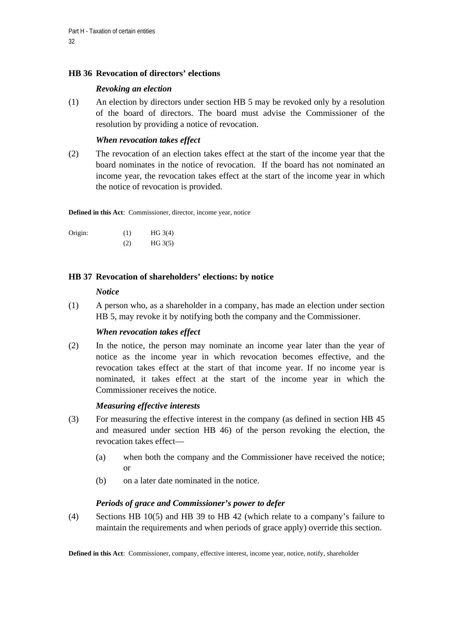# **HB 36 Revocation of directors' elections**

# *Revoking an election*

(1) An election by directors under section HB 5 may be revoked only by a resolution of the board of directors. The board must advise the Commissioner of the resolution by providing a notice of revocation.

# *When revocation takes effect*

(2) The revocation of an election takes effect at the start of the income year that the board nominates in the notice of revocation. If the board has not nominated an income year, the revocation takes effect at the start of the income year in which the notice of revocation is provided.

**Defined in this Act**: Commissioner, director, income year, notice

| Origin: | (1) | HG 3(4) |
|---------|-----|---------|
|         | (2) | HG 3(5) |

# **HB 37 Revocation of shareholders' elections: by notice**

### *Notice*

(1) A person who, as a shareholder in a company, has made an election under section HB 5, may revoke it by notifying both the company and the Commissioner.

# *When revocation takes effect*

(2) In the notice, the person may nominate an income year later than the year of notice as the income year in which revocation becomes effective, and the revocation takes effect at the start of that income year. If no income year is nominated, it takes effect at the start of the income year in which the Commissioner receives the notice.

# *Measuring effective interests*

- (3) For measuring the effective interest in the company (as defined in section HB 45 and measured under section HB 46) of the person revoking the election, the revocation takes effect—
	- (a) when both the company and the Commissioner have received the notice; or
	- (b) on a later date nominated in the notice.

# *Periods of grace and Commissioner's power to defer*

(4) Sections HB 10(5) and HB 39 to HB 42 (which relate to a company's failure to maintain the requirements and when periods of grace apply) override this section.

**Defined in this Act**: Commissioner, company, effective interest, income year, notice, notify, shareholder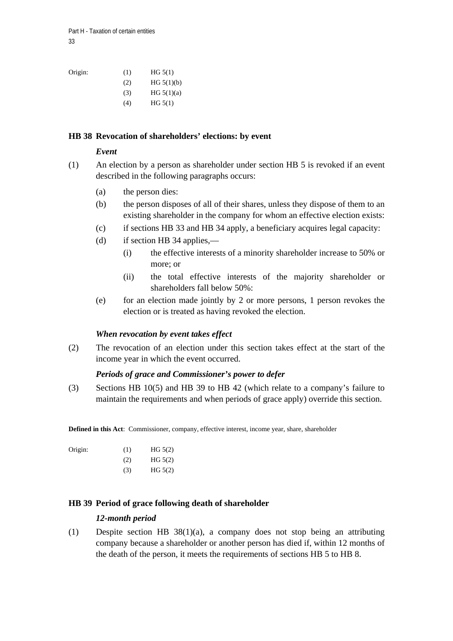| Origin: | (1) | HG 5(1)      |
|---------|-----|--------------|
|         | (2) | HG 5(1)(b)   |
|         | (3) | HG $5(1)(a)$ |
|         | (4) | HG 5(1)      |

### **HB 38 Revocation of shareholders' elections: by event**

#### *Event*

- (1) An election by a person as shareholder under section HB 5 is revoked if an event described in the following paragraphs occurs:
	- (a) the person dies:
	- (b) the person disposes of all of their shares, unless they dispose of them to an existing shareholder in the company for whom an effective election exists:
	- (c) if sections HB 33 and HB 34 apply, a beneficiary acquires legal capacity:
	- (d) if section HB 34 applies,—
		- (i) the effective interests of a minority shareholder increase to 50% or more; or
		- (ii) the total effective interests of the majority shareholder or shareholders fall below 50%:
	- (e) for an election made jointly by 2 or more persons, 1 person revokes the election or is treated as having revoked the election.

#### *When revocation by event takes effect*

(2) The revocation of an election under this section takes effect at the start of the income year in which the event occurred.

#### *Periods of grace and Commissioner's power to defer*

(3) Sections HB 10(5) and HB 39 to HB 42 (which relate to a company's failure to maintain the requirements and when periods of grace apply) override this section.

**Defined in this Act**: Commissioner, company, effective interest, income year, share, shareholder

| Origin: | (1) | HG 5(2) |
|---------|-----|---------|
|         | (2) | HG 5(2) |

 $HG 5(2)$ 

# **HB 39 Period of grace following death of shareholder**

#### *12-month period*

(1) Despite section HB 38(1)(a), a company does not stop being an attributing company because a shareholder or another person has died if, within 12 months of the death of the person, it meets the requirements of sections HB 5 to HB 8.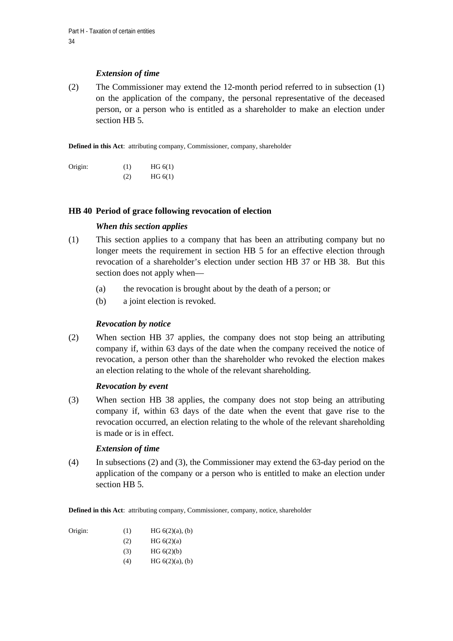# *Extension of time*

(2) The Commissioner may extend the 12-month period referred to in subsection (1) on the application of the company, the personal representative of the deceased person, or a person who is entitled as a shareholder to make an election under section HB 5.

**Defined in this Act**: attributing company, Commissioner, company, shareholder

| Origin: | (1) | HG 6(1) |
|---------|-----|---------|
|         | (2) | HG 6(1) |

### **HB 40 Period of grace following revocation of election**

### *When this section applies*

- (1) This section applies to a company that has been an attributing company but no longer meets the requirement in section HB 5 for an effective election through revocation of a shareholder's election under section HB 37 or HB 38. But this section does not apply when—
	- (a) the revocation is brought about by the death of a person; or
	- (b) a joint election is revoked.

#### *Revocation by notice*

(2) When section HB 37 applies, the company does not stop being an attributing company if, within 63 days of the date when the company received the notice of revocation, a person other than the shareholder who revoked the election makes an election relating to the whole of the relevant shareholding.

#### *Revocation by event*

(3) When section HB 38 applies, the company does not stop being an attributing company if, within 63 days of the date when the event that gave rise to the revocation occurred, an election relating to the whole of the relevant shareholding is made or is in effect.

# *Extension of time*

(4) In subsections (2) and (3), the Commissioner may extend the 63-day period on the application of the company or a person who is entitled to make an election under section HB 5.

**Defined in this Act**: attributing company, Commissioner, company, notice, shareholder

| Origin: | (1) | HG $6(2)(a)$ , $(b)$ |
|---------|-----|----------------------|
|         | (2) | HG $6(2)(a)$         |
|         | (3) | HG 6(2)(b)           |
|         | (4) | HG $6(2)(a)$ , (b)   |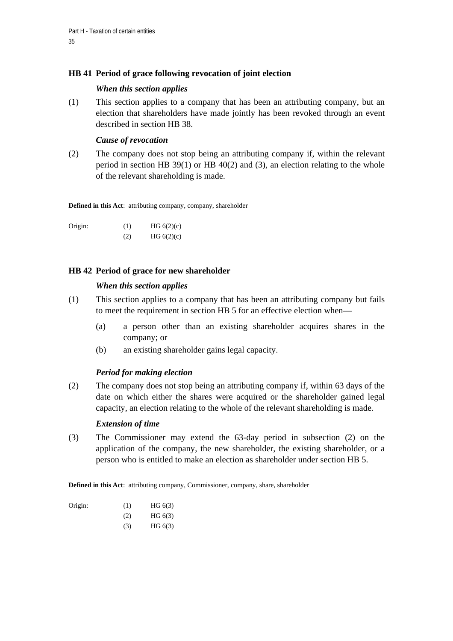# **HB 41 Period of grace following revocation of joint election**

### *When this section applies*

(1) This section applies to a company that has been an attributing company, but an election that shareholders have made jointly has been revoked through an event described in section HB 38.

# *Cause of revocation*

(2) The company does not stop being an attributing company if, within the relevant period in section HB  $39(1)$  or HB  $40(2)$  and (3), an election relating to the whole of the relevant shareholding is made.

**Defined in this Act**: attributing company, company, shareholder

Origin:  $(1)$  HG  $6(2)(c)$ (2)  $HG\ 6(2)(c)$ 

# **HB 42 Period of grace for new shareholder**

### *When this section applies*

- (1) This section applies to a company that has been an attributing company but fails to meet the requirement in section HB 5 for an effective election when—
	- (a) a person other than an existing shareholder acquires shares in the company; or
	- (b) an existing shareholder gains legal capacity.

# *Period for making election*

(2) The company does not stop being an attributing company if, within 63 days of the date on which either the shares were acquired or the shareholder gained legal capacity, an election relating to the whole of the relevant shareholding is made.

# *Extension of time*

(3) The Commissioner may extend the 63-day period in subsection (2) on the application of the company, the new shareholder, the existing shareholder, or a person who is entitled to make an election as shareholder under section HB 5.

**Defined in this Act**: attributing company, Commissioner, company, share, shareholder

| Origin: | (1) | HG 6(3) |
|---------|-----|---------|
|         | (2) | HG 6(3) |
|         | (3) | HG 6(3) |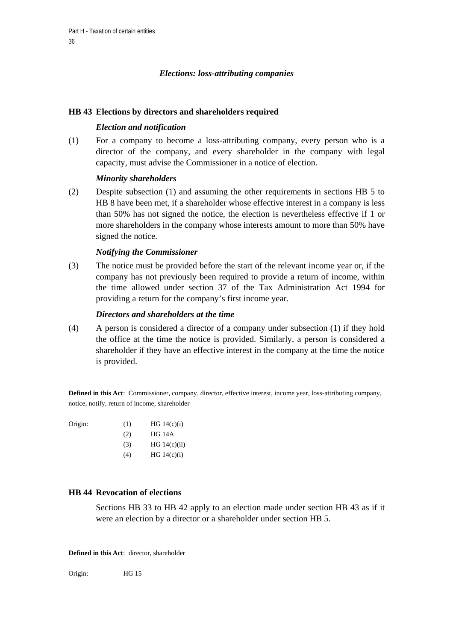# *Elections: loss-attributing companies*

#### **HB 43 Elections by directors and shareholders required**

### *Election and notification*

(1) For a company to become a loss-attributing company, every person who is a director of the company, and every shareholder in the company with legal capacity, must advise the Commissioner in a notice of election.

### *Minority shareholders*

(2) Despite subsection (1) and assuming the other requirements in sections HB 5 to HB 8 have been met, if a shareholder whose effective interest in a company is less than 50% has not signed the notice, the election is nevertheless effective if 1 or more shareholders in the company whose interests amount to more than 50% have signed the notice.

### *Notifying the Commissioner*

(3) The notice must be provided before the start of the relevant income year or, if the company has not previously been required to provide a return of income, within the time allowed under section 37 of the Tax Administration Act 1994 for providing a return for the company's first income year.

#### *Directors and shareholders at the time*

(4) A person is considered a director of a company under subsection (1) if they hold the office at the time the notice is provided. Similarly, a person is considered a shareholder if they have an effective interest in the company at the time the notice is provided.

**Defined in this Act**: Commissioner, company, director, effective interest, income year, loss-attributing company, notice, notify, return of income, shareholder

| Origin: | (1) | HG $14(c)(i)$  |
|---------|-----|----------------|
|         | (2) | <b>HG 14A</b>  |
|         | (3) | HG $14(c)(ii)$ |
|         |     |                |

# $(HG 14(c)(i))$

#### **HB 44 Revocation of elections**

Sections HB 33 to HB 42 apply to an election made under section HB 43 as if it were an election by a director or a shareholder under section HB 5.

**Defined in this Act**: director, shareholder

Origin: HG 15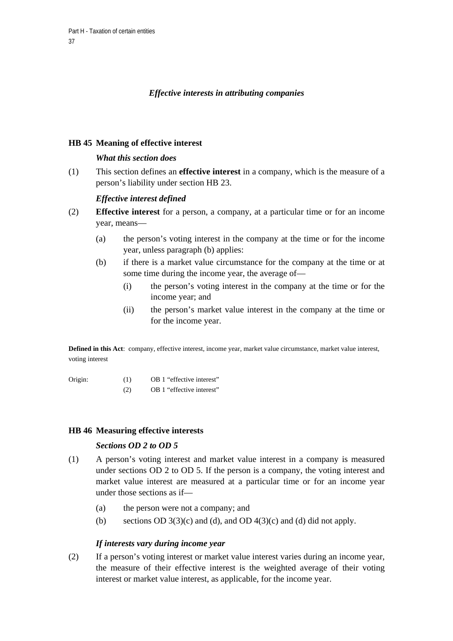## *Effective interests in attributing companies*

## **HB 45 Meaning of effective interest**

## *What this section does*

(1) This section defines an **effective interest** in a company, which is the measure of a person's liability under section HB 23.

## *Effective interest defined*

- (2) **Effective interest** for a person, a company, at a particular time or for an income year, means—
	- (a) the person's voting interest in the company at the time or for the income year, unless paragraph (b) applies:
	- (b) if there is a market value circumstance for the company at the time or at some time during the income year, the average of—
		- (i) the person's voting interest in the company at the time or for the income year; and
		- (ii) the person's market value interest in the company at the time or for the income year.

**Defined in this Act**: company, effective interest, income year, market value circumstance, market value interest, voting interest

| Origin: | (1) | OB 1 "effective interest" |
|---------|-----|---------------------------|
|         |     |                           |

(2) OB 1 "effective interest"

### **HB 46 Measuring effective interests**

## *Sections OD 2 to OD 5*

- (1) A person's voting interest and market value interest in a company is measured under sections OD 2 to OD 5. If the person is a company, the voting interest and market value interest are measured at a particular time or for an income year under those sections as if—
	- (a) the person were not a company; and
	- (b) sections OD  $3(3)(c)$  and (d), and OD  $4(3)(c)$  and (d) did not apply.

## *If interests vary during income year*

(2) If a person's voting interest or market value interest varies during an income year, the measure of their effective interest is the weighted average of their voting interest or market value interest, as applicable, for the income year.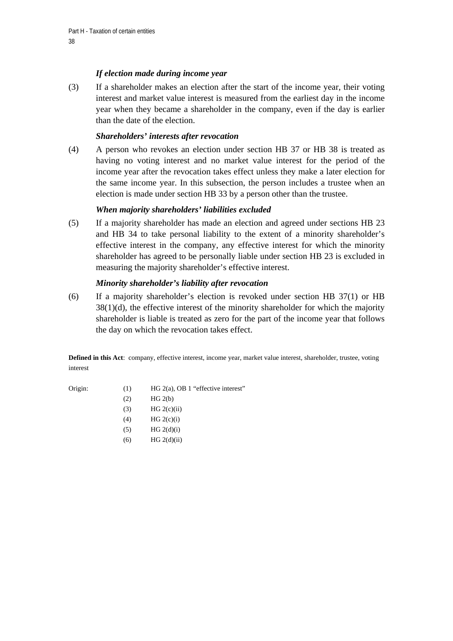## *If election made during income year*

(3) If a shareholder makes an election after the start of the income year, their voting interest and market value interest is measured from the earliest day in the income year when they became a shareholder in the company, even if the day is earlier than the date of the election.

## *Shareholders' interests after revocation*

(4) A person who revokes an election under section HB 37 or HB 38 is treated as having no voting interest and no market value interest for the period of the income year after the revocation takes effect unless they make a later election for the same income year. In this subsection, the person includes a trustee when an election is made under section HB 33 by a person other than the trustee.

# *When majority shareholders' liabilities excluded*

(5) If a majority shareholder has made an election and agreed under sections HB 23 and HB 34 to take personal liability to the extent of a minority shareholder's effective interest in the company, any effective interest for which the minority shareholder has agreed to be personally liable under section HB 23 is excluded in measuring the majority shareholder's effective interest.

## *Minority shareholder's liability after revocation*

(6) If a majority shareholder's election is revoked under section HB 37(1) or HB  $38(1)(d)$ , the effective interest of the minority shareholder for which the majority shareholder is liable is treated as zero for the part of the income year that follows the day on which the revocation takes effect.

**Defined in this Act**: company, effective interest, income year, market value interest, shareholder, trustee, voting interest

- Origin: (1) HG 2(a), OB 1 "effective interest"
	- $HG 2(b)$
	- $HG 2(c)(ii)$
	- (4) HG  $2(c)(i)$
	- $HG 2(d)(i)$
	- (6)  $HG 2(d)(ii)$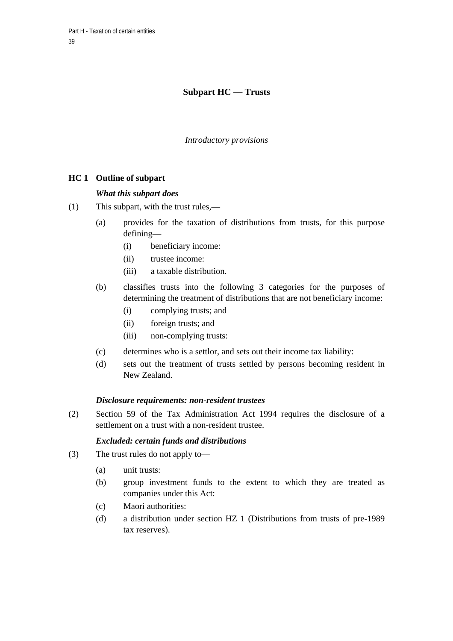# **Subpart HC — Trusts**

*Introductory provisions* 

# **HC 1 Outline of subpart**

### *What this subpart does*

- (1) This subpart, with the trust rules,—
	- (a) provides for the taxation of distributions from trusts, for this purpose defining—
		- (i) beneficiary income:
		- (ii) trustee income:
		- (iii) a taxable distribution.
	- (b) classifies trusts into the following 3 categories for the purposes of determining the treatment of distributions that are not beneficiary income:
		- (i) complying trusts; and
		- (ii) foreign trusts; and
		- (iii) non-complying trusts:
	- (c) determines who is a settlor, and sets out their income tax liability:
	- (d) sets out the treatment of trusts settled by persons becoming resident in New Zealand.

### *Disclosure requirements: non-resident trustees*

(2) Section 59 of the Tax Administration Act 1994 requires the disclosure of a settlement on a trust with a non-resident trustee.

### *Excluded: certain funds and distributions*

- (3) The trust rules do not apply to—
	- (a) unit trusts:
	- (b) group investment funds to the extent to which they are treated as companies under this Act:
	- (c) Maori authorities:
	- (d) a distribution under section HZ 1 (Distributions from trusts of pre-1989 tax reserves).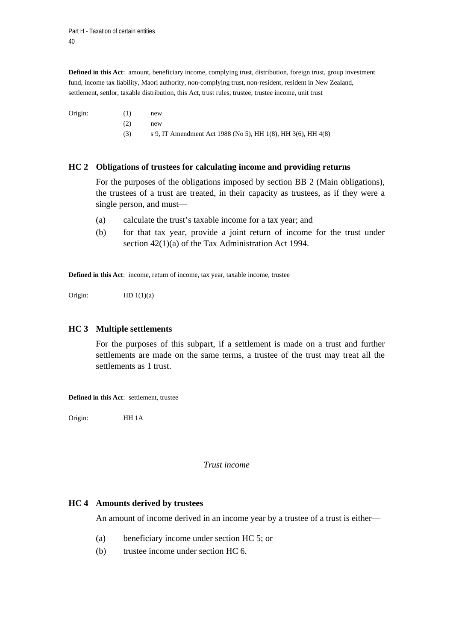**Defined in this Act**: amount, beneficiary income, complying trust, distribution, foreign trust, group investment fund, income tax liability, Maori authority, non-complying trust, non-resident, resident in New Zealand, settlement, settlor, taxable distribution, this Act, trust rules, trustee, trustee income, unit trust

Origin: (1) new (2) new (3) s 9, IT Amendment Act 1988 (No 5), HH 1(8), HH 3(6), HH 4(8)

### **HC 2 Obligations of trustees for calculating income and providing returns**

 For the purposes of the obligations imposed by section BB 2 (Main obligations), the trustees of a trust are treated, in their capacity as trustees, as if they were a single person, and must—

- (a) calculate the trust's taxable income for a tax year; and
- (b) for that tax year, provide a joint return of income for the trust under section 42(1)(a) of the Tax Administration Act 1994.

**Defined in this Act**: income, return of income, tax year, taxable income, trustee

Origin:  $HD 1(1)(a)$ 

### **HC 3 Multiple settlements**

For the purposes of this subpart, if a settlement is made on a trust and further settlements are made on the same terms, a trustee of the trust may treat all the settlements as 1 trust.

**Defined in this Act**: settlement, trustee

Origin: HH 1A

#### *Trust income*

### **HC 4 Amounts derived by trustees**

An amount of income derived in an income year by a trustee of a trust is either—

- (a) beneficiary income under section HC 5; or
- (b) trustee income under section HC 6.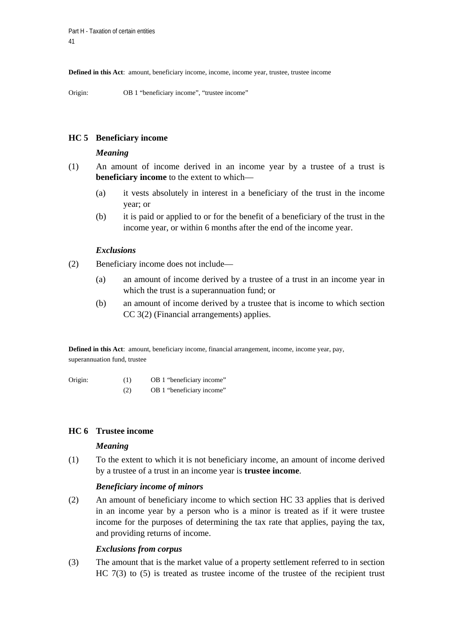**Defined in this Act**: amount, beneficiary income, income, income year, trustee, trustee income

Origin: OB 1 "beneficiary income", "trustee income"

## **HC 5 Beneficiary income**

#### *Meaning*

- (1) An amount of income derived in an income year by a trustee of a trust is **beneficiary income** to the extent to which—
	- (a) it vests absolutely in interest in a beneficiary of the trust in the income year; or
	- (b) it is paid or applied to or for the benefit of a beneficiary of the trust in the income year, or within 6 months after the end of the income year.

### *Exclusions*

- (2) Beneficiary income does not include—
	- (a) an amount of income derived by a trustee of a trust in an income year in which the trust is a superannuation fund; or
	- (b) an amount of income derived by a trustee that is income to which section CC 3(2) (Financial arrangements) applies.

**Defined in this Act**: amount, beneficiary income, financial arrangement, income, income year, pay, superannuation fund, trustee

Origin: (1) OB 1 "beneficiary income"

(2) OB 1 "beneficiary income"

## **HC 6 Trustee income**

### *Meaning*

(1) To the extent to which it is not beneficiary income, an amount of income derived by a trustee of a trust in an income year is **trustee income**.

### *Beneficiary income of minors*

(2) An amount of beneficiary income to which section HC 33 applies that is derived in an income year by a person who is a minor is treated as if it were trustee income for the purposes of determining the tax rate that applies, paying the tax, and providing returns of income.

### *Exclusions from corpus*

(3) The amount that is the market value of a property settlement referred to in section HC 7(3) to (5) is treated as trustee income of the trustee of the recipient trust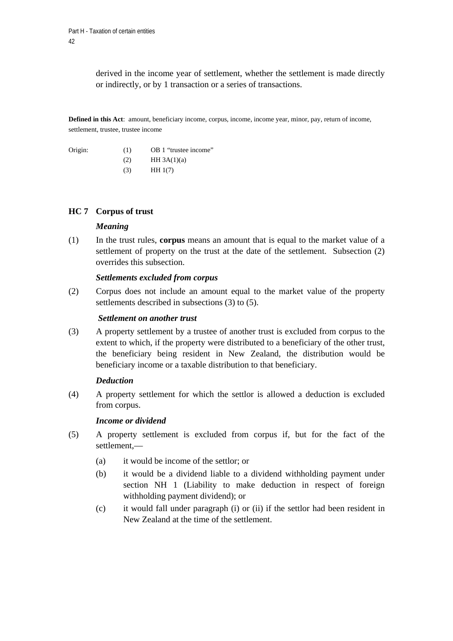derived in the income year of settlement, whether the settlement is made directly or indirectly, or by 1 transaction or a series of transactions.

**Defined in this Act**: amount, beneficiary income, corpus, income, income year, minor, pay, return of income, settlement, trustee, trustee income

| Origin: | (1) | OB 1 "trustee income" |
|---------|-----|-----------------------|
|         | (2) | HH $3A(1)(a)$         |
|         | (3) | HH1(7)                |

## **HC 7 Corpus of trust**

### *Meaning*

(1) In the trust rules, **corpus** means an amount that is equal to the market value of a settlement of property on the trust at the date of the settlement. Subsection (2) overrides this subsection.

#### *Settlements excluded from corpus*

(2) Corpus does not include an amount equal to the market value of the property settlements described in subsections (3) to (5).

#### *Settlement on another trust*

(3) A property settlement by a trustee of another trust is excluded from corpus to the extent to which, if the property were distributed to a beneficiary of the other trust, the beneficiary being resident in New Zealand, the distribution would be beneficiary income or a taxable distribution to that beneficiary.

#### *Deduction*

(4) A property settlement for which the settlor is allowed a deduction is excluded from corpus.

### *Income or dividend*

- (5) A property settlement is excluded from corpus if, but for the fact of the settlement,—
	- (a) it would be income of the settlor; or
	- (b) it would be a dividend liable to a dividend withholding payment under section NH 1 (Liability to make deduction in respect of foreign withholding payment dividend); or
	- (c) it would fall under paragraph (i) or (ii) if the settlor had been resident in New Zealand at the time of the settlement.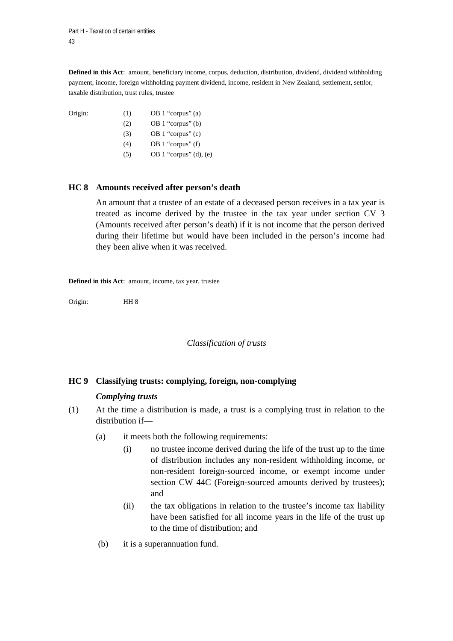Origin:

**Defined in this Act**: amount, beneficiary income, corpus, deduction, distribution, dividend, dividend withholding payment, income, foreign withholding payment dividend, income, resident in New Zealand, settlement, settlor, taxable distribution, trust rules, trustee

| (1) | OB 1 "corpus" (a)   |
|-----|---------------------|
| (2) | OB 1 "corpus" $(b)$ |
| (3) | OB 1 "corpus" (c)   |
| (4) | OB 1 "corpus" $(f)$ |
|     |                     |

(5) OB 1 "corpus" (d), (e)

## **HC 8 Amounts received after person's death**

An amount that a trustee of an estate of a deceased person receives in a tax year is treated as income derived by the trustee in the tax year under section CV 3 (Amounts received after person's death) if it is not income that the person derived during their lifetime but would have been included in the person's income had they been alive when it was received.

**Defined in this Act**: amount, income, tax year, trustee

Origin: HH 8

### *Classification of trusts*

## **HC 9 Classifying trusts: complying, foreign, non-complying**

### *Complying trusts*

- (1) At the time a distribution is made, a trust is a complying trust in relation to the distribution if—
	- (a) it meets both the following requirements:
		- (i) no trustee income derived during the life of the trust up to the time of distribution includes any non-resident withholding income, or non-resident foreign-sourced income, or exempt income under section CW 44C (Foreign-sourced amounts derived by trustees); and
		- (ii) the tax obligations in relation to the trustee's income tax liability have been satisfied for all income years in the life of the trust up to the time of distribution; and
	- (b) it is a superannuation fund.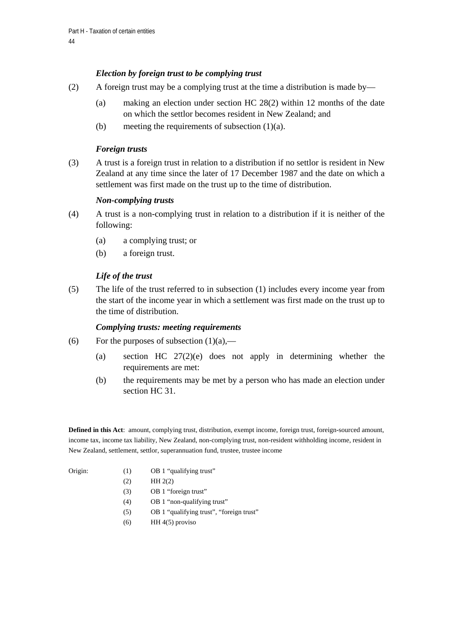## *Election by foreign trust to be complying trust*

- (2) A foreign trust may be a complying trust at the time a distribution is made by—
	- (a) making an election under section HC 28(2) within 12 months of the date on which the settlor becomes resident in New Zealand; and
	- (b) meeting the requirements of subsection  $(1)(a)$ .

## *Foreign trusts*

(3) A trust is a foreign trust in relation to a distribution if no settlor is resident in New Zealand at any time since the later of 17 December 1987 and the date on which a settlement was first made on the trust up to the time of distribution.

## *Non-complying trusts*

- (4) A trust is a non-complying trust in relation to a distribution if it is neither of the following:
	- (a) a complying trust; or
	- (b) a foreign trust.

## *Life of the trust*

(5) The life of the trust referred to in subsection (1) includes every income year from the start of the income year in which a settlement was first made on the trust up to the time of distribution.

### *Complying trusts: meeting requirements*

- (6) For the purposes of subsection  $(1)(a)$ ,—
	- (a) section HC 27(2)(e) does not apply in determining whether the requirements are met:
	- (b) the requirements may be met by a person who has made an election under section HC 31.

**Defined in this Act**: amount, complying trust, distribution, exempt income, foreign trust, foreign-sourced amount, income tax, income tax liability, New Zealand, non-complying trust, non-resident withholding income, resident in New Zealand, settlement, settlor, superannuation fund, trustee, trustee income

- 
- Origin: (1) OB 1 "qualifying trust"
	- $(HH 2(2))$
	- (3) OB 1 "foreign trust"
	- (4) OB 1 "non-qualifying trust"
	- (5) OB 1 "qualifying trust", "foreign trust"
	- $(HH 4(5)$  proviso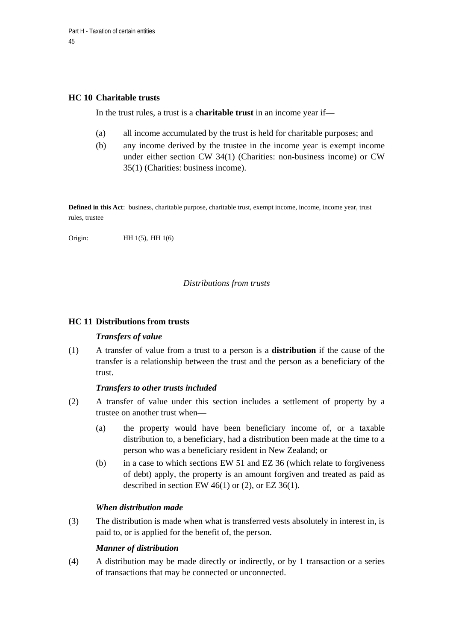## **HC 10 Charitable trusts**

In the trust rules, a trust is a **charitable trust** in an income year if—

- (a) all income accumulated by the trust is held for charitable purposes; and
- (b) any income derived by the trustee in the income year is exempt income under either section CW 34(1) (Charities: non-business income) or CW 35(1) (Charities: business income).

**Defined in this Act**: business, charitable purpose, charitable trust, exempt income, income, income year, trust rules, trustee

Origin: **HH 1(5)**, **HH 1(6)** 

## *Distributions from trusts*

## **HC 11 Distributions from trusts**

## *Transfers of value*

(1) A transfer of value from a trust to a person is a **distribution** if the cause of the transfer is a relationship between the trust and the person as a beneficiary of the trust.

## *Transfers to other trusts included*

- (2) A transfer of value under this section includes a settlement of property by a trustee on another trust when—
	- (a) the property would have been beneficiary income of, or a taxable distribution to, a beneficiary, had a distribution been made at the time to a person who was a beneficiary resident in New Zealand; or
	- (b) in a case to which sections EW 51 and EZ 36 (which relate to forgiveness of debt) apply, the property is an amount forgiven and treated as paid as described in section EW  $46(1)$  or (2), or EZ  $36(1)$ .

## *When distribution made*

(3) The distribution is made when what is transferred vests absolutely in interest in, is paid to, or is applied for the benefit of, the person.

### *Manner of distribution*

(4) A distribution may be made directly or indirectly, or by 1 transaction or a series of transactions that may be connected or unconnected.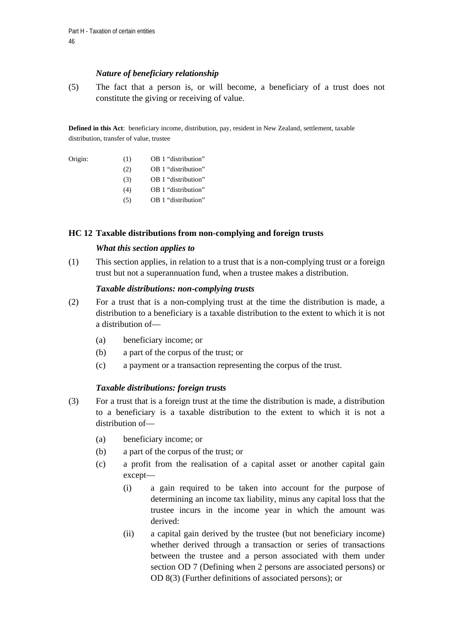## *Nature of beneficiary relationship*

(5) The fact that a person is, or will become, a beneficiary of a trust does not constitute the giving or receiving of value.

**Defined in this Act**: beneficiary income, distribution, pay, resident in New Zealand, settlement, taxable distribution, transfer of value, trustee

| Origin: | (1) | OB 1 "distribution" |
|---------|-----|---------------------|
|         | (2) | OB 1 "distribution" |
|         | (3) | OB 1 "distribution" |
|         | (4) | OB 1 "distribution" |
|         | (5) | OB 1 "distribution" |

### **HC 12 Taxable distributions from non-complying and foreign trusts**

### *What this section applies to*

(1) This section applies, in relation to a trust that is a non-complying trust or a foreign trust but not a superannuation fund, when a trustee makes a distribution.

## *Taxable distributions: non-complying trusts*

- (2) For a trust that is a non-complying trust at the time the distribution is made, a distribution to a beneficiary is a taxable distribution to the extent to which it is not a distribution of—
	- (a) beneficiary income; or
	- (b) a part of the corpus of the trust; or
	- (c) a payment or a transaction representing the corpus of the trust.

## *Taxable distributions: foreign trusts*

- (3) For a trust that is a foreign trust at the time the distribution is made, a distribution to a beneficiary is a taxable distribution to the extent to which it is not a distribution of—
	- (a) beneficiary income; or
	- (b) a part of the corpus of the trust; or
	- (c) a profit from the realisation of a capital asset or another capital gain except—
		- (i) a gain required to be taken into account for the purpose of determining an income tax liability, minus any capital loss that the trustee incurs in the income year in which the amount was derived:
		- (ii) a capital gain derived by the trustee (but not beneficiary income) whether derived through a transaction or series of transactions between the trustee and a person associated with them under section OD 7 (Defining when 2 persons are associated persons) or OD 8(3) (Further definitions of associated persons); or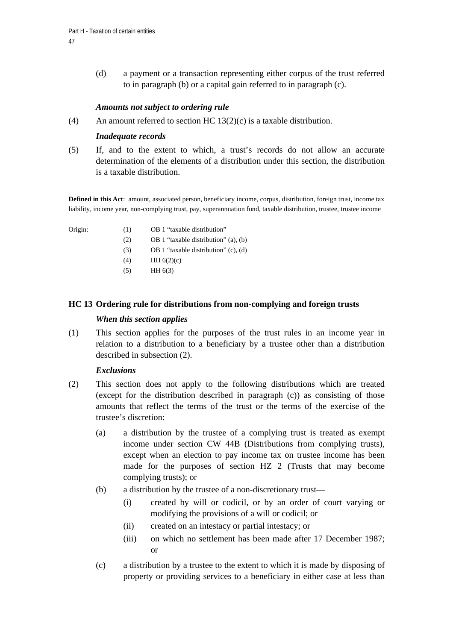(d) a payment or a transaction representing either corpus of the trust referred to in paragraph (b) or a capital gain referred to in paragraph (c).

## *Amounts not subject to ordering rule*

(4) An amount referred to section HC  $13(2)(c)$  is a taxable distribution.

## *Inadequate records*

(5) If, and to the extent to which, a trust's records do not allow an accurate determination of the elements of a distribution under this section, the distribution is a taxable distribution.

**Defined in this Act**: amount, associated person, beneficiary income, corpus, distribution, foreign trust, income tax liability, income year, non-complying trust, pay, superannuation fund, taxable distribution, trustee, trustee income

- 
- Origin: (1) OB 1 "taxable distribution"
	- (2) OB 1 "taxable distribution" (a), (b)
	- (3) OB 1 "taxable distribution" (c), (d)
	- $(HH 6(2)(c))$
	- $(HH 6(3))$

## **HC 13 Ordering rule for distributions from non-complying and foreign trusts**

## *When this section applies*

(1) This section applies for the purposes of the trust rules in an income year in relation to a distribution to a beneficiary by a trustee other than a distribution described in subsection (2).

### *Exclusions*

- (2) This section does not apply to the following distributions which are treated (except for the distribution described in paragraph (c)) as consisting of those amounts that reflect the terms of the trust or the terms of the exercise of the trustee's discretion:
	- (a) a distribution by the trustee of a complying trust is treated as exempt income under section CW 44B (Distributions from complying trusts), except when an election to pay income tax on trustee income has been made for the purposes of section HZ 2 (Trusts that may become complying trusts); or
	- (b) a distribution by the trustee of a non-discretionary trust—
		- (i) created by will or codicil, or by an order of court varying or modifying the provisions of a will or codicil; or
		- (ii) created on an intestacy or partial intestacy; or
		- (iii) on which no settlement has been made after 17 December 1987; or
	- (c) a distribution by a trustee to the extent to which it is made by disposing of property or providing services to a beneficiary in either case at less than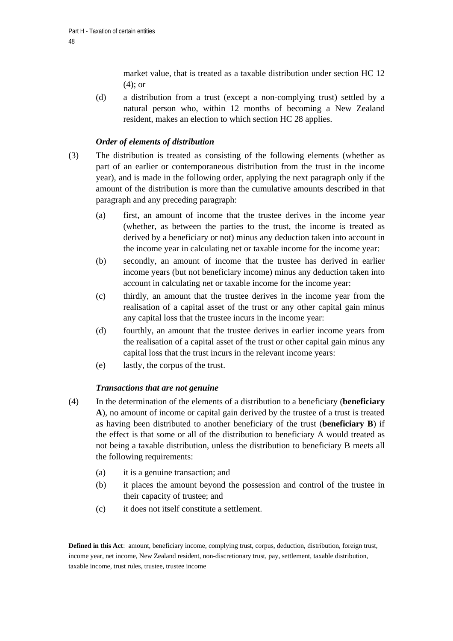market value, that is treated as a taxable distribution under section HC 12 (4); or

(d) a distribution from a trust (except a non-complying trust) settled by a natural person who, within 12 months of becoming a New Zealand resident, makes an election to which section HC 28 applies.

# *Order of elements of distribution*

- (3) The distribution is treated as consisting of the following elements (whether as part of an earlier or contemporaneous distribution from the trust in the income year), and is made in the following order, applying the next paragraph only if the amount of the distribution is more than the cumulative amounts described in that paragraph and any preceding paragraph:
	- (a) first, an amount of income that the trustee derives in the income year (whether, as between the parties to the trust, the income is treated as derived by a beneficiary or not) minus any deduction taken into account in the income year in calculating net or taxable income for the income year:
	- (b) secondly, an amount of income that the trustee has derived in earlier income years (but not beneficiary income) minus any deduction taken into account in calculating net or taxable income for the income year:
	- (c) thirdly, an amount that the trustee derives in the income year from the realisation of a capital asset of the trust or any other capital gain minus any capital loss that the trustee incurs in the income year:
	- (d) fourthly, an amount that the trustee derives in earlier income years from the realisation of a capital asset of the trust or other capital gain minus any capital loss that the trust incurs in the relevant income years:
	- (e) lastly, the corpus of the trust.

## *Transactions that are not genuine*

- (4) In the determination of the elements of a distribution to a beneficiary (**beneficiary A**), no amount of income or capital gain derived by the trustee of a trust is treated as having been distributed to another beneficiary of the trust (**beneficiary B**) if the effect is that some or all of the distribution to beneficiary A would treated as not being a taxable distribution, unless the distribution to beneficiary B meets all the following requirements:
	- (a) it is a genuine transaction; and
	- (b) it places the amount beyond the possession and control of the trustee in their capacity of trustee; and
	- (c) it does not itself constitute a settlement.

**Defined in this Act**: amount, beneficiary income, complying trust, corpus, deduction, distribution, foreign trust, income year, net income, New Zealand resident, non-discretionary trust, pay, settlement, taxable distribution, taxable income, trust rules, trustee, trustee income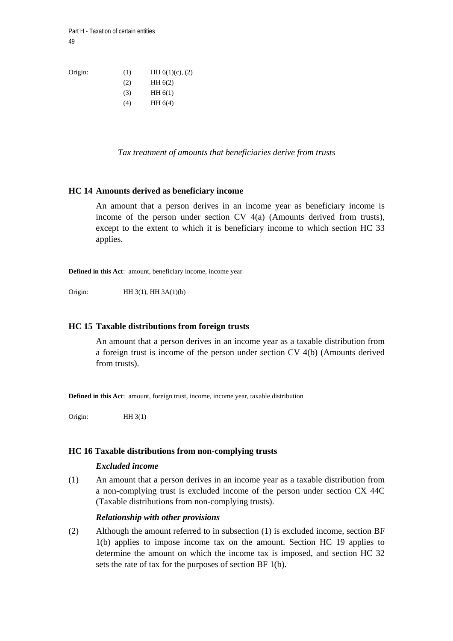Origin: (1) HH  $6(1)(c)$ , (2) (2) HH 6(2)  $(HH 6(1))$ 

- $(H)$  HH 6(4)
- *Tax treatment of amounts that beneficiaries derive from trusts*

### **HC 14 Amounts derived as beneficiary income**

An amount that a person derives in an income year as beneficiary income is income of the person under section CV 4(a) (Amounts derived from trusts), except to the extent to which it is beneficiary income to which section HC 33 applies.

**Defined in this Act**: amount, beneficiary income, income year

Origin: HH 3(1), HH 3A(1)(b)

#### **HC 15 Taxable distributions from foreign trusts**

An amount that a person derives in an income year as a taxable distribution from a foreign trust is income of the person under section CV 4(b) (Amounts derived from trusts).

**Defined in this Act**: amount, foreign trust, income, income year, taxable distribution

Origin: HH 3(1)

#### **HC 16 Taxable distributions from non-complying trusts**

#### *Excluded income*

(1) An amount that a person derives in an income year as a taxable distribution from a non-complying trust is excluded income of the person under section CX 44C (Taxable distributions from non-complying trusts).

#### *Relationship with other provisions*

(2) Although the amount referred to in subsection (1) is excluded income, section BF 1(b) applies to impose income tax on the amount. Section HC 19 applies to determine the amount on which the income tax is imposed, and section HC 32 sets the rate of tax for the purposes of section BF 1(b).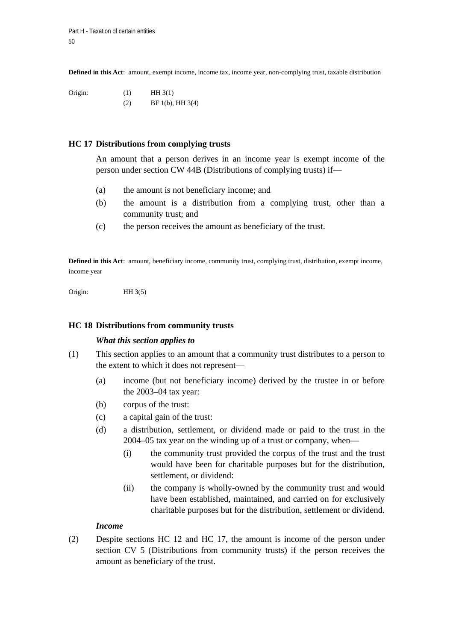**Defined in this Act**: amount, exempt income, income tax, income year, non-complying trust, taxable distribution

Origin:  $(1)$  HH 3(1) (2) BF 1(b), HH 3(4)

#### **HC 17 Distributions from complying trusts**

An amount that a person derives in an income year is exempt income of the person under section CW 44B (Distributions of complying trusts) if—

- (a) the amount is not beneficiary income; and
- (b) the amount is a distribution from a complying trust, other than a community trust; and
- (c) the person receives the amount as beneficiary of the trust.

**Defined in this Act**: amount, beneficiary income, community trust, complying trust, distribution, exempt income, income year

Origin: HH 3(5)

#### **HC 18 Distributions from community trusts**

#### *What this section applies to*

- (1) This section applies to an amount that a community trust distributes to a person to the extent to which it does not represent—
	- (a) income (but not beneficiary income) derived by the trustee in or before the 2003–04 tax year:
	- (b) corpus of the trust:
	- (c) a capital gain of the trust:
	- (d) a distribution, settlement, or dividend made or paid to the trust in the 2004–05 tax year on the winding up of a trust or company, when—
		- (i) the community trust provided the corpus of the trust and the trust would have been for charitable purposes but for the distribution, settlement, or dividend:
		- (ii) the company is wholly-owned by the community trust and would have been established, maintained, and carried on for exclusively charitable purposes but for the distribution, settlement or dividend.

#### *Income*

(2) Despite sections HC 12 and HC 17, the amount is income of the person under section CV 5 (Distributions from community trusts) if the person receives the amount as beneficiary of the trust.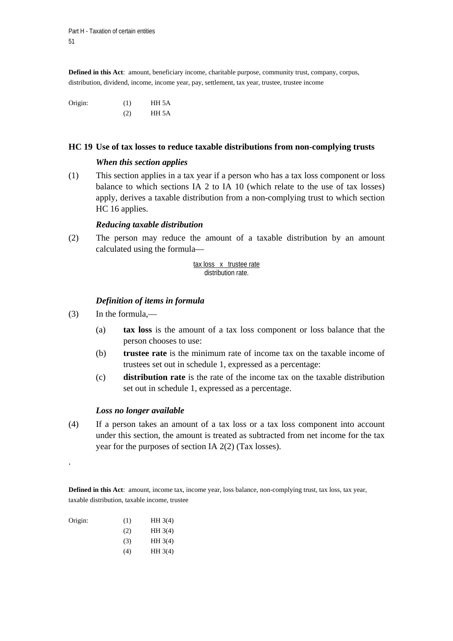**Defined in this Act**: amount, beneficiary income, charitable purpose, community trust, company, corpus, distribution, dividend, income, income year, pay, settlement, tax year, trustee, trustee income

Origin: (1) HH 5A (2) HH 5A

#### **HC 19 Use of tax losses to reduce taxable distributions from non-complying trusts**

#### *When this section applies*

(1) This section applies in a tax year if a person who has a tax loss component or loss balance to which sections IA 2 to IA 10 (which relate to the use of tax losses) apply, derives a taxable distribution from a non-complying trust to which section HC 16 applies.

### *Reducing taxable distribution*

(2) The person may reduce the amount of a taxable distribution by an amount calculated using the formula—

> tax loss x trustee rate distribution rate.

## *Definition of items in formula*

- (3) In the formula,—
	- (a) **tax loss** is the amount of a tax loss component or loss balance that the person chooses to use:
	- (b) **trustee rate** is the minimum rate of income tax on the taxable income of trustees set out in schedule 1, expressed as a percentage:
	- (c) **distribution rate** is the rate of the income tax on the taxable distribution set out in schedule 1, expressed as a percentage.

### *Loss no longer available*

(4) If a person takes an amount of a tax loss or a tax loss component into account under this section, the amount is treated as subtracted from net income for the tax year for the purposes of section IA 2(2) (Tax losses).

**Defined in this Act**: amount, income tax, income year, loss balance, non-complying trust, tax loss, tax year, taxable distribution, taxable income, trustee

| (1) | HH3(4) |
|-----|--------|
| (2) | HH3(4) |
| (3) | HH3(4) |
| (4) | HH3(4) |
|     |        |

.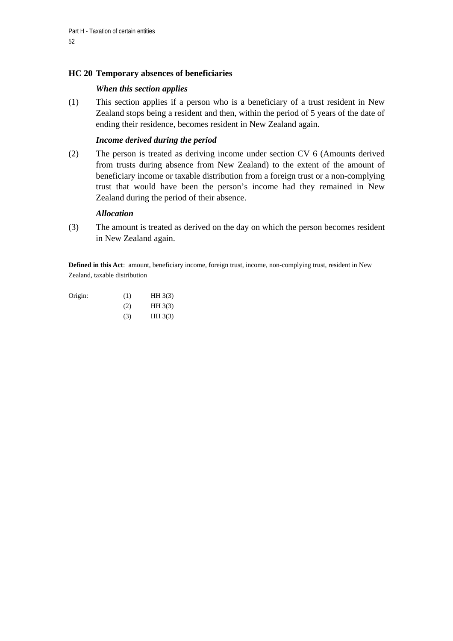# **HC 20 Temporary absences of beneficiaries**

## *When this section applies*

(1) This section applies if a person who is a beneficiary of a trust resident in New Zealand stops being a resident and then, within the period of 5 years of the date of ending their residence, becomes resident in New Zealand again.

## *Income derived during the period*

(2) The person is treated as deriving income under section CV 6 (Amounts derived from trusts during absence from New Zealand) to the extent of the amount of beneficiary income or taxable distribution from a foreign trust or a non-complying trust that would have been the person's income had they remained in New Zealand during the period of their absence.

### *Allocation*

(3) The amount is treated as derived on the day on which the person becomes resident in New Zealand again.

**Defined in this Act**: amount, beneficiary income, foreign trust, income, non-complying trust, resident in New Zealand, taxable distribution

| Origin: | (1) | HH3(3) |
|---------|-----|--------|
|         | (2) | HH3(3) |

 $(HH 3(3))$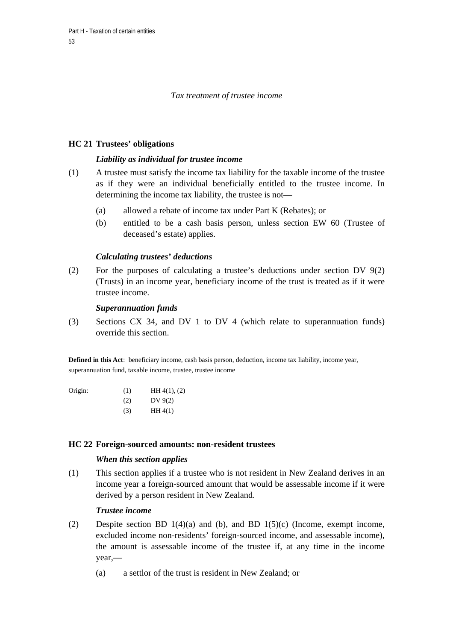## *Tax treatment of trustee income*

## **HC 21 Trustees' obligations**

## *Liability as individual for trustee income*

- (1) A trustee must satisfy the income tax liability for the taxable income of the trustee as if they were an individual beneficially entitled to the trustee income. In determining the income tax liability, the trustee is not—
	- (a) allowed a rebate of income tax under Part K (Rebates); or
	- (b) entitled to be a cash basis person, unless section EW 60 (Trustee of deceased's estate) applies.

## *Calculating trustees' deductions*

(2) For the purposes of calculating a trustee's deductions under section DV 9(2) (Trusts) in an income year, beneficiary income of the trust is treated as if it were trustee income.

### *Superannuation funds*

(3) Sections CX 34, and DV 1 to DV 4 (which relate to superannuation funds) override this section.

**Defined in this Act**: beneficiary income, cash basis person, deduction, income tax liability, income year, superannuation fund, taxable income, trustee, trustee income

| Origin: | (1) | HH 4(1), (2) |
|---------|-----|--------------|
|         | (2) | DV $9(2)$    |
|         | (3) | HH4(1)       |

### **HC 22 Foreign-sourced amounts: non-resident trustees**

### *When this section applies*

(1) This section applies if a trustee who is not resident in New Zealand derives in an income year a foreign-sourced amount that would be assessable income if it were derived by a person resident in New Zealand.

### *Trustee income*

- (2) Despite section BD 1(4)(a) and (b), and BD 1(5)(c) (Income, exempt income, excluded income non-residents' foreign-sourced income, and assessable income), the amount is assessable income of the trustee if, at any time in the income year,—
	- (a) a settlor of the trust is resident in New Zealand; or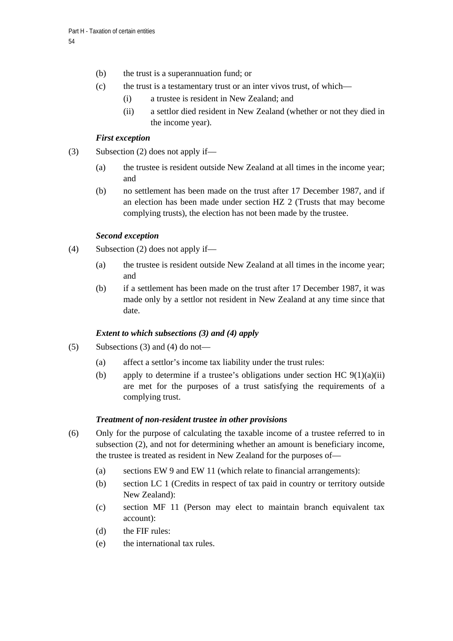- (b) the trust is a superannuation fund; or
- (c) the trust is a testamentary trust or an inter vivos trust, of which—
	- (i) a trustee is resident in New Zealand; and
	- (ii) a settlor died resident in New Zealand (whether or not they died in the income year).

## *First exception*

- (3) Subsection (2) does not apply if—
	- (a) the trustee is resident outside New Zealand at all times in the income year; and
	- (b) no settlement has been made on the trust after 17 December 1987, and if an election has been made under section HZ 2 (Trusts that may become complying trusts), the election has not been made by the trustee.

## *Second exception*

- (4) Subsection (2) does not apply if—
	- (a) the trustee is resident outside New Zealand at all times in the income year; and
	- (b) if a settlement has been made on the trust after 17 December 1987, it was made only by a settlor not resident in New Zealand at any time since that date.

## *Extent to which subsections (3) and (4) apply*

- $(5)$  Subsections (3) and (4) do not—
	- (a) affect a settlor's income tax liability under the trust rules:
	- (b) apply to determine if a trustee's obligations under section HC  $9(1)(a)(ii)$ are met for the purposes of a trust satisfying the requirements of a complying trust.

### *Treatment of non-resident trustee in other provisions*

- (6) Only for the purpose of calculating the taxable income of a trustee referred to in subsection (2), and not for determining whether an amount is beneficiary income, the trustee is treated as resident in New Zealand for the purposes of—
	- (a) sections EW 9 and EW 11 (which relate to financial arrangements):
	- (b) section LC 1 (Credits in respect of tax paid in country or territory outside New Zealand):
	- (c) section MF 11 (Person may elect to maintain branch equivalent tax account):
	- (d) the FIF rules:
	- (e) the international tax rules.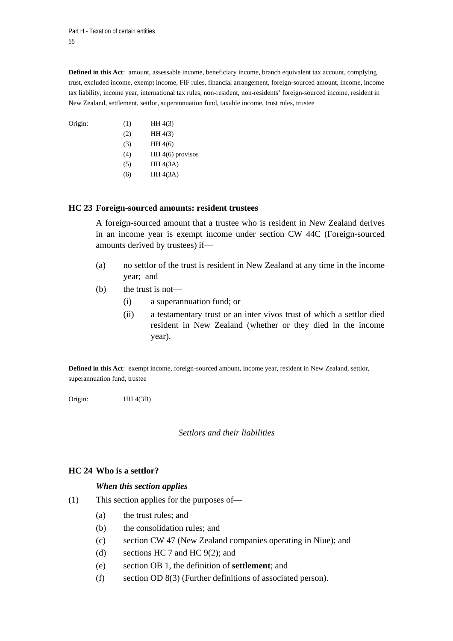Origin:

**Defined in this Act**: amount, assessable income, beneficiary income, branch equivalent tax account, complying trust, excluded income, exempt income, FIF rules, financial arrangement, foreign-sourced amount, income, income tax liability, income year, international tax rules, non-resident, non-residents' foreign-sourced income, resident in New Zealand, settlement, settlor, superannuation fund, taxable income, trust rules, trustee

| Origin: | (1) | HH 4(3)            |
|---------|-----|--------------------|
|         | (2) | HH 4(3)            |
|         | (3) | HH4(6)             |
|         | (4) | HH $4(6)$ provisos |
|         | (5) | HH 4(3A)           |
|         | (6) | HH 4(3A)           |

### **HC 23 Foreign-sourced amounts: resident trustees**

A foreign-sourced amount that a trustee who is resident in New Zealand derives in an income year is exempt income under section CW 44C (Foreign-sourced amounts derived by trustees) if—

- (a) no settlor of the trust is resident in New Zealand at any time in the income year; and
- (b) the trust is not—
	- (i) a superannuation fund; or
	- (ii) a testamentary trust or an inter vivos trust of which a settlor died resident in New Zealand (whether or they died in the income year).

**Defined in this Act**: exempt income, foreign-sourced amount, income year, resident in New Zealand, settlor, superannuation fund, trustee

Origin: HH 4(3B)

### *Settlors and their liabilities*

## **HC 24 Who is a settlor?**

### *When this section applies*

- (1) This section applies for the purposes of—
	- (a) the trust rules; and
	- (b) the consolidation rules; and
	- (c) section CW 47 (New Zealand companies operating in Niue); and
	- (d) sections HC 7 and HC 9(2); and
	- (e) section OB 1, the definition of **settlement**; and
	- (f) section OD 8(3) (Further definitions of associated person).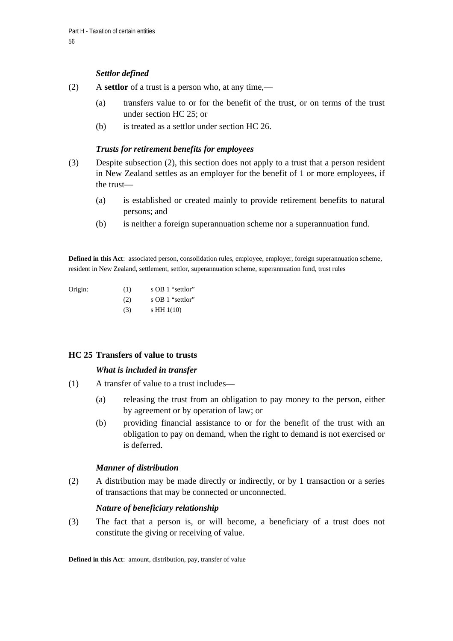## *Settlor defined*

- (2) A **settlor** of a trust is a person who, at any time,—
	- (a) transfers value to or for the benefit of the trust, or on terms of the trust under section HC 25; or
	- (b) is treated as a settlor under section HC 26.

## *Trusts for retirement benefits for employees*

- (3) Despite subsection (2), this section does not apply to a trust that a person resident in New Zealand settles as an employer for the benefit of 1 or more employees, if the trust—
	- (a) is established or created mainly to provide retirement benefits to natural persons; and
	- (b) is neither a foreign superannuation scheme nor a superannuation fund.

**Defined in this Act**: associated person, consolidation rules, employee, employer, foreign superannuation scheme, resident in New Zealand, settlement, settlor, superannuation scheme, superannuation fund, trust rules

| Origin: | (1) | s OB 1 "settlor" |
|---------|-----|------------------|
|         | (2) | s OB 1 "settlor" |
|         | (3) | s HH $1(10)$     |

## **HC 25 Transfers of value to trusts**

### *What is included in transfer*

- (1) A transfer of value to a trust includes—
	- (a) releasing the trust from an obligation to pay money to the person, either by agreement or by operation of law; or
	- (b) providing financial assistance to or for the benefit of the trust with an obligation to pay on demand, when the right to demand is not exercised or is deferred.

### *Manner of distribution*

(2) A distribution may be made directly or indirectly, or by 1 transaction or a series of transactions that may be connected or unconnected.

### *Nature of beneficiary relationship*

(3) The fact that a person is, or will become, a beneficiary of a trust does not constitute the giving or receiving of value.

**Defined in this Act**: amount, distribution, pay, transfer of value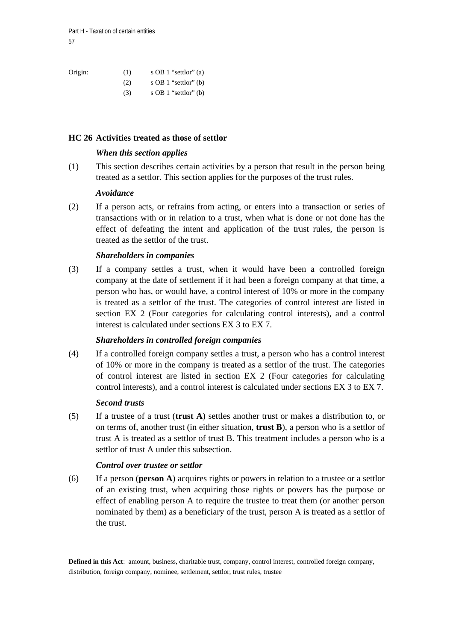Origin: (1) s OB 1 "settlor" (a) (2)  $s$  OB 1 "settlor" (b)  $(3)$  s OB 1 "settlor" (b)

## **HC 26 Activities treated as those of settlor**

## *When this section applies*

(1) This section describes certain activities by a person that result in the person being treated as a settlor. This section applies for the purposes of the trust rules.

### *Avoidance*

(2) If a person acts, or refrains from acting, or enters into a transaction or series of transactions with or in relation to a trust, when what is done or not done has the effect of defeating the intent and application of the trust rules, the person is treated as the settlor of the trust.

## *Shareholders in companies*

(3) If a company settles a trust, when it would have been a controlled foreign company at the date of settlement if it had been a foreign company at that time, a person who has, or would have, a control interest of 10% or more in the company is treated as a settlor of the trust. The categories of control interest are listed in section EX 2 (Four categories for calculating control interests), and a control interest is calculated under sections EX 3 to EX 7.

## *Shareholders in controlled foreign companies*

(4) If a controlled foreign company settles a trust, a person who has a control interest of 10% or more in the company is treated as a settlor of the trust. The categories of control interest are listed in section EX 2 (Four categories for calculating control interests), and a control interest is calculated under sections EX 3 to EX 7.

### *Second trusts*

(5) If a trustee of a trust (**trust A**) settles another trust or makes a distribution to, or on terms of, another trust (in either situation, **trust B**), a person who is a settlor of trust A is treated as a settlor of trust B. This treatment includes a person who is a settlor of trust A under this subsection.

## *Control over trustee or settlor*

(6) If a person (**person A**) acquires rights or powers in relation to a trustee or a settlor of an existing trust, when acquiring those rights or powers has the purpose or effect of enabling person A to require the trustee to treat them (or another person nominated by them) as a beneficiary of the trust, person A is treated as a settlor of the trust.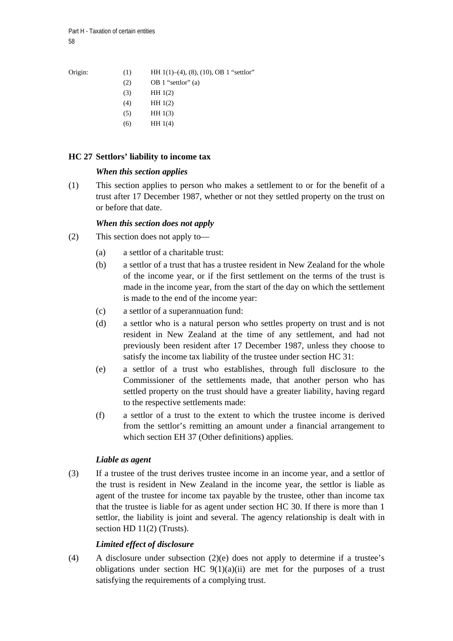| Origin: |  | HH $1(1)$ –(4), (8), (10), OB 1 "settlor" |
|---------|--|-------------------------------------------|
|---------|--|-------------------------------------------|

- $(2)$  OB 1 "settlor" (a)
- (3) HH 1(2)
- (4) HH 1(2)
- (5) HH 1(3)
- (6) HH 1(4)

# **HC 27 Settlors' liability to income tax**

# *When this section applies*

(1) This section applies to person who makes a settlement to or for the benefit of a trust after 17 December 1987, whether or not they settled property on the trust on or before that date.

# *When this section does not apply*

- (2) This section does not apply to—
	- (a) a settlor of a charitable trust:
	- (b) a settlor of a trust that has a trustee resident in New Zealand for the whole of the income year, or if the first settlement on the terms of the trust is made in the income year, from the start of the day on which the settlement is made to the end of the income year:
	- (c) a settlor of a superannuation fund:
	- (d) a settlor who is a natural person who settles property on trust and is not resident in New Zealand at the time of any settlement, and had not previously been resident after 17 December 1987, unless they choose to satisfy the income tax liability of the trustee under section HC 31:
	- (e) a settlor of a trust who establishes, through full disclosure to the Commissioner of the settlements made, that another person who has settled property on the trust should have a greater liability, having regard to the respective settlements made:
	- (f) a settlor of a trust to the extent to which the trustee income is derived from the settlor's remitting an amount under a financial arrangement to which section EH 37 (Other definitions) applies.

# *Liable as agent*

(3) If a trustee of the trust derives trustee income in an income year, and a settlor of the trust is resident in New Zealand in the income year, the settlor is liable as agent of the trustee for income tax payable by the trustee, other than income tax that the trustee is liable for as agent under section HC 30. If there is more than 1 settlor, the liability is joint and several. The agency relationship is dealt with in section HD 11(2) (Trusts).

# *Limited effect of disclosure*

(4) A disclosure under subsection (2)(e) does not apply to determine if a trustee's obligations under section HC  $9(1)(a)(ii)$  are met for the purposes of a trust satisfying the requirements of a complying trust.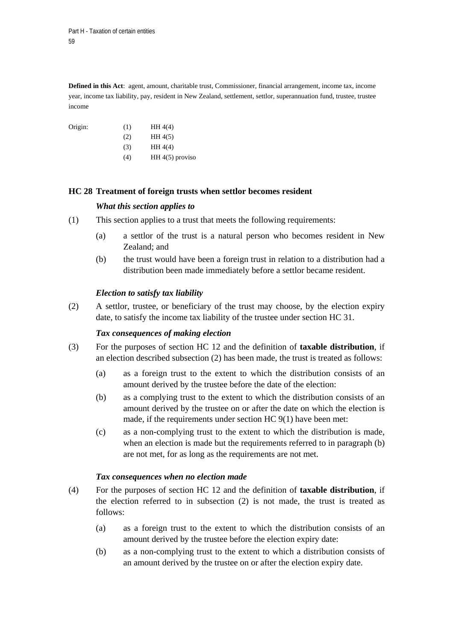**Defined in this Act**: agent, amount, charitable trust, Commissioner, financial arrangement, income tax, income year, income tax liability, pay, resident in New Zealand, settlement, settlor, superannuation fund, trustee, trustee income

Origin:  $(1)$  HH 4(4)  $(HH 4(5))$  $(HH 4(4))$  $(HH 4(5)$  proviso

## **HC 28 Treatment of foreign trusts when settlor becomes resident**

## *What this section applies to*

- (1) This section applies to a trust that meets the following requirements:
	- (a) a settlor of the trust is a natural person who becomes resident in New Zealand; and
	- (b) the trust would have been a foreign trust in relation to a distribution had a distribution been made immediately before a settlor became resident.

## *Election to satisfy tax liability*

(2) A settlor, trustee, or beneficiary of the trust may choose, by the election expiry date, to satisfy the income tax liability of the trustee under section HC 31.

### *Tax consequences of making election*

- (3) For the purposes of section HC 12 and the definition of **taxable distribution**, if an election described subsection (2) has been made, the trust is treated as follows:
	- (a) as a foreign trust to the extent to which the distribution consists of an amount derived by the trustee before the date of the election:
	- (b) as a complying trust to the extent to which the distribution consists of an amount derived by the trustee on or after the date on which the election is made, if the requirements under section HC 9(1) have been met:
	- (c) as a non-complying trust to the extent to which the distribution is made, when an election is made but the requirements referred to in paragraph (b) are not met, for as long as the requirements are not met.

### *Tax consequences when no election made*

- (4) For the purposes of section HC 12 and the definition of **taxable distribution**, if the election referred to in subsection (2) is not made, the trust is treated as follows:
	- (a) as a foreign trust to the extent to which the distribution consists of an amount derived by the trustee before the election expiry date:
	- (b) as a non-complying trust to the extent to which a distribution consists of an amount derived by the trustee on or after the election expiry date.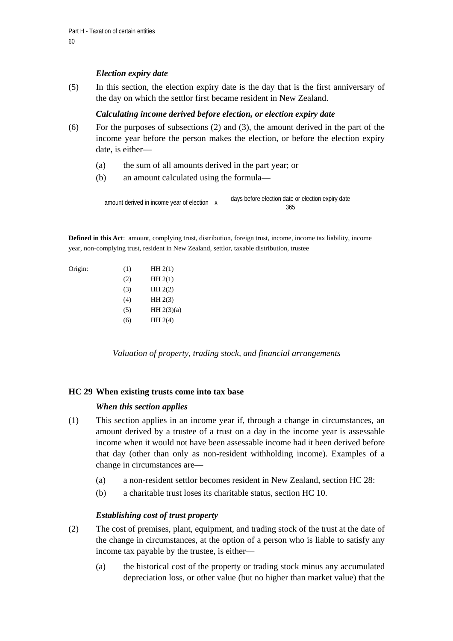# *Election expiry date*

(5) In this section, the election expiry date is the day that is the first anniversary of the day on which the settlor first became resident in New Zealand.

# *Calculating income derived before election, or election expiry date*

- (6) For the purposes of subsections (2) and (3), the amount derived in the part of the income year before the person makes the election, or before the election expiry date, is either—
	- (a) the sum of all amounts derived in the part year; or
	- (b) an amount calculated using the formula—

 days before election date or election expiry date amount derived in income year of election x<br>365

**Defined in this Act**: amount, complying trust, distribution, foreign trust, income, income tax liability, income year, non-complying trust, resident in New Zealand, settlor, taxable distribution, trustee

#### Origin: (1) HH 2(1)

| (2) | HH2(1)       |
|-----|--------------|
| (3) | HH 2(2)      |
| (4) | HH2(3)       |
| (5) | HH $2(3)(a)$ |
| (6) | HH 2(4)      |
|     |              |

*Valuation of property, trading stock, and financial arrangements* 

## **HC 29 When existing trusts come into tax base**

## *When this section applies*

- (1) This section applies in an income year if, through a change in circumstances, an amount derived by a trustee of a trust on a day in the income year is assessable income when it would not have been assessable income had it been derived before that day (other than only as non-resident withholding income). Examples of a change in circumstances are—
	- (a) a non-resident settlor becomes resident in New Zealand, section HC 28:
	- (b) a charitable trust loses its charitable status, section HC 10.

## *Establishing cost of trust property*

- (2) The cost of premises, plant, equipment, and trading stock of the trust at the date of the change in circumstances, at the option of a person who is liable to satisfy any income tax payable by the trustee, is either—
	- (a) the historical cost of the property or trading stock minus any accumulated depreciation loss, or other value (but no higher than market value) that the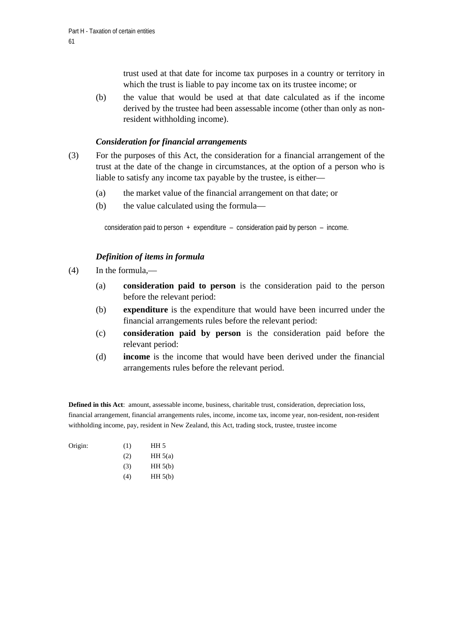trust used at that date for income tax purposes in a country or territory in which the trust is liable to pay income tax on its trustee income; or

(b) the value that would be used at that date calculated as if the income derived by the trustee had been assessable income (other than only as nonresident withholding income).

## *Consideration for financial arrangements*

- (3) For the purposes of this Act, the consideration for a financial arrangement of the trust at the date of the change in circumstances, at the option of a person who is liable to satisfy any income tax payable by the trustee, is either—
	- (a) the market value of the financial arrangement on that date; or
	- (b) the value calculated using the formula—

consideration paid to person  $+$  expenditure – consideration paid by person – income.

## *Definition of items in formula*

- (4) In the formula,—
	- (a) **consideration paid to person** is the consideration paid to the person before the relevant period:
	- (b) **expenditure** is the expenditure that would have been incurred under the financial arrangements rules before the relevant period:
	- (c) **consideration paid by person** is the consideration paid before the relevant period:
	- (d) **income** is the income that would have been derived under the financial arrangements rules before the relevant period.

**Defined in this Act**: amount, assessable income, business, charitable trust, consideration, depreciation loss, financial arrangement, financial arrangements rules, income, income tax, income year, non-resident, non-resident withholding income, pay, resident in New Zealand, this Act, trading stock, trustee, trustee income

| Origin: | (1) | HH <sub>5</sub> |
|---------|-----|-----------------|
|         | (2) | HH 5(a)         |
|         | (3) | HH 5(b)         |
|         | (4) | HH 5(b)         |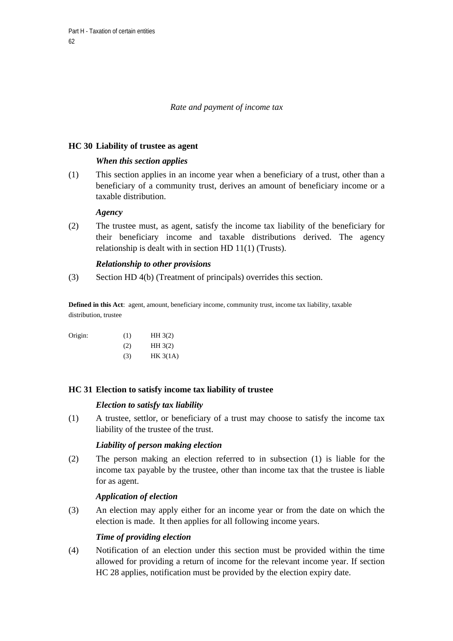## *Rate and payment of income tax*

## **HC 30 Liability of trustee as agent**

## *When this section applies*

(1) This section applies in an income year when a beneficiary of a trust, other than a beneficiary of a community trust, derives an amount of beneficiary income or a taxable distribution.

## *Agency*

(2) The trustee must, as agent, satisfy the income tax liability of the beneficiary for their beneficiary income and taxable distributions derived. The agency relationship is dealt with in section HD 11(1) (Trusts).

## *Relationship to other provisions*

(3) Section HD 4(b) (Treatment of principals) overrides this section.

**Defined in this Act**: agent, amount, beneficiary income, community trust, income tax liability, taxable distribution, trustee

| Origin: | (1) | HH3(2)   |
|---------|-----|----------|
|         | (2) | HH3(2)   |
|         | (3) | HK 3(1A) |

## **HC 31 Election to satisfy income tax liability of trustee**

### *Election to satisfy tax liability*

(1) A trustee, settlor, or beneficiary of a trust may choose to satisfy the income tax liability of the trustee of the trust.

## *Liability of person making election*

(2) The person making an election referred to in subsection (1) is liable for the income tax payable by the trustee, other than income tax that the trustee is liable for as agent.

### *Application of election*

(3) An election may apply either for an income year or from the date on which the election is made. It then applies for all following income years.

## *Time of providing election*

(4) Notification of an election under this section must be provided within the time allowed for providing a return of income for the relevant income year. If section HC 28 applies, notification must be provided by the election expiry date.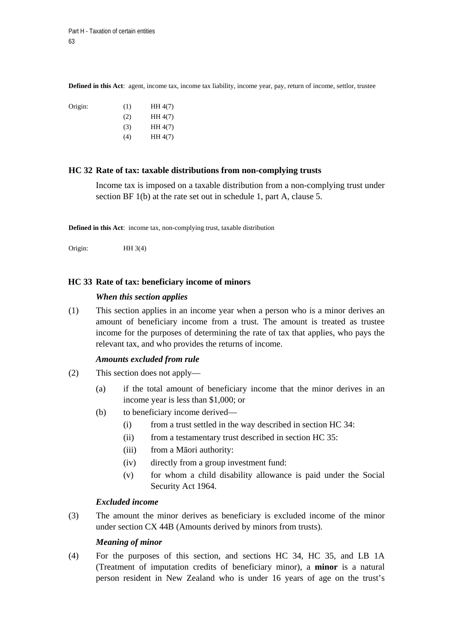**Defined in this Act**: agent, income tax, income tax liability, income year, pay, return of income, settlor, trustee

| Origin: | (1) | HH 4(7) |
|---------|-----|---------|
|         | (2) | HH 4(7) |
|         | (3) | HH 4(7) |
|         | (4) | HH 4(7) |

#### **HC 32 Rate of tax: taxable distributions from non-complying trusts**

Income tax is imposed on a taxable distribution from a non-complying trust under section BF 1(b) at the rate set out in schedule 1, part A, clause 5.

**Defined in this Act**: income tax, non-complying trust, taxable distribution

Origin: HH 3(4)

#### **HC 33 Rate of tax: beneficiary income of minors**

#### *When this section applies*

(1) This section applies in an income year when a person who is a minor derives an amount of beneficiary income from a trust. The amount is treated as trustee income for the purposes of determining the rate of tax that applies, who pays the relevant tax, and who provides the returns of income.

#### *Amounts excluded from rule*

- (2) This section does not apply—
	- (a) if the total amount of beneficiary income that the minor derives in an income year is less than \$1,000; or
	- (b) to beneficiary income derived—
		- (i) from a trust settled in the way described in section HC 34:
		- (ii) from a testamentary trust described in section HC 35:
		- (iii) from a Māori authority:
		- (iv) directly from a group investment fund:
		- (v) for whom a child disability allowance is paid under the Social Security Act 1964.

#### *Excluded income*

(3) The amount the minor derives as beneficiary is excluded income of the minor under section CX 44B (Amounts derived by minors from trusts).

#### *Meaning of minor*

(4) For the purposes of this section, and sections HC 34, HC 35, and LB 1A (Treatment of imputation credits of beneficiary minor), a **minor** is a natural person resident in New Zealand who is under 16 years of age on the trust's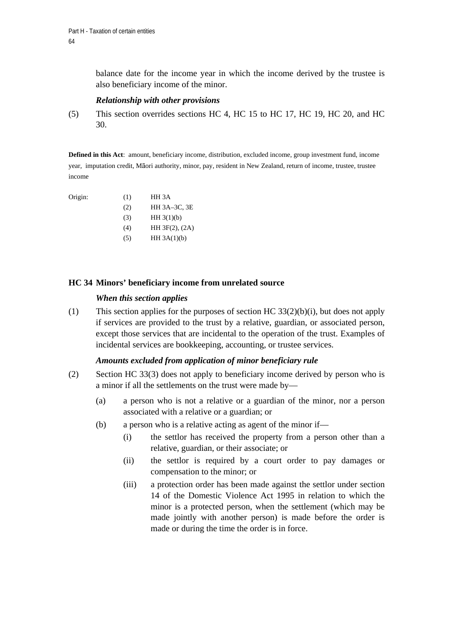balance date for the income year in which the income derived by the trustee is also beneficiary income of the minor.

### *Relationship with other provisions*

(5) This section overrides sections HC 4, HC 15 to HC 17, HC 19, HC 20, and HC 30.

**Defined in this Act**: amount, beneficiary income, distribution, excluded income, group investment fund, income year, imputation credit, Māori authority, minor, pay, resident in New Zealand, return of income, trustee, trustee income

Origin:

| Origin: | (1) | HH 3A               |
|---------|-----|---------------------|
|         | (2) | HH 3A-3C, 3E        |
|         | (3) | HH 3(1)(b)          |
|         | (4) | $HH 3F(2)$ , $(2A)$ |
|         | (5) | HH $3A(1)(b)$       |

## **HC 34 Minors' beneficiary income from unrelated source**

### *When this section applies*

(1) This section applies for the purposes of section HC 33(2)(b)(i), but does not apply if services are provided to the trust by a relative, guardian, or associated person, except those services that are incidental to the operation of the trust. Examples of incidental services are bookkeeping, accounting, or trustee services.

### *Amounts excluded from application of minor beneficiary rule*

- (2) Section HC 33(3) does not apply to beneficiary income derived by person who is a minor if all the settlements on the trust were made by—
	- (a) a person who is not a relative or a guardian of the minor, nor a person associated with a relative or a guardian; or
	- (b) a person who is a relative acting as agent of the minor if—
		- (i) the settlor has received the property from a person other than a relative, guardian, or their associate; or
		- (ii) the settlor is required by a court order to pay damages or compensation to the minor; or
		- (iii) a protection order has been made against the settlor under section 14 of the Domestic Violence Act 1995 in relation to which the minor is a protected person, when the settlement (which may be made jointly with another person) is made before the order is made or during the time the order is in force.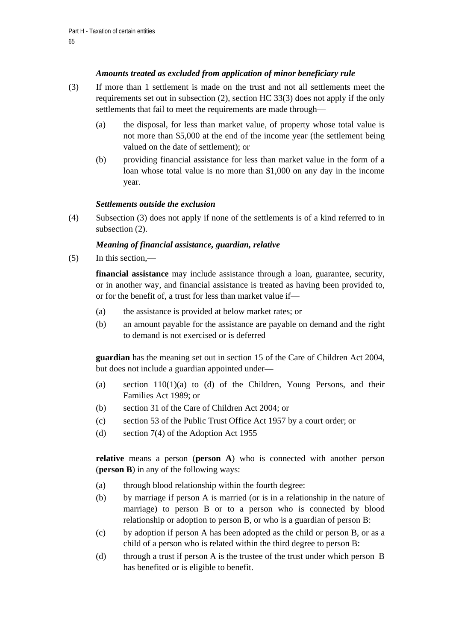# *Amounts treated as excluded from application of minor beneficiary rule*

- (3) If more than 1 settlement is made on the trust and not all settlements meet the requirements set out in subsection (2), section HC 33(3) does not apply if the only settlements that fail to meet the requirements are made through—
	- (a) the disposal, for less than market value, of property whose total value is not more than \$5,000 at the end of the income year (the settlement being valued on the date of settlement); or
	- (b) providing financial assistance for less than market value in the form of a loan whose total value is no more than \$1,000 on any day in the income year.

## *Settlements outside the exclusion*

(4) Subsection (3) does not apply if none of the settlements is of a kind referred to in subsection (2).

# *Meaning of financial assistance, guardian, relative*

(5) In this section,—

**financial assistance** may include assistance through a loan, guarantee, security, or in another way, and financial assistance is treated as having been provided to, or for the benefit of, a trust for less than market value if—

- (a) the assistance is provided at below market rates; or
- (b) an amount payable for the assistance are payable on demand and the right to demand is not exercised or is deferred

**guardian** has the meaning set out in section 15 of the Care of Children Act 2004, but does not include a guardian appointed under—

- (a) section 110(1)(a) to (d) of the Children, Young Persons, and their Families Act 1989; or
- (b) section 31 of the Care of Children Act 2004; or
- (c) section 53 of the Public Trust Office Act 1957 by a court order; or
- (d) section 7(4) of the Adoption Act 1955

**relative** means a person (**person A**) who is connected with another person (**person B**) in any of the following ways:

- (a) through blood relationship within the fourth degree:
- (b) by marriage if person A is married (or is in a relationship in the nature of marriage) to person B or to a person who is connected by blood relationship or adoption to person B, or who is a guardian of person B:
- (c) by adoption if person A has been adopted as the child or person B, or as a child of a person who is related within the third degree to person B:
- (d) through a trust if person A is the trustee of the trust under which person B has benefited or is eligible to benefit.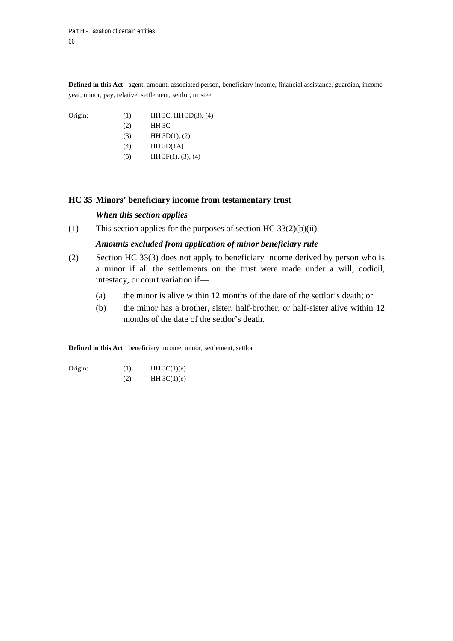**Defined in this Act**: agent, amount, associated person, beneficiary income, financial assistance, guardian, income year, minor, pay, relative, settlement, settlor, trustee

| Origin: | (1) | $HH$ 3C, $HH$ 3D(3), (4) |
|---------|-----|--------------------------|
|         | (2) | HH 3C                    |
|         | (3) | HH 3D(1), (2)            |
|         | (4) | HH 3D(1A)                |
|         | (5) | HH 3F(1), (3), (4)       |

### **HC 35 Minors' beneficiary income from testamentary trust**

### *When this section applies*

(1) This section applies for the purposes of section HC  $33(2)(b)(ii)$ .

## *Amounts excluded from application of minor beneficiary rule*

- (2) Section HC 33(3) does not apply to beneficiary income derived by person who is a minor if all the settlements on the trust were made under a will, codicil, intestacy, or court variation if—
	- (a) the minor is alive within 12 months of the date of the settlor's death; or
	- (b) the minor has a brother, sister, half-brother, or half-sister alive within 12 months of the date of the settlor's death.

**Defined in this Act**: beneficiary income, minor, settlement, settlor

Origin:  $(1)$  HH 3C(1)(e)  $(HH 3C(1)(e))$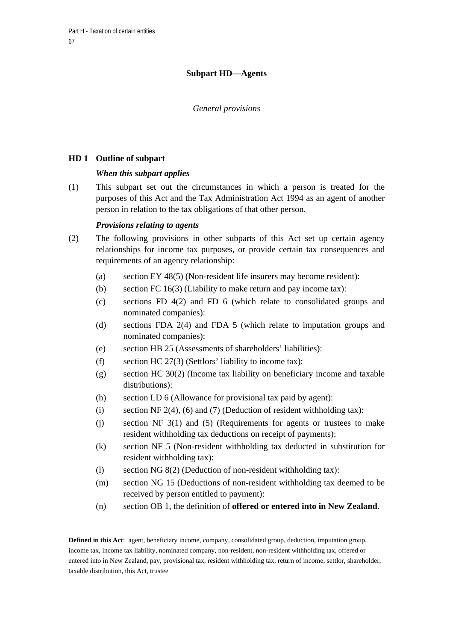# **Subpart HD—Agents**

## *General provisions*

## **HD 1 Outline of subpart**

## *When this subpart applies*

(1) This subpart set out the circumstances in which a person is treated for the purposes of this Act and the Tax Administration Act 1994 as an agent of another person in relation to the tax obligations of that other person.

## *Provisions relating to agents*

- (2) The following provisions in other subparts of this Act set up certain agency relationships for income tax purposes, or provide certain tax consequences and requirements of an agency relationship:
	- (a) section EY 48(5) (Non-resident life insurers may become resident):
	- (b) section FC 16(3) (Liability to make return and pay income tax):
	- (c) sections FD 4(2) and FD 6 (which relate to consolidated groups and nominated companies):
	- (d) sections FDA 2(4) and FDA 5 (which relate to imputation groups and nominated companies):
	- (e) section HB 25 (Assessments of shareholders' liabilities):
	- (f) section HC 27(3) (Settlors' liability to income tax):
	- (g) section HC 30(2) (Income tax liability on beneficiary income and taxable distributions):
	- (h) section LD 6 (Allowance for provisional tax paid by agent):
	- (i) section NF 2(4), (6) and (7) (Deduction of resident withholding tax):
	- (j) section NF 3(1) and (5) (Requirements for agents or trustees to make resident withholding tax deductions on receipt of payments):
	- (k) section NF 5 (Non-resident withholding tax deducted in substitution for resident withholding tax):
	- (l) section NG 8(2) (Deduction of non-resident withholding tax):
	- (m) section NG 15 (Deductions of non-resident withholding tax deemed to be received by person entitled to payment):
	- (n) section OB 1, the definition of **offered or entered into in New Zealand**.

**Defined in this Act**: agent, beneficiary income, company, consolidated group, deduction, imputation group, income tax, income tax liability, nominated company, non-resident, non-resident withholding tax, offered or entered into in New Zealand, pay, provisional tax, resident withholding tax, return of income, settlor, shareholder, taxable distribution, this Act, trustee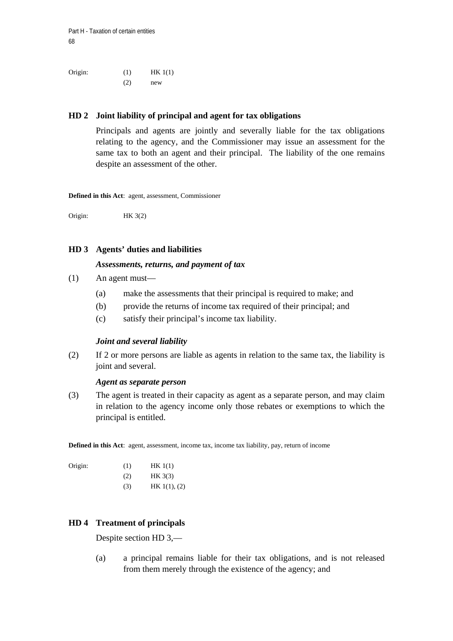Part H - Taxation of certain entities 68

Origin: (1) HK 1(1)  $(2)$  new

## **HD 2 Joint liability of principal and agent for tax obligations**

Principals and agents are jointly and severally liable for the tax obligations relating to the agency, and the Commissioner may issue an assessment for the same tax to both an agent and their principal. The liability of the one remains despite an assessment of the other.

**Defined in this Act**: agent, assessment, Commissioner

Origin: HK 3(2)

#### **HD 3 Agents' duties and liabilities**

#### *Assessments, returns, and payment of tax*

- (1) An agent must—
	- (a) make the assessments that their principal is required to make; and
	- (b) provide the returns of income tax required of their principal; and
	- (c) satisfy their principal's income tax liability.

#### *Joint and several liability*

(2) If 2 or more persons are liable as agents in relation to the same tax, the liability is joint and several.

#### *Agent as separate person*

(3) The agent is treated in their capacity as agent as a separate person, and may claim in relation to the agency income only those rebates or exemptions to which the principal is entitled.

**Defined in this Act**: agent, assessment, income tax, income tax liability, pay, return of income

| Origin: | (1) | HK 1(1)      |
|---------|-----|--------------|
|         | (2) | HK3(3)       |
|         | (3) | HK 1(1), (2) |

## **HD 4 Treatment of principals**

Despite section HD 3,—

(a) a principal remains liable for their tax obligations, and is not released from them merely through the existence of the agency; and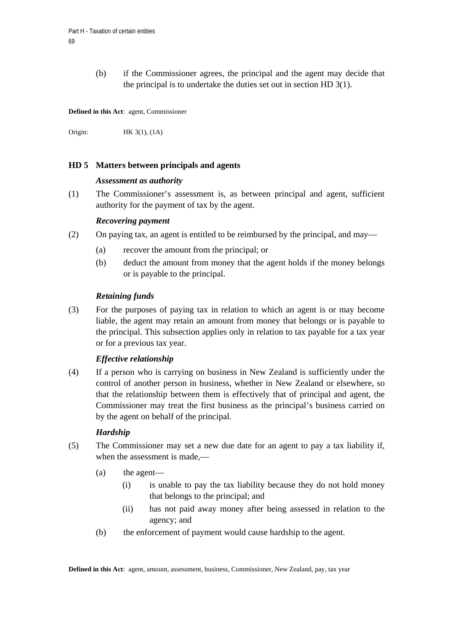(b) if the Commissioner agrees, the principal and the agent may decide that the principal is to undertake the duties set out in section HD 3(1).

**Defined in this Act**: agent, Commissioner

Origin: HK 3(1), (1A)

## **HD 5 Matters between principals and agents**

#### *Assessment as authority*

(1) The Commissioner's assessment is, as between principal and agent, sufficient authority for the payment of tax by the agent.

#### *Recovering payment*

- (2) On paying tax, an agent is entitled to be reimbursed by the principal, and may—
	- (a) recover the amount from the principal; or
	- (b) deduct the amount from money that the agent holds if the money belongs or is payable to the principal.

#### *Retaining funds*

(3) For the purposes of paying tax in relation to which an agent is or may become liable, the agent may retain an amount from money that belongs or is payable to the principal. This subsection applies only in relation to tax payable for a tax year or for a previous tax year.

### *Effective relationship*

(4) If a person who is carrying on business in New Zealand is sufficiently under the control of another person in business, whether in New Zealand or elsewhere, so that the relationship between them is effectively that of principal and agent, the Commissioner may treat the first business as the principal's business carried on by the agent on behalf of the principal.

### *Hardship*

- (5) The Commissioner may set a new due date for an agent to pay a tax liability if, when the assessment is made.—
	- (a) the agent—
		- (i) is unable to pay the tax liability because they do not hold money that belongs to the principal; and
		- (ii) has not paid away money after being assessed in relation to the agency; and
	- (b) the enforcement of payment would cause hardship to the agent.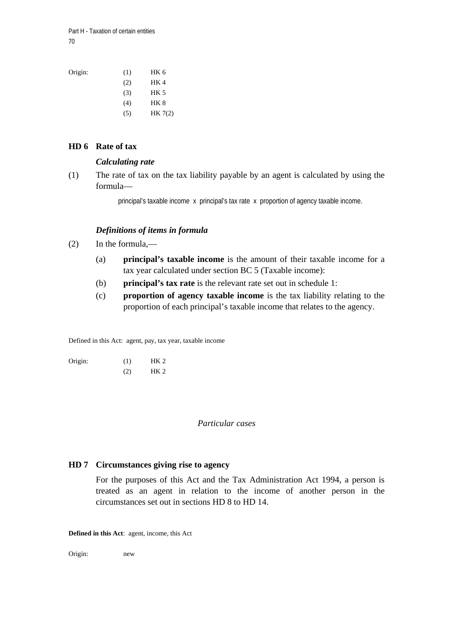Part H - Taxation of certain entities 70

| Origin: | (1)     | HK 6        |
|---------|---------|-------------|
|         | (2)     | HK 4        |
|         | (3)     | <b>HK 5</b> |
|         | (4)     | HK 8        |
|         | $\circ$ | HK7(2)      |

## **HD 6 Rate of tax**

### *Calculating rate*

(1) The rate of tax on the tax liability payable by an agent is calculated by using the formula—

principal's taxable income x principal's tax rate x proportion of agency taxable income.

## *Definitions of items in formula*

- (2) In the formula,—
	- (a) **principal's taxable income** is the amount of their taxable income for a tax year calculated under section BC 5 (Taxable income):
	- (b) **principal's tax rate** is the relevant rate set out in schedule 1:
	- (c) **proportion of agency taxable income** is the tax liability relating to the proportion of each principal's taxable income that relates to the agency.

Defined in this Act: agent, pay, tax year, taxable income

| Origin: | (1) | HK <sub>2</sub> |
|---------|-----|-----------------|
|         | (2) | HK <sub>2</sub> |

### *Particular cases*

### **HD 7 Circumstances giving rise to agency**

For the purposes of this Act and the Tax Administration Act 1994, a person is treated as an agent in relation to the income of another person in the circumstances set out in sections HD 8 to HD 14.

**Defined in this Act**: agent, income, this Act

Origin: new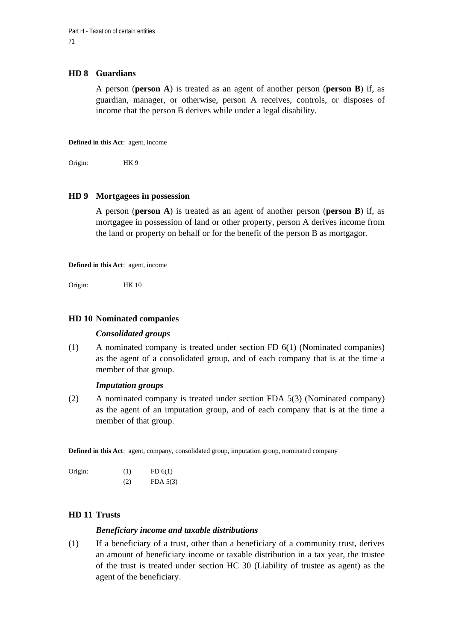## **HD 8 Guardians**

A person (**person A**) is treated as an agent of another person (**person B**) if, as guardian, manager, or otherwise, person A receives, controls, or disposes of income that the person B derives while under a legal disability.

**Defined in this Act**: agent, income

Origin: HK 9

## **HD 9 Mortgagees in possession**

A person (**person A**) is treated as an agent of another person (**person B**) if, as mortgagee in possession of land or other property, person A derives income from the land or property on behalf or for the benefit of the person B as mortgagor.

**Defined in this Act**: agent, income

Origin: HK 10

### **HD 10 Nominated companies**

#### *Consolidated groups*

(1) A nominated company is treated under section FD 6(1) (Nominated companies) as the agent of a consolidated group, and of each company that is at the time a member of that group.

#### *Imputation groups*

(2) A nominated company is treated under section FDA 5(3) (Nominated company) as the agent of an imputation group, and of each company that is at the time a member of that group.

**Defined in this Act**: agent, company, consolidated group, imputation group, nominated company

| Origin: | (1) | FD(6(1)  |
|---------|-----|----------|
|         | (2) | FDA 5(3) |

## **HD 11 Trusts**

## *Beneficiary income and taxable distributions*

(1) If a beneficiary of a trust, other than a beneficiary of a community trust, derives an amount of beneficiary income or taxable distribution in a tax year, the trustee of the trust is treated under section HC 30 (Liability of trustee as agent) as the agent of the beneficiary.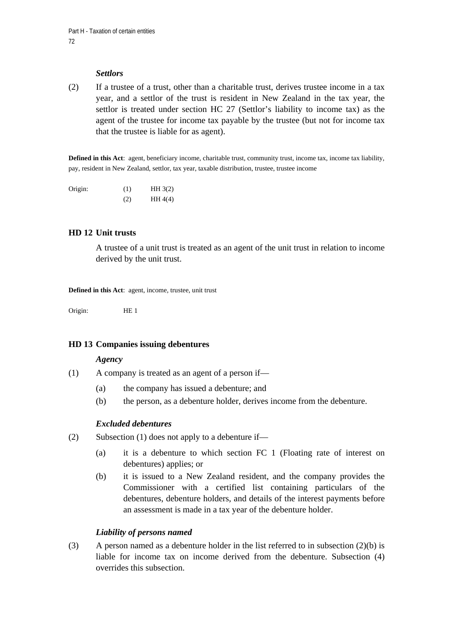## *Settlors*

(2) If a trustee of a trust, other than a charitable trust, derives trustee income in a tax year, and a settlor of the trust is resident in New Zealand in the tax year, the settlor is treated under section HC 27 (Settlor's liability to income tax) as the agent of the trustee for income tax payable by the trustee (but not for income tax that the trustee is liable for as agent).

**Defined in this Act**: agent, beneficiary income, charitable trust, community trust, income tax, income tax liability, pay, resident in New Zealand, settlor, tax year, taxable distribution, trustee, trustee income

| Origin: | (1) | HH3(2)  |
|---------|-----|---------|
|         | (2) | HH 4(4) |

## **HD 12 Unit trusts**

A trustee of a unit trust is treated as an agent of the unit trust in relation to income derived by the unit trust.

**Defined in this Act**: agent, income, trustee, unit trust

Origin: HE 1

### **HD 13 Companies issuing debentures**

#### *Agency*

- (1) A company is treated as an agent of a person if—
	- (a) the company has issued a debenture; and
	- (b) the person, as a debenture holder, derives income from the debenture.

## *Excluded debentures*

- (2) Subsection (1) does not apply to a debenture if—
	- (a) it is a debenture to which section FC 1 (Floating rate of interest on debentures) applies; or
	- (b) it is issued to a New Zealand resident, and the company provides the Commissioner with a certified list containing particulars of the debentures, debenture holders, and details of the interest payments before an assessment is made in a tax year of the debenture holder.

# *Liability of persons named*

(3) A person named as a debenture holder in the list referred to in subsection (2)(b) is liable for income tax on income derived from the debenture. Subsection (4) overrides this subsection.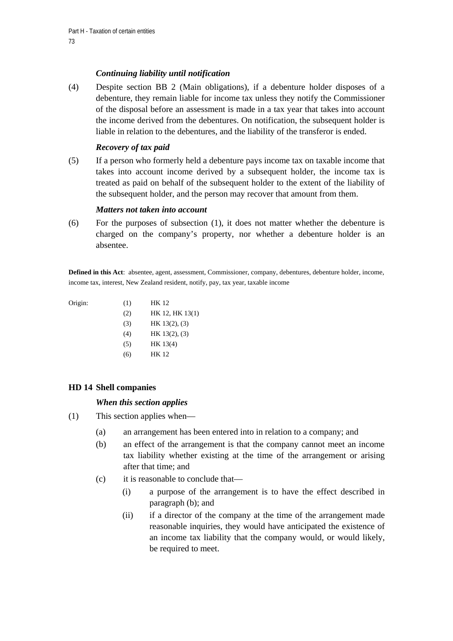## *Continuing liability until notification*

(4) Despite section BB 2 (Main obligations), if a debenture holder disposes of a debenture, they remain liable for income tax unless they notify the Commissioner of the disposal before an assessment is made in a tax year that takes into account the income derived from the debentures. On notification, the subsequent holder is liable in relation to the debentures, and the liability of the transferor is ended.

## *Recovery of tax paid*

(5) If a person who formerly held a debenture pays income tax on taxable income that takes into account income derived by a subsequent holder, the income tax is treated as paid on behalf of the subsequent holder to the extent of the liability of the subsequent holder, and the person may recover that amount from them.

## *Matters not taken into account*

(6) For the purposes of subsection (1), it does not matter whether the debenture is charged on the company's property, nor whether a debenture holder is an absentee.

**Defined in this Act**: absentee, agent, assessment, Commissioner, company, debentures, debenture holder, income, income tax, interest, New Zealand resident, notify, pay, tax year, taxable income

| Origin: | (1) | <b>HK 12</b>    |
|---------|-----|-----------------|
|         | (2) | HK 12, HK 13(1) |
|         | (3) | HK 13(2), (3)   |
|         | (4) | HK 13(2), (3)   |
|         | (5) | HK 13(4)        |
|         | (6) | HK 12           |

## **HD 14 Shell companies**

## *When this section applies*

- (1) This section applies when—
	- (a) an arrangement has been entered into in relation to a company; and
	- (b) an effect of the arrangement is that the company cannot meet an income tax liability whether existing at the time of the arrangement or arising after that time; and
	- (c) it is reasonable to conclude that—
		- (i) a purpose of the arrangement is to have the effect described in paragraph (b); and
		- (ii) if a director of the company at the time of the arrangement made reasonable inquiries, they would have anticipated the existence of an income tax liability that the company would, or would likely, be required to meet.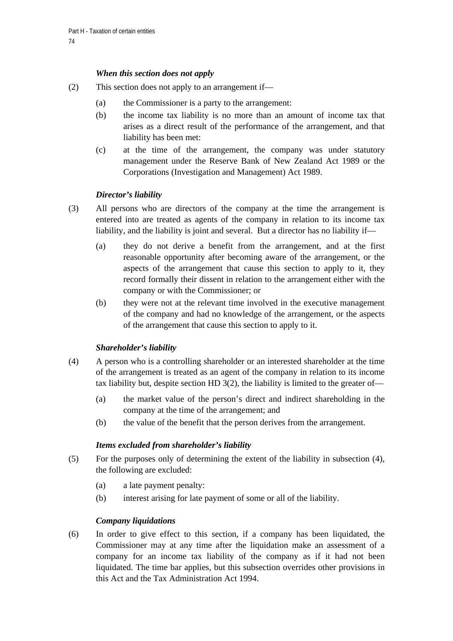## *When this section does not apply*

- (2) This section does not apply to an arrangement if—
	- (a) the Commissioner is a party to the arrangement:
	- (b) the income tax liability is no more than an amount of income tax that arises as a direct result of the performance of the arrangement, and that liability has been met:
	- (c) at the time of the arrangement, the company was under statutory management under the Reserve Bank of New Zealand Act 1989 or the Corporations (Investigation and Management) Act 1989.

## *Director's liability*

- (3) All persons who are directors of the company at the time the arrangement is entered into are treated as agents of the company in relation to its income tax liability, and the liability is joint and several. But a director has no liability if—
	- (a) they do not derive a benefit from the arrangement, and at the first reasonable opportunity after becoming aware of the arrangement, or the aspects of the arrangement that cause this section to apply to it, they record formally their dissent in relation to the arrangement either with the company or with the Commissioner; or
	- (b) they were not at the relevant time involved in the executive management of the company and had no knowledge of the arrangement, or the aspects of the arrangement that cause this section to apply to it.

## *Shareholder's liability*

- (4) A person who is a controlling shareholder or an interested shareholder at the time of the arrangement is treated as an agent of the company in relation to its income tax liability but, despite section HD 3(2), the liability is limited to the greater of—
	- (a) the market value of the person's direct and indirect shareholding in the company at the time of the arrangement; and
	- (b) the value of the benefit that the person derives from the arrangement.

## *Items excluded from shareholder's liability*

- (5) For the purposes only of determining the extent of the liability in subsection (4), the following are excluded:
	- (a) a late payment penalty:
	- (b) interest arising for late payment of some or all of the liability.

## *Company liquidations*

(6) In order to give effect to this section, if a company has been liquidated, the Commissioner may at any time after the liquidation make an assessment of a company for an income tax liability of the company as if it had not been liquidated. The time bar applies, but this subsection overrides other provisions in this Act and the Tax Administration Act 1994.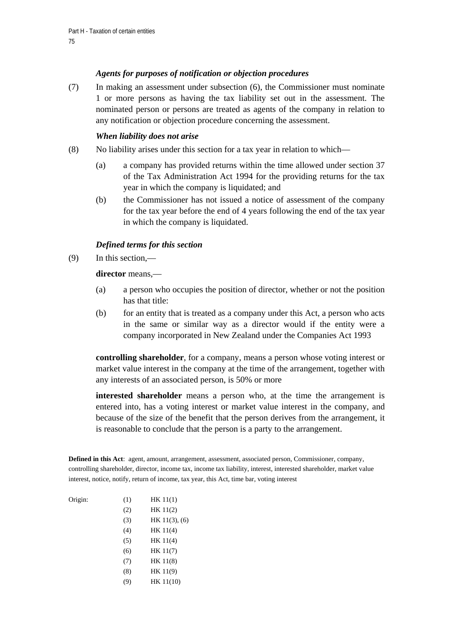## *Agents for purposes of notification or objection procedures*

(7) In making an assessment under subsection (6), the Commissioner must nominate 1 or more persons as having the tax liability set out in the assessment. The nominated person or persons are treated as agents of the company in relation to any notification or objection procedure concerning the assessment.

#### *When liability does not arise*

- (8) No liability arises under this section for a tax year in relation to which—
	- (a) a company has provided returns within the time allowed under section 37 of the Tax Administration Act 1994 for the providing returns for the tax year in which the company is liquidated; and
	- (b) the Commissioner has not issued a notice of assessment of the company for the tax year before the end of 4 years following the end of the tax year in which the company is liquidated.

### *Defined terms for this section*

(9) In this section,—

**director** means,—

- (a) a person who occupies the position of director, whether or not the position has that title:
- (b) for an entity that is treated as a company under this Act, a person who acts in the same or similar way as a director would if the entity were a company incorporated in New Zealand under the Companies Act 1993

**controlling shareholder**, for a company, means a person whose voting interest or market value interest in the company at the time of the arrangement, together with any interests of an associated person, is 50% or more

**interested shareholder** means a person who, at the time the arrangement is entered into, has a voting interest or market value interest in the company, and because of the size of the benefit that the person derives from the arrangement, it is reasonable to conclude that the person is a party to the arrangement.

**Defined in this Act**: agent, amount, arrangement, assessment, associated person, Commissioner, company, controlling shareholder, director, income tax, income tax liability, interest, interested shareholder, market value interest, notice, notify, return of income, tax year, this Act, time bar, voting interest

| Origin: | (1) | HK 11(1)      |
|---------|-----|---------------|
|         | (2) | HK 11(2)      |
|         | (3) | HK 11(3), (6) |
|         | (4) | HK 11(4)      |
|         | (5) | HK 11(4)      |
|         | (6) | HK 11(7)      |
|         | (7) | HK 11(8)      |
|         | (8) | HK 11(9)      |
|         | (9) | HK 11(10)     |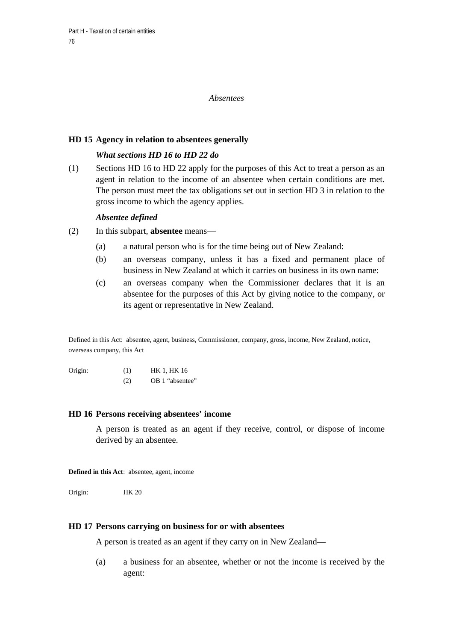### *Absentees*

### **HD 15 Agency in relation to absentees generally**

## *What sections HD 16 to HD 22 do*

(1) Sections HD 16 to HD 22 apply for the purposes of this Act to treat a person as an agent in relation to the income of an absentee when certain conditions are met. The person must meet the tax obligations set out in section HD 3 in relation to the gross income to which the agency applies.

### *Absentee defined*

- (2) In this subpart, **absentee** means—
	- (a) a natural person who is for the time being out of New Zealand:
	- (b) an overseas company, unless it has a fixed and permanent place of business in New Zealand at which it carries on business in its own name:
	- (c) an overseas company when the Commissioner declares that it is an absentee for the purposes of this Act by giving notice to the company, or its agent or representative in New Zealand.

Defined in this Act: absentee, agent, business, Commissioner, company, gross, income, New Zealand, notice, overseas company, this Act

Origin: (1) HK 1, HK 16 (2) OB 1 "absentee"

#### **HD 16 Persons receiving absentees' income**

A person is treated as an agent if they receive, control, or dispose of income derived by an absentee.

**Defined in this Act**: absentee, agent, income

Origin: HK 20

### **HD 17 Persons carrying on business for or with absentees**

A person is treated as an agent if they carry on in New Zealand—

(a) a business for an absentee, whether or not the income is received by the agent: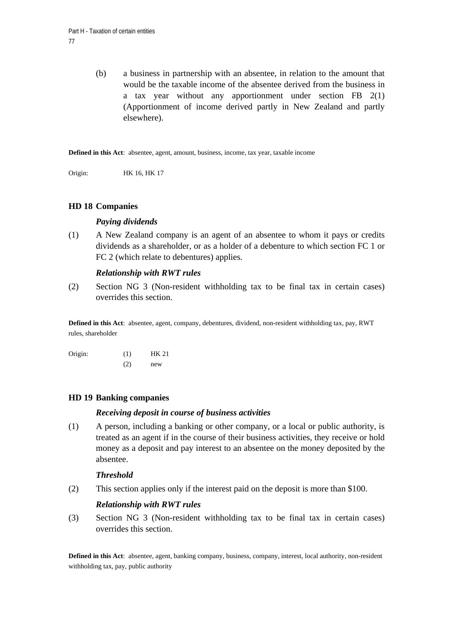(b) a business in partnership with an absentee, in relation to the amount that would be the taxable income of the absentee derived from the business in a tax year without any apportionment under section FB 2(1) (Apportionment of income derived partly in New Zealand and partly elsewhere).

**Defined in this Act**: absentee, agent, amount, business, income, tax year, taxable income

Origin: HK 16, HK 17

### **HD 18 Companies**

### *Paying dividends*

(1) A New Zealand company is an agent of an absentee to whom it pays or credits dividends as a shareholder, or as a holder of a debenture to which section FC 1 or FC 2 (which relate to debentures) applies.

### *Relationship with RWT rules*

(2) Section NG 3 (Non-resident withholding tax to be final tax in certain cases) overrides this section.

**Defined in this Act**: absentee, agent, company, debentures, dividend, non-resident withholding tax, pay, RWT rules, shareholder

| Origin: | (1) | <b>HK 21</b> |
|---------|-----|--------------|
|         | (2) | new          |

## **HD 19 Banking companies**

### *Receiving deposit in course of business activities*

(1) A person, including a banking or other company, or a local or public authority, is treated as an agent if in the course of their business activities, they receive or hold money as a deposit and pay interest to an absentee on the money deposited by the absentee.

### *Threshold*

(2) This section applies only if the interest paid on the deposit is more than \$100.

### *Relationship with RWT rules*

(3) Section NG 3 (Non-resident withholding tax to be final tax in certain cases) overrides this section.

**Defined in this Act**: absentee, agent, banking company, business, company, interest, local authority, non-resident withholding tax, pay, public authority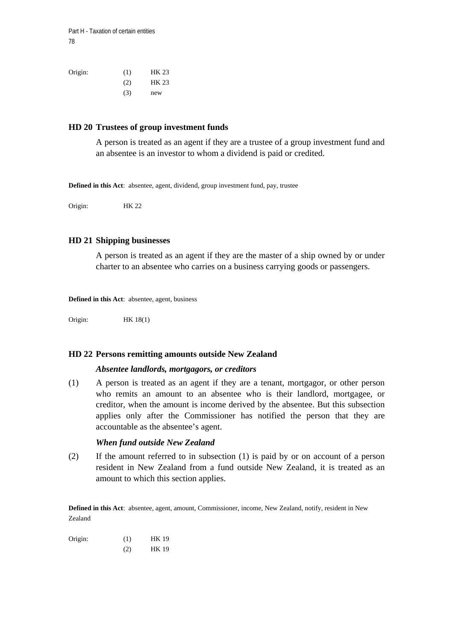| Origin: | (1) | HK 23 |
|---------|-----|-------|
|         | (2) | HK 23 |
|         | (3) | new   |

#### **HD 20 Trustees of group investment funds**

A person is treated as an agent if they are a trustee of a group investment fund and an absentee is an investor to whom a dividend is paid or credited.

**Defined in this Act**: absentee, agent, dividend, group investment fund, pay, trustee

Origin: HK 22

#### **HD 21 Shipping businesses**

A person is treated as an agent if they are the master of a ship owned by or under charter to an absentee who carries on a business carrying goods or passengers.

**Defined in this Act**: absentee, agent, business

Origin: HK 18(1)

#### **HD 22 Persons remitting amounts outside New Zealand**

#### *Absentee landlords, mortgagors, or creditors*

(1) A person is treated as an agent if they are a tenant, mortgagor, or other person who remits an amount to an absentee who is their landlord, mortgagee, or creditor, when the amount is income derived by the absentee. But this subsection applies only after the Commissioner has notified the person that they are accountable as the absentee's agent.

#### *When fund outside New Zealand*

(2) If the amount referred to in subsection (1) is paid by or on account of a person resident in New Zealand from a fund outside New Zealand, it is treated as an amount to which this section applies.

**Defined in this Act**: absentee, agent, amount, Commissioner, income, New Zealand, notify, resident in New Zealand

| Origin: | (1) | <b>HK 19</b> |
|---------|-----|--------------|
|         | (2) | <b>HK 19</b> |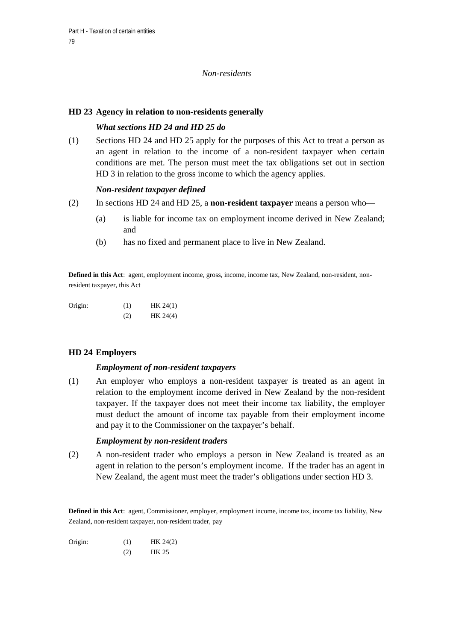### *Non-residents*

### **HD 23 Agency in relation to non-residents generally**

## *What sections HD 24 and HD 25 do*

(1) Sections HD 24 and HD 25 apply for the purposes of this Act to treat a person as an agent in relation to the income of a non-resident taxpayer when certain conditions are met. The person must meet the tax obligations set out in section HD 3 in relation to the gross income to which the agency applies.

### *Non-resident taxpayer defined*

- (2) In sections HD 24 and HD 25, a **non-resident taxpayer** means a person who—
	- (a) is liable for income tax on employment income derived in New Zealand; and
	- (b) has no fixed and permanent place to live in New Zealand.

**Defined in this Act**: agent, employment income, gross, income, income tax, New Zealand, non-resident, nonresident taxpayer, this Act

Origin: (1) HK 24(1)  $(HK 24(4))$ 

## **HD 24 Employers**

### *Employment of non-resident taxpayers*

(1) An employer who employs a non-resident taxpayer is treated as an agent in relation to the employment income derived in New Zealand by the non-resident taxpayer. If the taxpayer does not meet their income tax liability, the employer must deduct the amount of income tax payable from their employment income and pay it to the Commissioner on the taxpayer's behalf.

### *Employment by non-resident traders*

(2) A non-resident trader who employs a person in New Zealand is treated as an agent in relation to the person's employment income. If the trader has an agent in New Zealand, the agent must meet the trader's obligations under section HD 3.

Defined in this Act: agent, Commissioner, employer, employment income, income tax, income tax liability, New Zealand, non-resident taxpayer, non-resident trader, pay

Origin: (1) HK 24(2)

(2) HK 25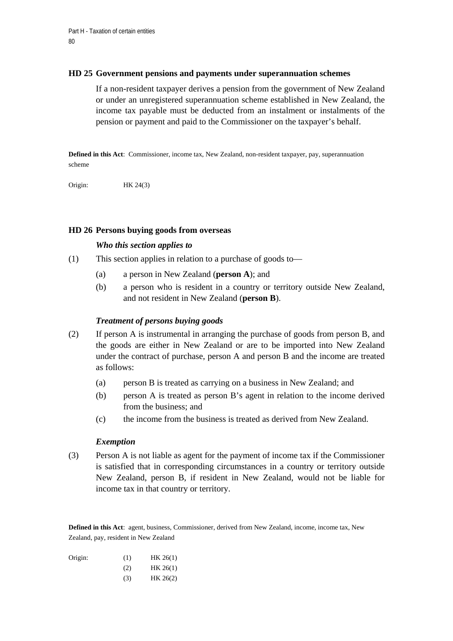### **HD 25 Government pensions and payments under superannuation schemes**

If a non-resident taxpayer derives a pension from the government of New Zealand or under an unregistered superannuation scheme established in New Zealand, the income tax payable must be deducted from an instalment or instalments of the pension or payment and paid to the Commissioner on the taxpayer's behalf.

**Defined in this Act**: Commissioner, income tax, New Zealand, non-resident taxpayer, pay, superannuation scheme

Origin: HK 24(3)

### **HD 26 Persons buying goods from overseas**

### *Who this section applies to*

- (1) This section applies in relation to a purchase of goods to—
	- (a) a person in New Zealand (**person A**); and
	- (b) a person who is resident in a country or territory outside New Zealand, and not resident in New Zealand (**person B**).

### *Treatment of persons buying goods*

- (2) If person A is instrumental in arranging the purchase of goods from person B, and the goods are either in New Zealand or are to be imported into New Zealand under the contract of purchase, person A and person B and the income are treated as follows:
	- (a) person B is treated as carrying on a business in New Zealand; and
	- (b) person A is treated as person B's agent in relation to the income derived from the business; and
	- (c) the income from the business is treated as derived from New Zealand.

### *Exemption*

(3) Person A is not liable as agent for the payment of income tax if the Commissioner is satisfied that in corresponding circumstances in a country or territory outside New Zealand, person B, if resident in New Zealand, would not be liable for income tax in that country or territory.

**Defined in this Act**: agent, business, Commissioner, derived from New Zealand, income, income tax, New Zealand, pay, resident in New Zealand

| Origin: | (1) | HK 26(1) |
|---------|-----|----------|
|         | (2) | HK 26(1) |
|         | (3) | HK 26(2) |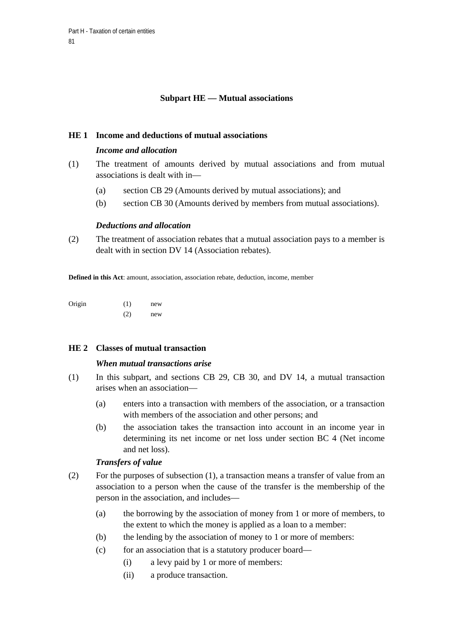## **Subpart HE — Mutual associations**

### **HE 1 Income and deductions of mutual associations**

### *Income and allocation*

- (1) The treatment of amounts derived by mutual associations and from mutual associations is dealt with in—
	- (a) section CB 29 (Amounts derived by mutual associations); and
	- (b) section CB 30 (Amounts derived by members from mutual associations).

### *Deductions and allocation*

(2) The treatment of association rebates that a mutual association pays to a member is dealt with in section DV 14 (Association rebates).

**Defined in this Act**: amount, association, association rebate, deduction, income, member

| Origin | (1) | new |
|--------|-----|-----|
|        | (2) | new |

## **HE 2 Classes of mutual transaction**

### *When mutual transactions arise*

- (1) In this subpart, and sections CB 29, CB 30, and DV 14, a mutual transaction arises when an association—
	- (a) enters into a transaction with members of the association, or a transaction with members of the association and other persons; and
	- (b) the association takes the transaction into account in an income year in determining its net income or net loss under section BC 4 (Net income and net loss).

### *Transfers of value*

- (2) For the purposes of subsection (1), a transaction means a transfer of value from an association to a person when the cause of the transfer is the membership of the person in the association, and includes—
	- (a) the borrowing by the association of money from 1 or more of members, to the extent to which the money is applied as a loan to a member:
	- (b) the lending by the association of money to 1 or more of members:
	- (c) for an association that is a statutory producer board—
		- (i) a levy paid by 1 or more of members:
		- (ii) a produce transaction.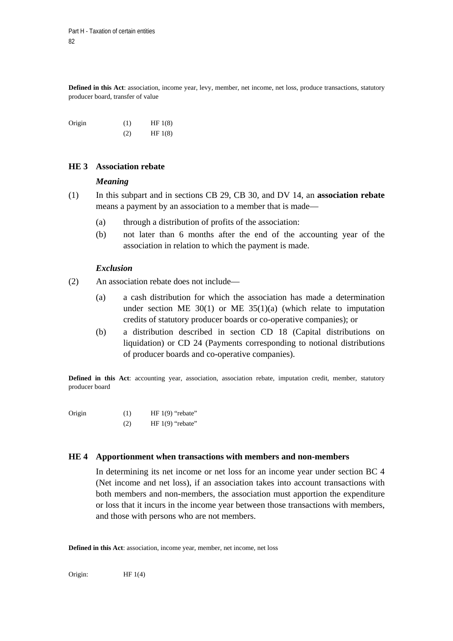**Defined in this Act**: association, income year, levy, member, net income, net loss, produce transactions, statutory producer board, transfer of value

Origin  $(1)$  HF 1(8)  $(HF 1(8))$ 

### **HE 3 Association rebate**

#### *Meaning*

- (1) In this subpart and in sections CB 29, CB 30, and DV 14, an **association rebate** means a payment by an association to a member that is made—
	- (a) through a distribution of profits of the association:
	- (b) not later than 6 months after the end of the accounting year of the association in relation to which the payment is made.

### *Exclusion*

- (2) An association rebate does not include—
	- (a) a cash distribution for which the association has made a determination under section ME  $30(1)$  or ME  $35(1)(a)$  (which relate to imputation credits of statutory producer boards or co-operative companies); or
	- (b) a distribution described in section CD 18 (Capital distributions on liquidation) or CD 24 (Payments corresponding to notional distributions of producer boards and co-operative companies).

**Defined in this Act**: accounting year, association, association rebate, imputation credit, member, statutory producer board

- Origin (1) HF 1(9) "rebate"
	- (2) HF 1(9) "rebate"

#### **HE 4 Apportionment when transactions with members and non-members**

In determining its net income or net loss for an income year under section BC 4 (Net income and net loss), if an association takes into account transactions with both members and non-members, the association must apportion the expenditure or loss that it incurs in the income year between those transactions with members, and those with persons who are not members.

**Defined in this Act**: association, income year, member, net income, net loss

Origin: HF 1(4)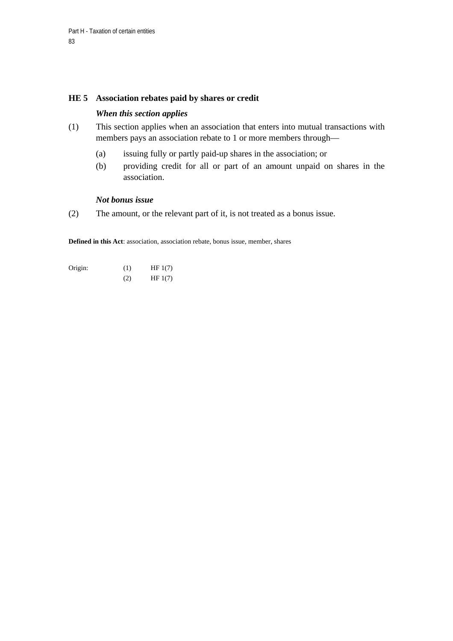### **HE 5 Association rebates paid by shares or credit**

## *When this section applies*

- (1) This section applies when an association that enters into mutual transactions with members pays an association rebate to 1 or more members through—
	- (a) issuing fully or partly paid-up shares in the association; or
	- (b) providing credit for all or part of an amount unpaid on shares in the association.

### *Not bonus issue*

(2) The amount, or the relevant part of it, is not treated as a bonus issue.

**Defined in this Act**: association, association rebate, bonus issue, member, shares

Origin:  $(1)$  HF 1(7) (2) HF 1(7)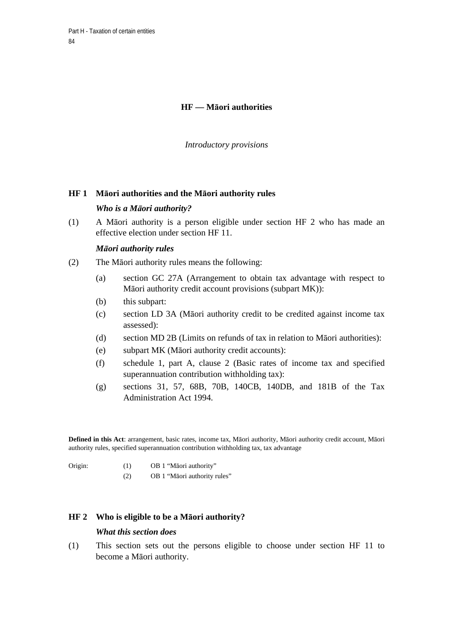# **HF — Māori authorities**

*Introductory provisions* 

### **HF 1 Māori authorities and the Māori authority rules**

### *Who is a Māori authority?*

(1) A Māori authority is a person eligible under section HF 2 who has made an effective election under section HF 11.

### *Māori authority rules*

- (2) The Māori authority rules means the following:
	- (a) section GC 27A (Arrangement to obtain tax advantage with respect to Māori authority credit account provisions (subpart MK)):
	- (b) this subpart:
	- (c) section LD 3A (Māori authority credit to be credited against income tax assessed):
	- (d) section MD 2B (Limits on refunds of tax in relation to Māori authorities):
	- (e) subpart MK (Māori authority credit accounts):
	- (f) schedule 1, part A, clause 2 (Basic rates of income tax and specified superannuation contribution withholding tax):
	- (g) sections 31, 57, 68B, 70B, 140CB, 140DB, and 181B of the Tax Administration Act 1994.

**Defined in this Act**: arrangement, basic rates, income tax, Māori authority, Māori authority credit account, Māori authority rules, specified superannuation contribution withholding tax, tax advantage

- Origin: (1) OB 1 "Māori authority"
	- (2) OB 1 "Māori authority rules"

### **HF 2 Who is eligible to be a Māori authority?**

#### *What this section does*

(1) This section sets out the persons eligible to choose under section HF 11 to become a Māori authority.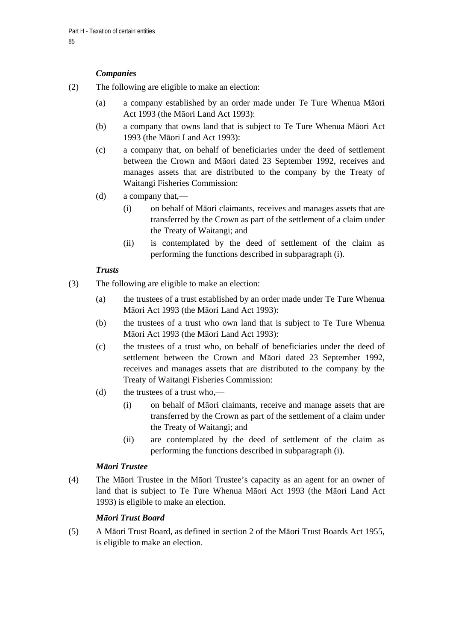# *Companies*

- (2) The following are eligible to make an election:
	- (a) a company established by an order made under Te Ture Whenua Māori Act 1993 (the Māori Land Act 1993):
	- (b) a company that owns land that is subject to Te Ture Whenua Māori Act 1993 (the Māori Land Act 1993):
	- (c) a company that, on behalf of beneficiaries under the deed of settlement between the Crown and Māori dated 23 September 1992, receives and manages assets that are distributed to the company by the Treaty of Waitangi Fisheries Commission:
	- (d) a company that,—
		- (i) on behalf of Māori claimants, receives and manages assets that are transferred by the Crown as part of the settlement of a claim under the Treaty of Waitangi; and
		- (ii) is contemplated by the deed of settlement of the claim as performing the functions described in subparagraph (i).

# *Trusts*

- (3) The following are eligible to make an election:
	- (a) the trustees of a trust established by an order made under Te Ture Whenua Māori Act 1993 (the Māori Land Act 1993):
	- (b) the trustees of a trust who own land that is subject to Te Ture Whenua Māori Act 1993 (the Māori Land Act 1993):
	- (c) the trustees of a trust who, on behalf of beneficiaries under the deed of settlement between the Crown and Māori dated 23 September 1992, receives and manages assets that are distributed to the company by the Treaty of Waitangi Fisheries Commission:
	- (d) the trustees of a trust who,—
		- (i) on behalf of Māori claimants, receive and manage assets that are transferred by the Crown as part of the settlement of a claim under the Treaty of Waitangi; and
		- (ii) are contemplated by the deed of settlement of the claim as performing the functions described in subparagraph (i).

# *Māori Trustee*

(4) The Māori Trustee in the Māori Trustee's capacity as an agent for an owner of land that is subject to Te Ture Whenua Māori Act 1993 (the Māori Land Act 1993) is eligible to make an election.

# *Māori Trust Board*

(5) A Māori Trust Board, as defined in section 2 of the Māori Trust Boards Act 1955, is eligible to make an election.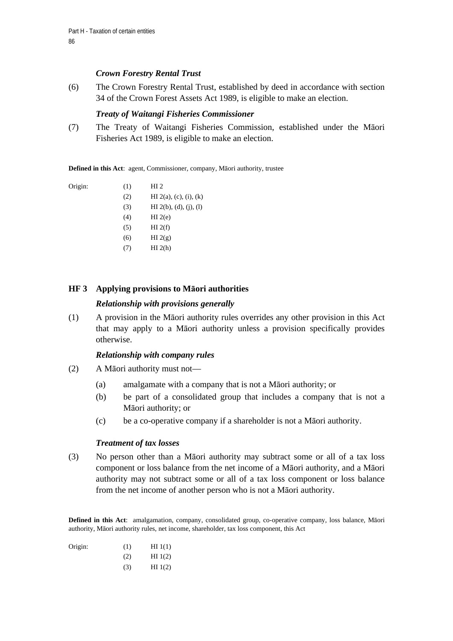## *Crown Forestry Rental Trust*

(6) The Crown Forestry Rental Trust, established by deed in accordance with section 34 of the Crown Forest Assets Act 1989, is eligible to make an election.

### *Treaty of Waitangi Fisheries Commissioner*

(7) The Treaty of Waitangi Fisheries Commission, established under the Māori Fisheries Act 1989, is eligible to make an election.

**Defined in this Act**: agent, Commissioner, company, Māori authority, trustee

Origin:  $(1)$  HI 2

- (2) HI 2(a), (c), (i), (k)
- $(H1 2(b), (d), (i), (l))$
- $(H)$  HI 2(e)
- $(HI 2(f))$
- (6) HI  $2(g)$
- $(H1 2(h))$

## **HF 3 Applying provisions to Māori authorities**

## *Relationship with provisions generally*

(1) A provision in the Māori authority rules overrides any other provision in this Act that may apply to a Māori authority unless a provision specifically provides otherwise.

### *Relationship with company rules*

- (2) A Māori authority must not—
	- (a) amalgamate with a company that is not a Māori authority; or
	- (b) be part of a consolidated group that includes a company that is not a Māori authority; or
	- (c) be a co-operative company if a shareholder is not a Māori authority.

### *Treatment of tax losses*

(3) No person other than a Māori authority may subtract some or all of a tax loss component or loss balance from the net income of a Māori authority, and a Māori authority may not subtract some or all of a tax loss component or loss balance from the net income of another person who is not a Māori authority.

**Defined in this Act**: amalgamation, company, consolidated group, co-operative company, loss balance, Māori authority, Māori authority rules, net income, shareholder, tax loss component, this Act

Origin:  $(1)$  HI 1(1)  $(H1(2))$  $(H1(2))$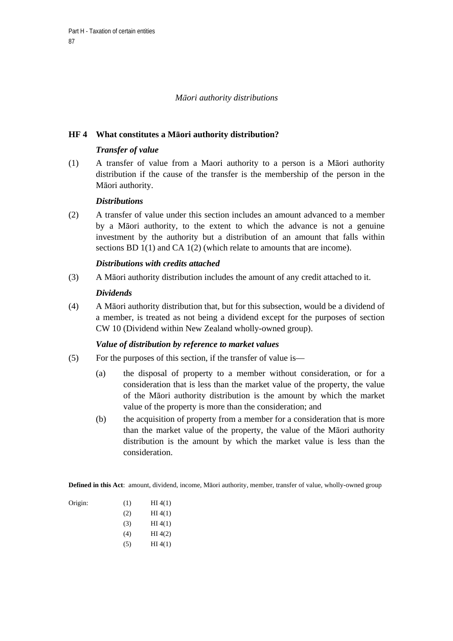## *Māori authority distributions*

## **HF 4 What constitutes a Māori authority distribution?**

## *Transfer of value*

(1) A transfer of value from a Maori authority to a person is a Māori authority distribution if the cause of the transfer is the membership of the person in the Māori authority.

### *Distributions*

(2) A transfer of value under this section includes an amount advanced to a member by a Māori authority, to the extent to which the advance is not a genuine investment by the authority but a distribution of an amount that falls within sections BD 1(1) and CA 1(2) (which relate to amounts that are income).

### *Distributions with credits attached*

(3) A Māori authority distribution includes the amount of any credit attached to it.

### *Dividends*

(4) A Māori authority distribution that, but for this subsection, would be a dividend of a member, is treated as not being a dividend except for the purposes of section CW 10 (Dividend within New Zealand wholly-owned group).

## *Value of distribution by reference to market values*

- (5) For the purposes of this section, if the transfer of value is—
	- (a) the disposal of property to a member without consideration, or for a consideration that is less than the market value of the property, the value of the Māori authority distribution is the amount by which the market value of the property is more than the consideration; and
	- (b) the acquisition of property from a member for a consideration that is more than the market value of the property, the value of the Māori authority distribution is the amount by which the market value is less than the consideration.

**Defined in this Act**: amount, dividend, income, Māori authority, member, transfer of value, wholly-owned group

| Origin: | (1) | HI(4(1) |
|---------|-----|---------|
|         | (2) | HI(4(1) |
|         | (3) | HI(4(1) |
|         | (4) | HI(4(2) |
|         | (5) | HI(4(1) |

Origin: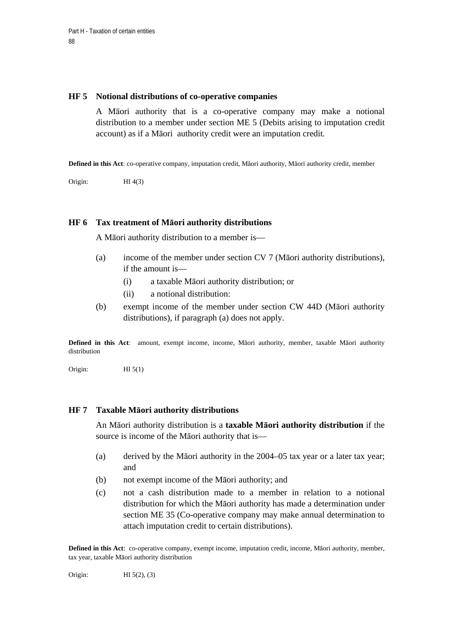#### **HF 5 Notional distributions of co-operative companies**

A Māori authority that is a co-operative company may make a notional distribution to a member under section ME 5 (Debits arising to imputation credit account) as if a Māori authority credit were an imputation credit.

**Defined in this Act**: co-operative company, imputation credit, Māori authority, Māori authority credit, member

Origin: HI 4(3)

### **HF 6 Tax treatment of Māori authority distributions**

A Māori authority distribution to a member is—

- (a) income of the member under section CV 7 (Māori authority distributions), if the amount is—
	- (i) a taxable Māori authority distribution; or
	- (ii) a notional distribution:
- (b) exempt income of the member under section CW 44D (Māori authority distributions), if paragraph (a) does not apply.

**Defined in this Act**: amount, exempt income, income, Māori authority, member, taxable Māori authority distribution

Origin: HI 5(1)

### **HF 7 Taxable Māori authority distributions**

An Māori authority distribution is a **taxable Māori authority distribution** if the source is income of the Māori authority that is—

- (a) derived by the Māori authority in the 2004–05 tax year or a later tax year; and
- (b) not exempt income of the Māori authority; and
- (c) not a cash distribution made to a member in relation to a notional distribution for which the Māori authority has made a determination under section ME 35 (Co-operative company may make annual determination to attach imputation credit to certain distributions).

**Defined in this Act**: co-operative company, exempt income, imputation credit, income, Māori authority, member, tax year, taxable Māori authority distribution

Origin: **HI** 5(2), (3)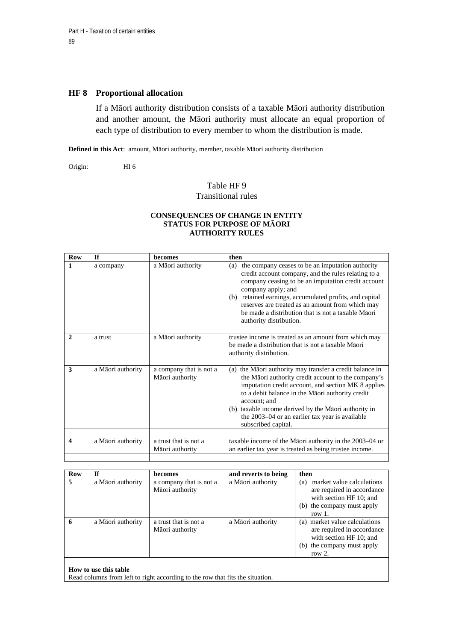#### **HF 8 Proportional allocation**

If a Māori authority distribution consists of a taxable Māori authority distribution and another amount, the Māori authority must allocate an equal proportion of each type of distribution to every member to whom the distribution is made.

**Defined in this Act**: amount, Māori authority, member, taxable Māori authority distribution

Origin: HI 6

## Table HF 9 Transitional rules

#### **CONSEQUENCES OF CHANGE IN ENTITY STATUS FOR PURPOSE OF MĀORI AUTHORITY RULES**

| <b>Row</b>   | <b>If</b>         | becomes                                    | then                                                                                                                                                                                                                                                                                                                                                                                          |
|--------------|-------------------|--------------------------------------------|-----------------------------------------------------------------------------------------------------------------------------------------------------------------------------------------------------------------------------------------------------------------------------------------------------------------------------------------------------------------------------------------------|
| 1            | a company         | a Māori authority                          | the company ceases to be an imputation authority<br>(a)<br>credit account company, and the rules relating to a<br>company ceasing to be an imputation credit account<br>company apply; and<br>retained earnings, accumulated profits, and capital<br>(b)<br>reserves are treated as an amount from which may<br>be made a distribution that is not a taxable Maori<br>authority distribution. |
|              |                   |                                            |                                                                                                                                                                                                                                                                                                                                                                                               |
| $\mathbf{2}$ | a trust           | a Māori authority                          | trustee income is treated as an amount from which may<br>be made a distribution that is not a taxable Maori<br>authority distribution.                                                                                                                                                                                                                                                        |
|              |                   |                                            |                                                                                                                                                                                                                                                                                                                                                                                               |
| 3            | a Māori authority | a company that is not a<br>Māori authority | the Māori authority may transfer a credit balance in<br>(a)<br>the Māori authority credit account to the company's<br>imputation credit account, and section MK 8 applies<br>to a debit balance in the Māori authority credit<br>account; and<br>taxable income derived by the Māori authority in<br>(b)<br>the 2003-04 or an earlier tax year is available<br>subscribed capital.            |
| 4            |                   | a trust that is not a                      |                                                                                                                                                                                                                                                                                                                                                                                               |
|              | a Māori authority | Māori authority                            | taxable income of the Māori authority in the 2003-04 or<br>an earlier tax year is treated as being trustee income.                                                                                                                                                                                                                                                                            |

| <b>Row</b> | Τf                | <b>becomes</b>                             | and reverts to being | then                                                                                                                                 |
|------------|-------------------|--------------------------------------------|----------------------|--------------------------------------------------------------------------------------------------------------------------------------|
| 5          | a Māori authority | a company that is not a<br>Māori authority | a Māori authority    | market value calculations<br>(a)<br>are required in accordance<br>with section HF 10; and<br>(b) the company must apply<br>row $1$ . |
| 6          | a Māori authority | a trust that is not a<br>Māori authority   | a Māori authority    | (a) market value calculations<br>are required in accordance<br>with section HF 10; and<br>(b) the company must apply<br>row $2.$     |

#### **How to use this table**

Read columns from left to right according to the row that fits the situation.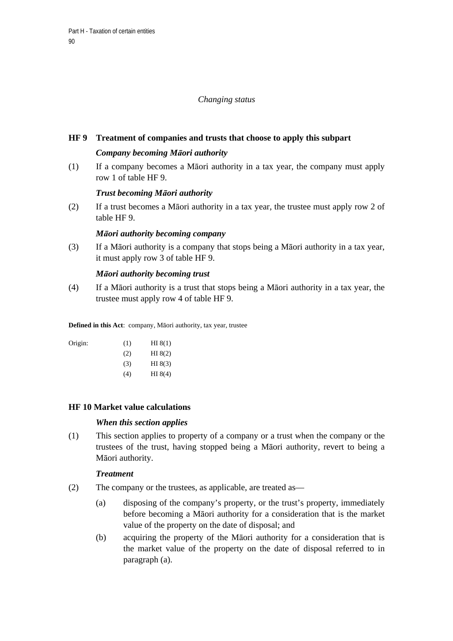### *Changing status*

### **HF 9 Treatment of companies and trusts that choose to apply this subpart**

### *Company becoming Māori authority*

(1) If a company becomes a Māori authority in a tax year, the company must apply row 1 of table HF 9.

### *Trust becoming Māori authority*

(2) If a trust becomes a Māori authority in a tax year, the trustee must apply row 2 of table HF 9.

### *Māori authority becoming company*

(3) If a Māori authority is a company that stops being a Māori authority in a tax year, it must apply row 3 of table HF 9.

### *Māori authority becoming trust*

(4) If a Māori authority is a trust that stops being a Māori authority in a tax year, the trustee must apply row 4 of table HF 9.

**Defined in this Act**: company, Māori authority, tax year, trustee

| Origin: | (1) | HI 8(1)   |
|---------|-----|-----------|
|         | (2) | HI 8(2)   |
|         | (3) | HI $8(3)$ |
|         | (4) | HI 8(4)   |

## **HF 10 Market value calculations**

### *When this section applies*

(1) This section applies to property of a company or a trust when the company or the trustees of the trust, having stopped being a Māori authority, revert to being a Māori authority.

### *Treatment*

- (2) The company or the trustees, as applicable, are treated as—
	- (a) disposing of the company's property, or the trust's property, immediately before becoming a Māori authority for a consideration that is the market value of the property on the date of disposal; and
	- (b) acquiring the property of the Māori authority for a consideration that is the market value of the property on the date of disposal referred to in paragraph (a).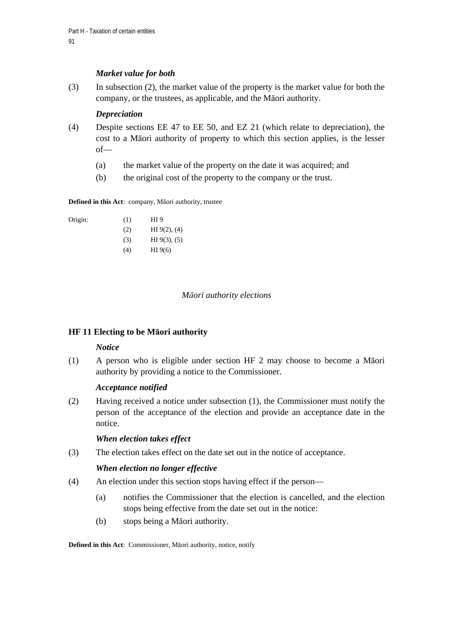# *Market value for both*

(3) In subsection (2), the market value of the property is the market value for both the company, or the trustees, as applicable, and the Māori authority.

## *Depreciation*

- (4) Despite sections EE 47 to EE 50, and EZ 21 (which relate to depreciation), the cost to a Māori authority of property to which this section applies, is the lesser of—
	- (a) the market value of the property on the date it was acquired; and
	- (b) the original cost of the property to the company or the trust.

**Defined in this Act**: company, Māori authority, trustee

| Origin: | (1) | HI 9              |
|---------|-----|-------------------|
|         | (2) | HI $9(2)$ , $(4)$ |
|         | (3) | HI $9(3)$ , $(5)$ |
|         | (4) | HI $9(6)$         |

## *Māori authority elections*

## **HF 11 Electing to be Māori authority**

## *Notice*

(1) A person who is eligible under section HF 2 may choose to become a Māori authority by providing a notice to the Commissioner.

## *Acceptance notified*

(2) Having received a notice under subsection (1), the Commissioner must notify the person of the acceptance of the election and provide an acceptance date in the notice.

## *When election takes effect*

(3) The election takes effect on the date set out in the notice of acceptance.

## *When election no longer effective*

- (4) An election under this section stops having effect if the person—
	- (a) notifies the Commissioner that the election is cancelled, and the election stops being effective from the date set out in the notice:
	- (b) stops being a Māori authority.

**Defined in this Act**: Commissioner, Māori authority, notice, notify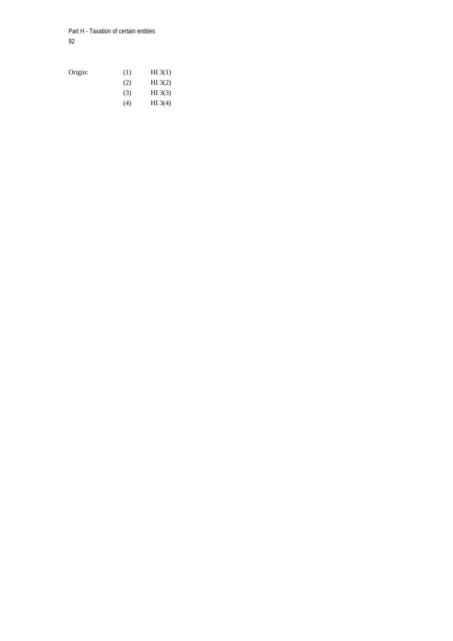Part H - Taxation of certain entities 92

Origin: (1) HI 3(1)  $(H1 3(2))$  (3) HI 3(3) (4) HI 3(4)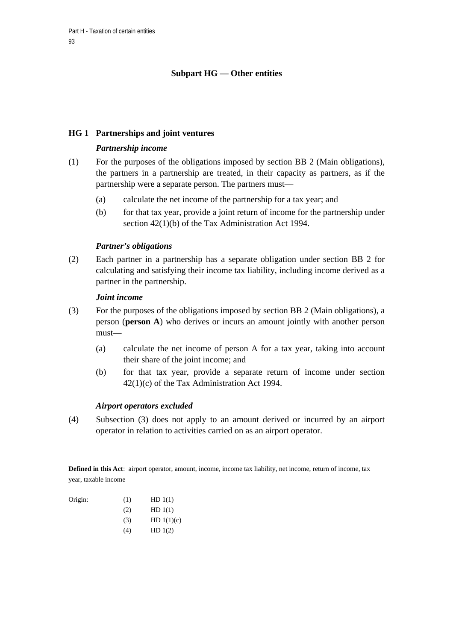# **Subpart HG — Other entities**

## **HG 1 Partnerships and joint ventures**

### *Partnership income*

- (1) For the purposes of the obligations imposed by section BB 2 (Main obligations), the partners in a partnership are treated, in their capacity as partners, as if the partnership were a separate person. The partners must—
	- (a) calculate the net income of the partnership for a tax year; and
	- (b) for that tax year, provide a joint return of income for the partnership under section 42(1)(b) of the Tax Administration Act 1994.

### *Partner's obligations*

(2) Each partner in a partnership has a separate obligation under section BB 2 for calculating and satisfying their income tax liability, including income derived as a partner in the partnership.

### *Joint income*

- (3) For the purposes of the obligations imposed by section BB 2 (Main obligations), a person (**person A**) who derives or incurs an amount jointly with another person must—
	- (a) calculate the net income of person A for a tax year, taking into account their share of the joint income; and
	- (b) for that tax year, provide a separate return of income under section 42(1)(c) of the Tax Administration Act 1994.

### *Airport operators excluded*

(4) Subsection (3) does not apply to an amount derived or incurred by an airport operator in relation to activities carried on as an airport operator.

**Defined in this Act**: airport operator, amount, income, income tax liability, net income, return of income, tax year, taxable income

| Origin: | (1) | HD(1(1)) |
|---------|-----|----------|
|         |     |          |

- $(HD 1(1))$
- (3)  $HD 1(1)(c)$
- $(4)$  HD  $1(2)$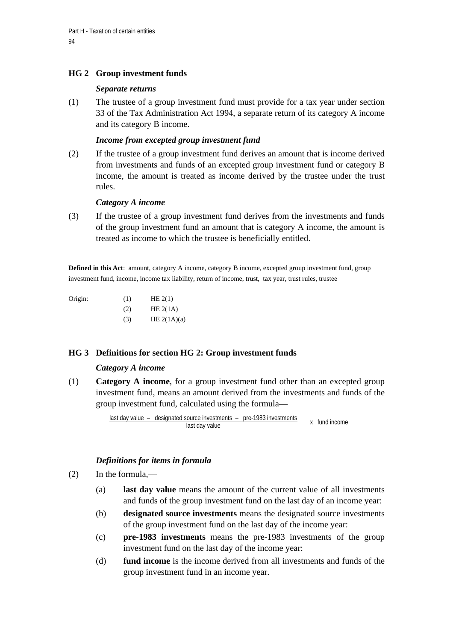# **HG 2 Group investment funds**

### *Separate returns*

(1) The trustee of a group investment fund must provide for a tax year under section 33 of the Tax Administration Act 1994, a separate return of its category A income and its category B income.

## *Income from excepted group investment fund*

(2) If the trustee of a group investment fund derives an amount that is income derived from investments and funds of an excepted group investment fund or category B income, the amount is treated as income derived by the trustee under the trust rules.

### *Category A income*

(3) If the trustee of a group investment fund derives from the investments and funds of the group investment fund an amount that is category A income, the amount is treated as income to which the trustee is beneficially entitled.

**Defined in this Act**: amount, category A income, category B income, excepted group investment fund, group investment fund, income, income tax liability, return of income, trust, tax year, trust rules, trustee

| Origin: | (1) | HE $2(1)$     |
|---------|-----|---------------|
|         | (2) | HE $2(1A)$    |
|         | (3) | HE $2(1A)(a)$ |

## **HG 3 Definitions for section HG 2: Group investment funds**

### *Category A income*

(1) **Category A income**, for a group investment fund other than an excepted group investment fund, means an amount derived from the investments and funds of the group investment fund, calculated using the formula—

> last day value – designated source investments – pre-1983 investments last day value x fund income

### *Definitions for items in formula*

- (2) In the formula,—
	- (a) **last day value** means the amount of the current value of all investments and funds of the group investment fund on the last day of an income year:
	- (b) **designated source investments** means the designated source investments of the group investment fund on the last day of the income year:
	- (c) **pre-1983 investments** means the pre-1983 investments of the group investment fund on the last day of the income year:
	- (d) **fund income** is the income derived from all investments and funds of the group investment fund in an income year.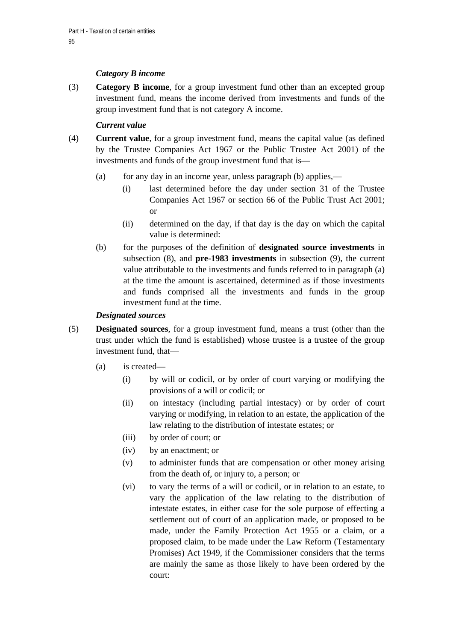# *Category B income*

(3) **Category B income**, for a group investment fund other than an excepted group investment fund, means the income derived from investments and funds of the group investment fund that is not category A income.

# *Current value*

- (4) **Current value**, for a group investment fund, means the capital value (as defined by the Trustee Companies Act 1967 or the Public Trustee Act 2001) of the investments and funds of the group investment fund that is—
	- (a) for any day in an income year, unless paragraph (b) applies,—
		- (i) last determined before the day under section 31 of the Trustee Companies Act 1967 or section 66 of the Public Trust Act 2001; or
		- (ii) determined on the day, if that day is the day on which the capital value is determined:
	- (b) for the purposes of the definition of **designated source investments** in subsection (8), and **pre-1983 investments** in subsection (9), the current value attributable to the investments and funds referred to in paragraph (a) at the time the amount is ascertained, determined as if those investments and funds comprised all the investments and funds in the group investment fund at the time.

## *Designated sources*

- (5) **Designated sources**, for a group investment fund, means a trust (other than the trust under which the fund is established) whose trustee is a trustee of the group investment fund, that—
	- (a) is created—
		- (i) by will or codicil, or by order of court varying or modifying the provisions of a will or codicil; or
		- (ii) on intestacy (including partial intestacy) or by order of court varying or modifying, in relation to an estate, the application of the law relating to the distribution of intestate estates; or
		- (iii) by order of court; or
		- (iv) by an enactment; or
		- (v) to administer funds that are compensation or other money arising from the death of, or injury to, a person; or
		- (vi) to vary the terms of a will or codicil, or in relation to an estate, to vary the application of the law relating to the distribution of intestate estates, in either case for the sole purpose of effecting a settlement out of court of an application made, or proposed to be made, under the Family Protection Act 1955 or a claim, or a proposed claim, to be made under the Law Reform (Testamentary Promises) Act 1949, if the Commissioner considers that the terms are mainly the same as those likely to have been ordered by the court: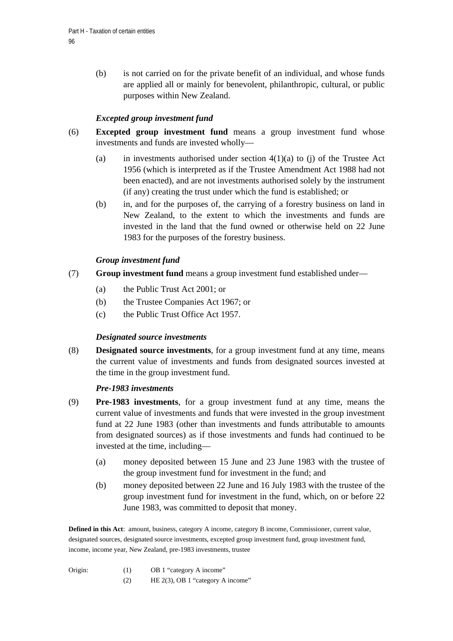(b) is not carried on for the private benefit of an individual, and whose funds are applied all or mainly for benevolent, philanthropic, cultural, or public purposes within New Zealand.

# *Excepted group investment fund*

- (6) **Excepted group investment fund** means a group investment fund whose investments and funds are invested wholly—
	- (a) in investments authorised under section  $4(1)(a)$  to (j) of the Trustee Act 1956 (which is interpreted as if the Trustee Amendment Act 1988 had not been enacted), and are not investments authorised solely by the instrument (if any) creating the trust under which the fund is established; or
	- (b) in, and for the purposes of, the carrying of a forestry business on land in New Zealand, to the extent to which the investments and funds are invested in the land that the fund owned or otherwise held on 22 June 1983 for the purposes of the forestry business.

## *Group investment fund*

- (7) **Group investment fund** means a group investment fund established under—
	- (a) the Public Trust Act 2001; or
	- (b) the Trustee Companies Act 1967; or
	- (c) the Public Trust Office Act 1957.

### *Designated source investments*

(8) **Designated source investments**, for a group investment fund at any time, means the current value of investments and funds from designated sources invested at the time in the group investment fund.

### *Pre-1983 investments*

- (9) **Pre-1983 investments**, for a group investment fund at any time, means the current value of investments and funds that were invested in the group investment fund at 22 June 1983 (other than investments and funds attributable to amounts from designated sources) as if those investments and funds had continued to be invested at the time, including—
	- (a) money deposited between 15 June and 23 June 1983 with the trustee of the group investment fund for investment in the fund; and
	- (b) money deposited between 22 June and 16 July 1983 with the trustee of the group investment fund for investment in the fund, which, on or before 22 June 1983, was committed to deposit that money.

**Defined in this Act**: amount, business, category A income, category B income, Commissioner, current value, designated sources, designated source investments, excepted group investment fund, group investment fund, income, income year, New Zealand, pre-1983 investments, trustee

- Origin: (1) OB 1 "category A income"
	- (2) HE 2(3), OB 1 "category A income"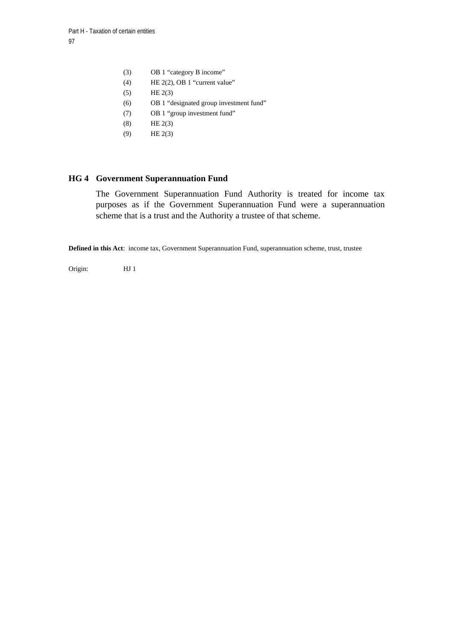- (3) OB 1 "category B income"
- (4) HE 2(2), OB 1 "current value"
- $(5)$  HE 2(3)
- (6) OB 1 "designated group investment fund"
- (7) OB 1 "group investment fund"
- (8) HE 2(3)
- (9) HE 2(3)

### **HG 4 Government Superannuation Fund**

The Government Superannuation Fund Authority is treated for income tax purposes as if the Government Superannuation Fund were a superannuation scheme that is a trust and the Authority a trustee of that scheme.

**Defined in this Act**: income tax, Government Superannuation Fund, superannuation scheme, trust, trustee

Origin: HJ 1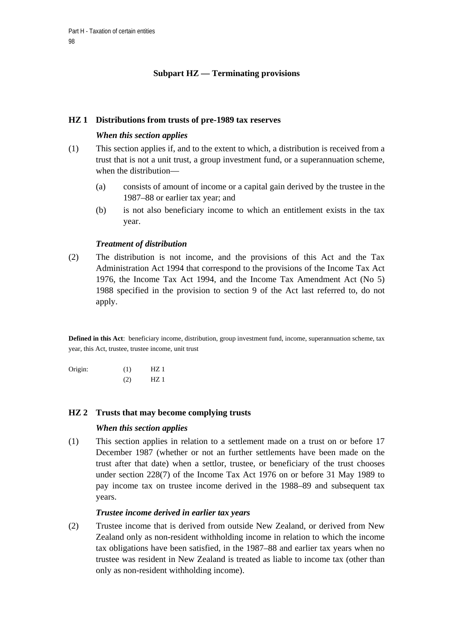# **Subpart HZ — Terminating provisions**

### **HZ 1 Distributions from trusts of pre-1989 tax reserves**

### *When this section applies*

- (1) This section applies if, and to the extent to which, a distribution is received from a trust that is not a unit trust, a group investment fund, or a superannuation scheme, when the distribution—
	- (a) consists of amount of income or a capital gain derived by the trustee in the 1987–88 or earlier tax year; and
	- (b) is not also beneficiary income to which an entitlement exists in the tax year.

### *Treatment of distribution*

(2) The distribution is not income, and the provisions of this Act and the Tax Administration Act 1994 that correspond to the provisions of the Income Tax Act 1976, the Income Tax Act 1994, and the Income Tax Amendment Act (No 5) 1988 specified in the provision to section 9 of the Act last referred to, do not apply.

**Defined in this Act**: beneficiary income, distribution, group investment fund, income, superannuation scheme, tax year, this Act, trustee, trustee income, unit trust

Origin: (1) HZ 1 (2) HZ 1

### **HZ 2 Trusts that may become complying trusts**

## *When this section applies*

(1) This section applies in relation to a settlement made on a trust on or before 17 December 1987 (whether or not an further settlements have been made on the trust after that date) when a settlor, trustee, or beneficiary of the trust chooses under section 228(7) of the Income Tax Act 1976 on or before 31 May 1989 to pay income tax on trustee income derived in the 1988–89 and subsequent tax years.

### *Trustee income derived in earlier tax years*

(2) Trustee income that is derived from outside New Zealand, or derived from New Zealand only as non-resident withholding income in relation to which the income tax obligations have been satisfied, in the 1987–88 and earlier tax years when no trustee was resident in New Zealand is treated as liable to income tax (other than only as non-resident withholding income).